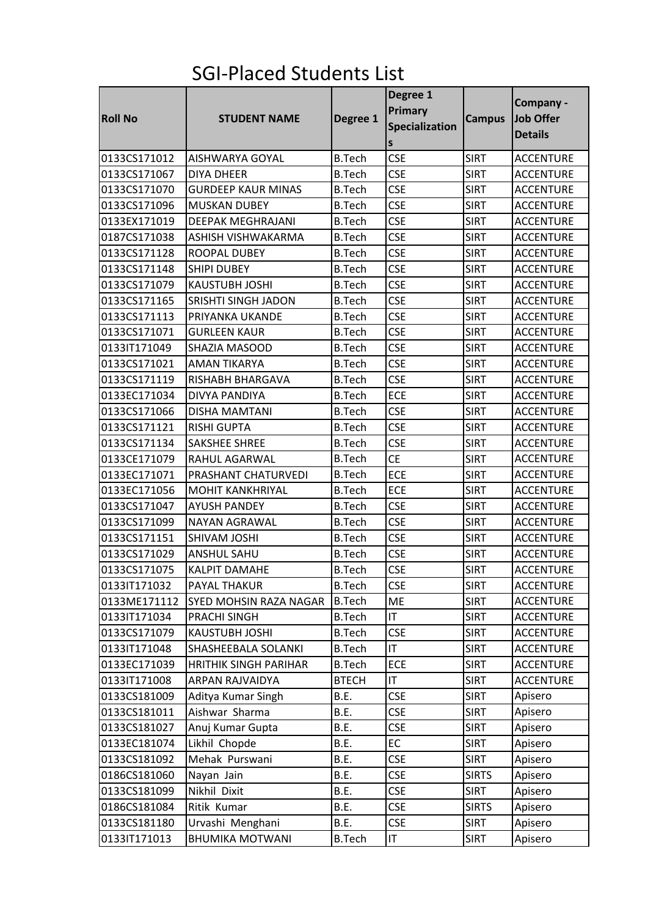## SGI-Placed Students List

|                |                              |               | Degree 1<br>Primary   |               | Company -        |
|----------------|------------------------------|---------------|-----------------------|---------------|------------------|
| <b>Roll No</b> | <b>STUDENT NAME</b>          | Degree 1      | <b>Specialization</b> | <b>Campus</b> | <b>Job Offer</b> |
|                |                              |               | $\mathsf{s}$          |               | <b>Details</b>   |
| 0133CS171012   | AISHWARYA GOYAL              | <b>B.Tech</b> | <b>CSE</b>            | <b>SIRT</b>   | <b>ACCENTURE</b> |
| 0133CS171067   | <b>DIYA DHEER</b>            | <b>B.Tech</b> | <b>CSE</b>            | <b>SIRT</b>   | <b>ACCENTURE</b> |
| 0133CS171070   | <b>GURDEEP KAUR MINAS</b>    | <b>B.Tech</b> | <b>CSE</b>            | <b>SIRT</b>   | <b>ACCENTURE</b> |
| 0133CS171096   | <b>MUSKAN DUBEY</b>          | <b>B.Tech</b> | <b>CSE</b>            | <b>SIRT</b>   | <b>ACCENTURE</b> |
| 0133EX171019   | <b>DEEPAK MEGHRAJANI</b>     | <b>B.Tech</b> | <b>CSE</b>            | <b>SIRT</b>   | <b>ACCENTURE</b> |
| 0187CS171038   | ASHISH VISHWAKARMA           | <b>B.Tech</b> | <b>CSE</b>            | <b>SIRT</b>   | <b>ACCENTURE</b> |
| 0133CS171128   | <b>ROOPAL DUBEY</b>          | <b>B.Tech</b> | <b>CSE</b>            | <b>SIRT</b>   | <b>ACCENTURE</b> |
| 0133CS171148   | <b>SHIPI DUBEY</b>           | <b>B.Tech</b> | <b>CSE</b>            | <b>SIRT</b>   | <b>ACCENTURE</b> |
| 0133CS171079   | <b>KAUSTUBH JOSHI</b>        | <b>B.Tech</b> | <b>CSE</b>            | <b>SIRT</b>   | <b>ACCENTURE</b> |
| 0133CS171165   | <b>SRISHTI SINGH JADON</b>   | <b>B.Tech</b> | <b>CSE</b>            | <b>SIRT</b>   | <b>ACCENTURE</b> |
| 0133CS171113   | PRIYANKA UKANDE              | <b>B.Tech</b> | <b>CSE</b>            | <b>SIRT</b>   | <b>ACCENTURE</b> |
| 0133CS171071   | <b>GURLEEN KAUR</b>          | <b>B.Tech</b> | <b>CSE</b>            | <b>SIRT</b>   | <b>ACCENTURE</b> |
| 0133IT171049   | SHAZIA MASOOD                | <b>B.Tech</b> | <b>CSE</b>            | <b>SIRT</b>   | <b>ACCENTURE</b> |
| 0133CS171021   | <b>AMAN TIKARYA</b>          | <b>B.Tech</b> | <b>CSE</b>            | <b>SIRT</b>   | <b>ACCENTURE</b> |
| 0133CS171119   | RISHABH BHARGAVA             | <b>B.Tech</b> | <b>CSE</b>            | <b>SIRT</b>   | <b>ACCENTURE</b> |
| 0133EC171034   | DIVYA PANDIYA                | <b>B.Tech</b> | ECE                   | <b>SIRT</b>   | <b>ACCENTURE</b> |
| 0133CS171066   | <b>DISHA MAMTANI</b>         | <b>B.Tech</b> | <b>CSE</b>            | <b>SIRT</b>   | <b>ACCENTURE</b> |
| 0133CS171121   | <b>RISHI GUPTA</b>           | <b>B.Tech</b> | <b>CSE</b>            | <b>SIRT</b>   | <b>ACCENTURE</b> |
| 0133CS171134   | SAKSHEE SHREE                | <b>B.Tech</b> | <b>CSE</b>            | <b>SIRT</b>   | <b>ACCENTURE</b> |
| 0133CE171079   | RAHUL AGARWAL                | <b>B.Tech</b> | <b>CE</b>             | <b>SIRT</b>   | <b>ACCENTURE</b> |
| 0133EC171071   | PRASHANT CHATURVEDI          | <b>B.Tech</b> | ECE                   | <b>SIRT</b>   | <b>ACCENTURE</b> |
| 0133EC171056   | <b>MOHIT KANKHRIYAL</b>      | <b>B.Tech</b> | ECE                   | <b>SIRT</b>   | <b>ACCENTURE</b> |
| 0133CS171047   | <b>AYUSH PANDEY</b>          | <b>B.Tech</b> | <b>CSE</b>            | <b>SIRT</b>   | <b>ACCENTURE</b> |
| 0133CS171099   | <b>NAYAN AGRAWAL</b>         | <b>B.Tech</b> | <b>CSE</b>            | <b>SIRT</b>   | <b>ACCENTURE</b> |
| 0133CS171151   | <b>SHIVAM JOSHI</b>          | <b>B.Tech</b> | <b>CSE</b>            | <b>SIRT</b>   | <b>ACCENTURE</b> |
| 0133CS171029   | <b>ANSHUL SAHU</b>           | <b>B.Tech</b> | <b>CSE</b>            | <b>SIRT</b>   | <b>ACCENTURE</b> |
| 0133CS171075   | <b>KALPIT DAMAHE</b>         | <b>B.Tech</b> | <b>CSE</b>            | <b>SIRT</b>   | <b>ACCENTURE</b> |
| 0133IT171032   | PAYAL THAKUR                 | <b>B.Tech</b> | <b>CSE</b>            | <b>SIRT</b>   | <b>ACCENTURE</b> |
| 0133ME171112   | SYED MOHSIN RAZA NAGAR       | <b>B.Tech</b> | ME                    | <b>SIRT</b>   | <b>ACCENTURE</b> |
| 0133IT171034   | PRACHI SINGH                 | <b>B.Tech</b> | IT                    | <b>SIRT</b>   | <b>ACCENTURE</b> |
| 0133CS171079   | <b>KAUSTUBH JOSHI</b>        | <b>B.Tech</b> | <b>CSE</b>            | <b>SIRT</b>   | <b>ACCENTURE</b> |
| 0133IT171048   | SHASHEEBALA SOLANKI          | <b>B.Tech</b> | IT                    | <b>SIRT</b>   | <b>ACCENTURE</b> |
| 0133EC171039   | <b>HRITHIK SINGH PARIHAR</b> | <b>B.Tech</b> | ECE                   | <b>SIRT</b>   | <b>ACCENTURE</b> |
| 0133IT171008   | ARPAN RAJVAIDYA              | <b>BTECH</b>  | IT.                   | <b>SIRT</b>   | <b>ACCENTURE</b> |
| 0133CS181009   | Aditya Kumar Singh           | B.E.          | <b>CSE</b>            | <b>SIRT</b>   | Apisero          |
| 0133CS181011   | Aishwar Sharma               | B.E.          | <b>CSE</b>            | <b>SIRT</b>   | Apisero          |
| 0133CS181027   | Anuj Kumar Gupta             | B.E.          | <b>CSE</b>            | <b>SIRT</b>   | Apisero          |
| 0133EC181074   | Likhil Chopde                | B.E.          | EC                    | <b>SIRT</b>   | Apisero          |
| 0133CS181092   | Mehak Purswani               | B.E.          | <b>CSE</b>            | <b>SIRT</b>   | Apisero          |
| 0186CS181060   | Nayan Jain                   | B.E.          | <b>CSE</b>            | <b>SIRTS</b>  | Apisero          |
| 0133CS181099   | Nikhil Dixit                 | B.E.          | <b>CSE</b>            | <b>SIRT</b>   | Apisero          |
| 0186CS181084   | Ritik Kumar                  | B.E.          | <b>CSE</b>            | <b>SIRTS</b>  | Apisero          |
| 0133CS181180   | Urvashi Menghani             | B.E.          | <b>CSE</b>            | <b>SIRT</b>   | Apisero          |
| 0133IT171013   | <b>BHUMIKA MOTWANI</b>       | <b>B.Tech</b> | IT                    | <b>SIRT</b>   | Apisero          |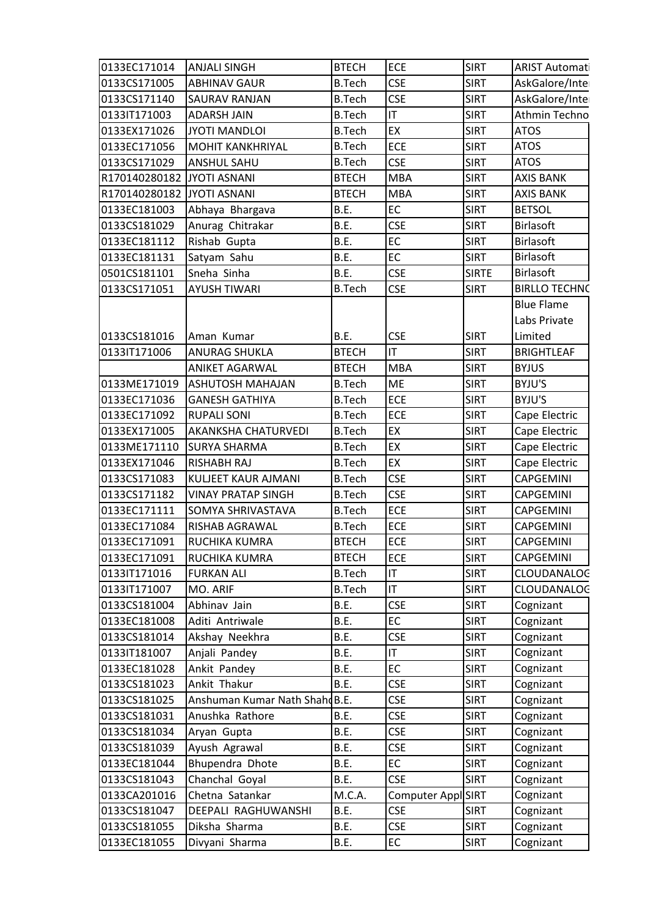| 0133EC171014                | <b>ANJALI SINGH</b>            | <b>BTECH</b>  | ECE                | <b>SIRT</b>  | <b>ARIST Automati</b> |
|-----------------------------|--------------------------------|---------------|--------------------|--------------|-----------------------|
| 0133CS171005                | <b>ABHINAV GAUR</b>            | <b>B.Tech</b> | <b>CSE</b>         | <b>SIRT</b>  | AskGalore/Inter       |
| 0133CS171140                | <b>SAURAV RANJAN</b>           | <b>B.Tech</b> | <b>CSE</b>         | <b>SIRT</b>  | AskGalore/Inter       |
| 0133IT171003                | <b>ADARSH JAIN</b>             | <b>B.Tech</b> | ΙT                 | <b>SIRT</b>  | Athmin Techno         |
| 0133EX171026                | <b>JYOTI MANDLOI</b>           | <b>B.Tech</b> | EX                 | <b>SIRT</b>  | <b>ATOS</b>           |
| 0133EC171056                | <b>MOHIT KANKHRIYAL</b>        | <b>B.Tech</b> | ECE                | <b>SIRT</b>  | <b>ATOS</b>           |
| 0133CS171029                | <b>ANSHUL SAHU</b>             | <b>B.Tech</b> | <b>CSE</b>         | <b>SIRT</b>  | <b>ATOS</b>           |
| R170140280182 JJYOTI ASNANI |                                | <b>BTECH</b>  | <b>MBA</b>         | <b>SIRT</b>  | <b>AXIS BANK</b>      |
| R170140280182 JJYOTI ASNANI |                                | <b>BTECH</b>  | <b>MBA</b>         | <b>SIRT</b>  | <b>AXIS BANK</b>      |
| 0133EC181003                | Abhaya Bhargava                | B.E.          | EC                 | <b>SIRT</b>  | <b>BETSOL</b>         |
| 0133CS181029                | Anurag Chitrakar               | B.E.          | <b>CSE</b>         | <b>SIRT</b>  | Birlasoft             |
| 0133EC181112                | Rishab Gupta                   | B.E.          | EC                 | <b>SIRT</b>  | <b>Birlasoft</b>      |
| 0133EC181131                | Satyam Sahu                    | B.E.          | EC                 | <b>SIRT</b>  | Birlasoft             |
| 0501CS181101                | Sneha Sinha                    | B.E.          | <b>CSE</b>         | <b>SIRTE</b> | Birlasoft             |
| 0133CS171051                | <b>AYUSH TIWARI</b>            | <b>B.Tech</b> | <b>CSE</b>         | <b>SIRT</b>  | <b>BIRLLO TECHNO</b>  |
|                             |                                |               |                    |              | <b>Blue Flame</b>     |
|                             |                                |               |                    |              | Labs Private          |
| 0133CS181016                | Aman Kumar                     | B.E.          | <b>CSE</b>         | <b>SIRT</b>  | Limited               |
| 0133IT171006                | <b>ANURAG SHUKLA</b>           | <b>BTECH</b>  | IT.                | <b>SIRT</b>  | <b>BRIGHTLEAF</b>     |
|                             | <b>ANIKET AGARWAL</b>          | <b>BTECH</b>  | <b>MBA</b>         | <b>SIRT</b>  | <b>BYJUS</b>          |
| 0133ME171019                | <b>ASHUTOSH MAHAJAN</b>        | <b>B.Tech</b> | <b>ME</b>          | <b>SIRT</b>  | BYJU'S                |
| 0133EC171036                | <b>GANESH GATHIYA</b>          | <b>B.Tech</b> | ECE                | <b>SIRT</b>  | BYJU'S                |
| 0133EC171092                | <b>RUPALI SONI</b>             | <b>B.Tech</b> | ECE                | <b>SIRT</b>  | Cape Electric         |
| 0133EX171005                | <b>AKANKSHA CHATURVEDI</b>     | <b>B.Tech</b> | EX                 | <b>SIRT</b>  | Cape Electric         |
| 0133ME171110                | <b>SURYA SHARMA</b>            | <b>B.Tech</b> | EX                 | <b>SIRT</b>  | Cape Electric         |
| 0133EX171046                | <b>RISHABH RAJ</b>             | <b>B.Tech</b> | EX                 | <b>SIRT</b>  | Cape Electric         |
| 0133CS171083                | KULJEET KAUR AJMANI            | <b>B.Tech</b> | <b>CSE</b>         | <b>SIRT</b>  | <b>CAPGEMINI</b>      |
| 0133CS171182                | <b>VINAY PRATAP SINGH</b>      | <b>B.Tech</b> | <b>CSE</b>         | <b>SIRT</b>  | <b>CAPGEMINI</b>      |
| 0133EC171111                | SOMYA SHRIVASTAVA              | <b>B.Tech</b> | ECE                | <b>SIRT</b>  | <b>CAPGEMINI</b>      |
| 0133EC171084                | RISHAB AGRAWAL                 | <b>B.Tech</b> | ECE                | <b>SIRT</b>  | <b>CAPGEMINI</b>      |
| 0133EC171091                | RUCHIKA KUMRA                  | <b>BTECH</b>  | ECE                | <b>SIRT</b>  | <b>CAPGEMINI</b>      |
| 0133EC171091                | RUCHIKA KUMRA                  | <b>BTECH</b>  | ECE                | <b>SIRT</b>  | CAPGEMINI             |
| 0133IT171016                | <b>FURKAN ALI</b>              | <b>B.Tech</b> | ΙT                 | <b>SIRT</b>  | CLOUDANALOG           |
| 0133IT171007                | MO. ARIF                       | <b>B.Tech</b> | IT                 | <b>SIRT</b>  | CLOUDANALOG           |
| 0133CS181004                | Abhinav Jain                   | B.E.          | <b>CSE</b>         | <b>SIRT</b>  | Cognizant             |
| 0133EC181008                | Aditi Antriwale                | B.E.          | EC                 | <b>SIRT</b>  | Cognizant             |
| 0133CS181014                | Akshay Neekhra                 | B.E.          | <b>CSE</b>         | <b>SIRT</b>  | Cognizant             |
| 0133IT181007                | Anjali Pandey                  | B.E.          | ΙT                 | <b>SIRT</b>  | Cognizant             |
| 0133EC181028                | Ankit Pandey                   | B.E.          | EC                 | <b>SIRT</b>  | Cognizant             |
| 0133CS181023                | Ankit Thakur                   | B.E.          | <b>CSE</b>         | <b>SIRT</b>  | Cognizant             |
| 0133CS181025                | Anshuman Kumar Nath Shahd B.E. |               | <b>CSE</b>         | <b>SIRT</b>  | Cognizant             |
| 0133CS181031                | Anushka Rathore                | B.E.          | <b>CSE</b>         | <b>SIRT</b>  | Cognizant             |
| 0133CS181034                | Aryan Gupta                    | B.E.          | <b>CSE</b>         | <b>SIRT</b>  | Cognizant             |
| 0133CS181039                | Ayush Agrawal                  | B.E.          | <b>CSE</b>         | <b>SIRT</b>  | Cognizant             |
| 0133EC181044                | Bhupendra Dhote                | B.E.          | EC                 | <b>SIRT</b>  | Cognizant             |
| 0133CS181043                | Chanchal Goyal                 | B.E.          | <b>CSE</b>         | <b>SIRT</b>  | Cognizant             |
| 0133CA201016                | Chetna Satankar                | M.C.A.        | Computer Appl SIRT |              | Cognizant             |
| 0133CS181047                | DEEPALI RAGHUWANSHI            | B.E.          | <b>CSE</b>         | <b>SIRT</b>  | Cognizant             |
| 0133CS181055                | Diksha Sharma                  | B.E.          | <b>CSE</b>         | <b>SIRT</b>  | Cognizant             |
| 0133EC181055                | Divyani Sharma                 | B.E.          | EC                 | <b>SIRT</b>  | Cognizant             |
|                             |                                |               |                    |              |                       |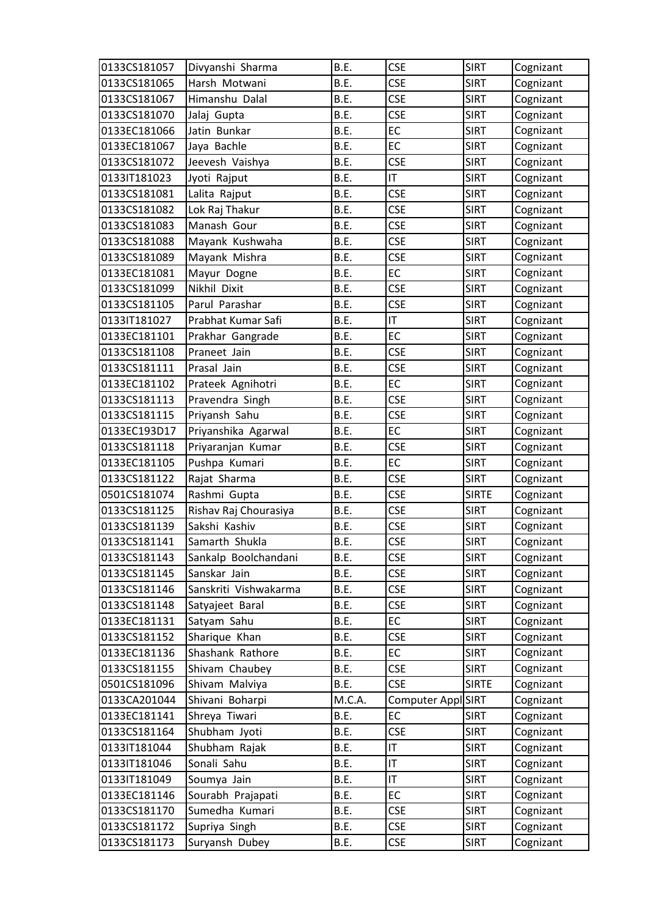| 0133CS181057 | Divyanshi Sharma      | B.E.   | <b>CSE</b>         | <b>SIRT</b>  | Cognizant |
|--------------|-----------------------|--------|--------------------|--------------|-----------|
| 0133CS181065 | Harsh Motwani         | B.E.   | <b>CSE</b>         | <b>SIRT</b>  | Cognizant |
| 0133CS181067 | Himanshu Dalal        | B.E.   | <b>CSE</b>         | <b>SIRT</b>  | Cognizant |
| 0133CS181070 | Jalaj Gupta           | B.E.   | <b>CSE</b>         | <b>SIRT</b>  | Cognizant |
| 0133EC181066 | Jatin Bunkar          | B.E.   | EC                 | <b>SIRT</b>  | Cognizant |
| 0133EC181067 | Jaya Bachle           | B.E.   | EC                 | <b>SIRT</b>  | Cognizant |
| 0133CS181072 | Jeevesh Vaishya       | B.E.   | <b>CSE</b>         | <b>SIRT</b>  | Cognizant |
| 0133IT181023 | Jyoti Rajput          | B.E.   | IT                 | <b>SIRT</b>  | Cognizant |
| 0133CS181081 | Lalita Rajput         | B.E.   | <b>CSE</b>         | <b>SIRT</b>  | Cognizant |
| 0133CS181082 | Lok Raj Thakur        | B.E.   | <b>CSE</b>         | <b>SIRT</b>  | Cognizant |
| 0133CS181083 | Manash Gour           | B.E.   | <b>CSE</b>         | <b>SIRT</b>  | Cognizant |
| 0133CS181088 | Mayank Kushwaha       | B.E.   | <b>CSE</b>         | <b>SIRT</b>  | Cognizant |
| 0133CS181089 | Mayank Mishra         | B.E.   | <b>CSE</b>         | <b>SIRT</b>  | Cognizant |
| 0133EC181081 | Mayur Dogne           | B.E.   | EC                 | <b>SIRT</b>  | Cognizant |
| 0133CS181099 | Nikhil Dixit          | B.E.   | <b>CSE</b>         | <b>SIRT</b>  | Cognizant |
| 0133CS181105 | Parul Parashar        | B.E.   | <b>CSE</b>         | <b>SIRT</b>  | Cognizant |
| 0133IT181027 | Prabhat Kumar Safi    | B.E.   | ΙT                 | <b>SIRT</b>  | Cognizant |
| 0133EC181101 | Prakhar Gangrade      | B.E.   | EC                 | <b>SIRT</b>  | Cognizant |
| 0133CS181108 | Praneet Jain          | B.E.   | <b>CSE</b>         | <b>SIRT</b>  | Cognizant |
| 0133CS181111 | Prasal Jain           | B.E.   | <b>CSE</b>         | <b>SIRT</b>  | Cognizant |
| 0133EC181102 | Prateek Agnihotri     | B.E.   | EC                 | <b>SIRT</b>  | Cognizant |
| 0133CS181113 | Pravendra Singh       | B.E.   | <b>CSE</b>         | <b>SIRT</b>  | Cognizant |
| 0133CS181115 | Priyansh Sahu         | B.E.   | <b>CSE</b>         | <b>SIRT</b>  | Cognizant |
| 0133EC193D17 | Priyanshika Agarwal   | B.E.   | EC                 | <b>SIRT</b>  | Cognizant |
| 0133CS181118 | Priyaranjan Kumar     | B.E.   | <b>CSE</b>         | <b>SIRT</b>  | Cognizant |
| 0133EC181105 | Pushpa Kumari         | B.E.   | EC                 | <b>SIRT</b>  | Cognizant |
| 0133CS181122 | Rajat Sharma          | B.E.   | <b>CSE</b>         | <b>SIRT</b>  | Cognizant |
| 0501CS181074 | Rashmi Gupta          | B.E.   | <b>CSE</b>         | <b>SIRTE</b> | Cognizant |
| 0133CS181125 | Rishav Raj Chourasiya | B.E.   | <b>CSE</b>         | <b>SIRT</b>  | Cognizant |
| 0133CS181139 | Sakshi Kashiv         | B.E.   | <b>CSE</b>         | <b>SIRT</b>  | Cognizant |
| 0133CS181141 | Samarth Shukla        | B.E.   | <b>CSE</b>         | <b>SIRT</b>  | Cognizant |
| 0133CS181143 | Sankalp Boolchandani  | B.E.   | <b>CSE</b>         | <b>SIRT</b>  | Cognizant |
| 0133CS181145 | Sanskar Jain          | B.E.   | <b>CSE</b>         | <b>SIRT</b>  | Cognizant |
| 0133CS181146 | Sanskriti Vishwakarma | B.E.   | <b>CSE</b>         | <b>SIRT</b>  | Cognizant |
| 0133CS181148 | Satyajeet Baral       | B.E.   | <b>CSE</b>         | <b>SIRT</b>  | Cognizant |
| 0133EC181131 | Satyam Sahu           | B.E.   | EC                 | <b>SIRT</b>  | Cognizant |
| 0133CS181152 | Sharique Khan         | B.E.   | <b>CSE</b>         | <b>SIRT</b>  | Cognizant |
| 0133EC181136 | Shashank Rathore      | B.E.   | EC                 | <b>SIRT</b>  | Cognizant |
| 0133CS181155 | Shivam Chaubey        | B.E.   | <b>CSE</b>         | <b>SIRT</b>  | Cognizant |
| 0501CS181096 | Shivam Malviya        | B.E.   | <b>CSE</b>         | <b>SIRTE</b> | Cognizant |
| 0133CA201044 | Shivani Boharpi       | M.C.A. | Computer Appl SIRT |              | Cognizant |
| 0133EC181141 | Shreya Tiwari         | B.E.   | EC                 | <b>SIRT</b>  | Cognizant |
| 0133CS181164 | Shubham Jyoti         | B.E.   | <b>CSE</b>         | <b>SIRT</b>  | Cognizant |
| 0133IT181044 | Shubham Rajak         | B.E.   | IT.                | <b>SIRT</b>  | Cognizant |
| 0133IT181046 | Sonali Sahu           | B.E.   | IT                 | <b>SIRT</b>  | Cognizant |
| 0133IT181049 | Soumya Jain           | B.E.   | ΙT                 | <b>SIRT</b>  | Cognizant |
| 0133EC181146 | Sourabh Prajapati     | B.E.   | EC                 | <b>SIRT</b>  | Cognizant |
| 0133CS181170 | Sumedha Kumari        | B.E.   | <b>CSE</b>         | <b>SIRT</b>  | Cognizant |
| 0133CS181172 | Supriya Singh         | B.E.   | <b>CSE</b>         | <b>SIRT</b>  | Cognizant |
| 0133CS181173 | Suryansh Dubey        | B.E.   | <b>CSE</b>         | <b>SIRT</b>  | Cognizant |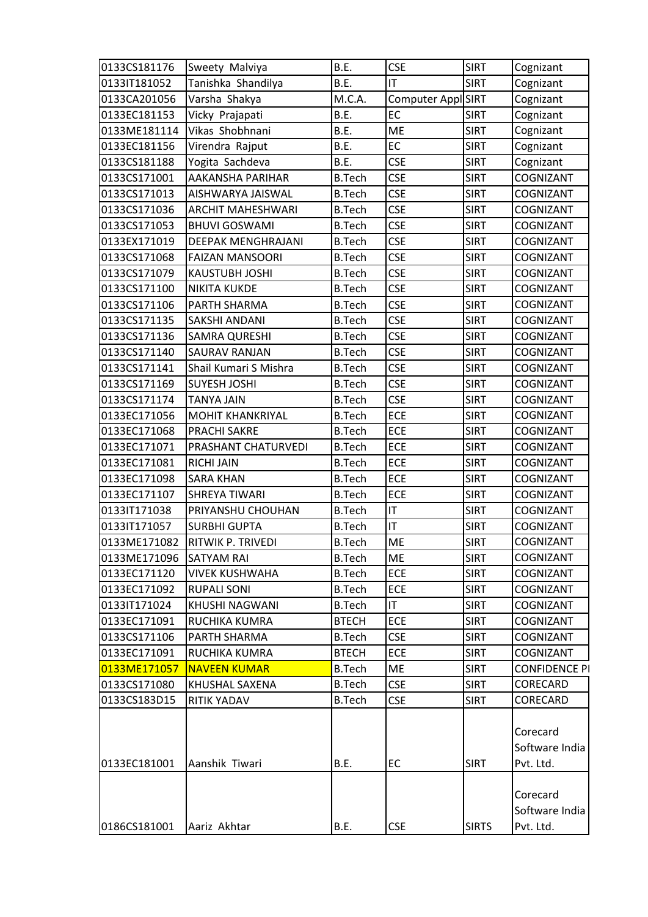| 0133CS181176            | Sweety Malviya                  | B.E.          | <b>CSE</b>             | <b>SIRT</b>  | Cognizant                               |
|-------------------------|---------------------------------|---------------|------------------------|--------------|-----------------------------------------|
| 0133IT181052            | Tanishka Shandilya              | B.E.          | IT                     | <b>SIRT</b>  | Cognizant                               |
| 0133CA201056            | Varsha Shakya                   | M.C.A.        | Computer Appl SIRT     |              | Cognizant                               |
| 0133EC181153            | Vicky Prajapati                 | B.E.          | EC                     | <b>SIRT</b>  | Cognizant                               |
| 0133ME181114            | Vikas Shobhnani                 | B.E.          | <b>ME</b>              | <b>SIRT</b>  | Cognizant                               |
| 0133EC181156            | Virendra Rajput                 | B.E.          | EC                     | <b>SIRT</b>  | Cognizant                               |
| 0133CS181188            | Yogita Sachdeva                 | B.E.          | <b>CSE</b>             | <b>SIRT</b>  | Cognizant                               |
| 0133CS171001            | AAKANSHA PARIHAR                | <b>B.Tech</b> | <b>CSE</b>             | <b>SIRT</b>  | COGNIZANT                               |
| 0133CS171013            | AISHWARYA JAISWAL               | <b>B.Tech</b> | <b>CSE</b>             | <b>SIRT</b>  | COGNIZANT                               |
| 0133CS171036            | <b>ARCHIT MAHESHWARI</b>        | <b>B.Tech</b> | <b>CSE</b>             | <b>SIRT</b>  | COGNIZANT                               |
| 0133CS171053            | <b>BHUVI GOSWAMI</b>            | <b>B.Tech</b> | <b>CSE</b>             | <b>SIRT</b>  | COGNIZANT                               |
| 0133EX171019            | <b>DEEPAK MENGHRAJANI</b>       | <b>B.Tech</b> | <b>CSE</b>             | <b>SIRT</b>  | COGNIZANT                               |
| 0133CS171068            | <b>FAIZAN MANSOORI</b>          | <b>B.Tech</b> | <b>CSE</b>             | <b>SIRT</b>  | COGNIZANT                               |
| 0133CS171079            | <b>KAUSTUBH JOSHI</b>           | <b>B.Tech</b> | <b>CSE</b>             | <b>SIRT</b>  | COGNIZANT                               |
| 0133CS171100            | <b>NIKITA KUKDE</b>             | <b>B.Tech</b> | <b>CSE</b>             | <b>SIRT</b>  | COGNIZANT                               |
| 0133CS171106            | PARTH SHARMA                    | <b>B.Tech</b> | <b>CSE</b>             | <b>SIRT</b>  | COGNIZANT                               |
| 0133CS171135            | <b>SAKSHI ANDANI</b>            | <b>B.Tech</b> | <b>CSE</b>             | <b>SIRT</b>  | COGNIZANT                               |
| 0133CS171136            | <b>SAMRA QURESHI</b>            | <b>B.Tech</b> | <b>CSE</b>             | <b>SIRT</b>  | <b>COGNIZANT</b>                        |
| 0133CS171140            | <b>SAURAV RANJAN</b>            | <b>B.Tech</b> | <b>CSE</b>             | <b>SIRT</b>  | COGNIZANT                               |
| 0133CS171141            | Shail Kumari S Mishra           | <b>B.Tech</b> | <b>CSE</b>             | <b>SIRT</b>  | COGNIZANT                               |
| 0133CS171169            | <b>SUYESH JOSHI</b>             | <b>B.Tech</b> | <b>CSE</b>             | <b>SIRT</b>  | COGNIZANT                               |
| 0133CS171174            | <b>TANYA JAIN</b>               | <b>B.Tech</b> | <b>CSE</b>             | <b>SIRT</b>  | COGNIZANT                               |
| 0133EC171056            | <b>MOHIT KHANKRIYAL</b>         | <b>B.Tech</b> | ECE                    | <b>SIRT</b>  | COGNIZANT                               |
| 0133EC171068            | <b>PRACHI SAKRE</b>             | <b>B.Tech</b> | ECE                    | <b>SIRT</b>  | COGNIZANT                               |
| 0133EC171071            | PRASHANT CHATURVEDI             | <b>B.Tech</b> | <b>ECE</b>             | <b>SIRT</b>  | COGNIZANT                               |
| 0133EC171081            | <b>RICHI JAIN</b>               | <b>B.Tech</b> | ECE                    | <b>SIRT</b>  | COGNIZANT                               |
| 0133EC171098            | <b>SARA KHAN</b>                | <b>B.Tech</b> | <b>ECE</b>             | <b>SIRT</b>  | COGNIZANT                               |
| 0133EC171107            | <b>SHREYA TIWARI</b>            | <b>B.Tech</b> | ECE                    | <b>SIRT</b>  | COGNIZANT                               |
| 0133IT171038            | PRIYANSHU CHOUHAN               | <b>B.Tech</b> | IT                     | <b>SIRT</b>  | COGNIZANT                               |
| 0133IT171057            | <b>SURBHI GUPTA</b>             | <b>B.Tech</b> | IT                     | <b>SIRT</b>  | COGNIZANT                               |
|                         | 0133ME171082  RITWIK P. TRIVEDI | <b>B.Tech</b> | <b>ME</b>              | <b>SIRT</b>  | COGNIZANT                               |
| 0133ME171096 SATYAM RAI |                                 | <b>B.Tech</b> | ME                     | <b>SIRT</b>  | <b>COGNIZANT</b>                        |
| 0133EC171120            | <b>VIVEK KUSHWAHA</b>           | <b>B.Tech</b> | ECE                    | <b>SIRT</b>  | <b>COGNIZANT</b>                        |
| 0133EC171092            | <b>RUPALI SONI</b>              | <b>B.Tech</b> | <b>ECE</b>             | <b>SIRT</b>  | <b>COGNIZANT</b>                        |
| 0133IT171024            | KHUSHI NAGWANI                  | <b>B.Tech</b> | $\mathsf{I}\mathsf{T}$ | <b>SIRT</b>  | <b>COGNIZANT</b>                        |
| 0133EC171091            | RUCHIKA KUMRA                   | <b>BTECH</b>  | <b>ECE</b>             | <b>SIRT</b>  | COGNIZANT                               |
| 0133CS171106            | PARTH SHARMA                    | <b>B.Tech</b> | <b>CSE</b>             | <b>SIRT</b>  | COGNIZANT                               |
| 0133EC171091            | RUCHIKA KUMRA                   | <b>BTECH</b>  | <b>ECE</b>             | <b>SIRT</b>  | <b>COGNIZANT</b>                        |
| 0133ME171057            | <b>NAVEEN KUMAR</b>             | <b>B.Tech</b> | ME                     | <b>SIRT</b>  | <b>CONFIDENCE PI</b>                    |
| 0133CS171080            | KHUSHAL SAXENA                  | <b>B.Tech</b> | <b>CSE</b>             | <b>SIRT</b>  | CORECARD                                |
| 0133CS183D15            | <b>RITIK YADAV</b>              | <b>B.Tech</b> | <b>CSE</b>             | <b>SIRT</b>  | CORECARD                                |
| 0133EC181001            | Aanshik Tiwari                  | B.E.          | EC                     | <b>SIRT</b>  | Corecard<br>Software India<br>Pvt. Ltd. |
|                         |                                 |               |                        |              | Corecard<br>Software India              |
| 0186CS181001            | Aariz Akhtar                    | B.E.          | <b>CSE</b>             | <b>SIRTS</b> | Pvt. Ltd.                               |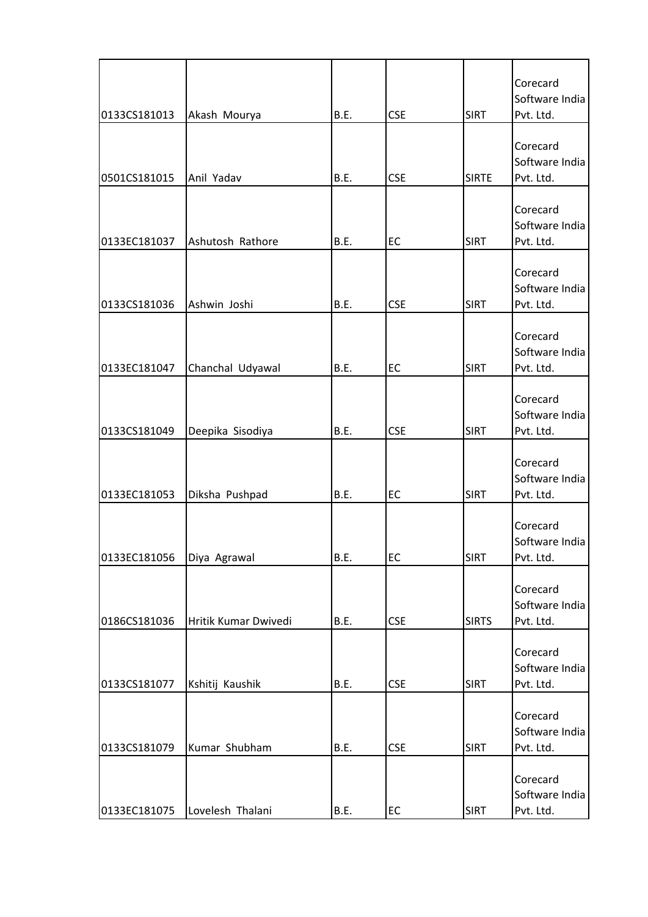| 0133CS181013 | Akash Mourya         | B.E. | <b>CSE</b> | <b>SIRT</b>  | Corecard<br>Software India<br>Pvt. Ltd. |
|--------------|----------------------|------|------------|--------------|-----------------------------------------|
| 0501CS181015 | Anil Yadav           | B.E. | <b>CSE</b> | <b>SIRTE</b> | Corecard<br>Software India<br>Pvt. Ltd. |
| 0133EC181037 | Ashutosh Rathore     | B.E. | EC         | <b>SIRT</b>  | Corecard<br>Software India<br>Pvt. Ltd. |
| 0133CS181036 | Ashwin Joshi         | B.E. | <b>CSE</b> | <b>SIRT</b>  | Corecard<br>Software India<br>Pvt. Ltd. |
| 0133EC181047 | Chanchal Udyawal     | B.E. | EC         | <b>SIRT</b>  | Corecard<br>Software India<br>Pvt. Ltd. |
| 0133CS181049 | Deepika Sisodiya     | B.E. | <b>CSE</b> | <b>SIRT</b>  | Corecard<br>Software India<br>Pvt. Ltd. |
| 0133EC181053 | Diksha Pushpad       | B.E. | EC         | <b>SIRT</b>  | Corecard<br>Software India<br>Pvt. Ltd. |
| 0133EC181056 | Diya Agrawal         | B.E. | EC         | <b>SIRT</b>  | Corecard<br>Software India<br>Pvt. Ltd. |
| 0186CS181036 | Hritik Kumar Dwivedi | B.E. | <b>CSE</b> | <b>SIRTS</b> | Corecard<br>Software India<br>Pvt. Ltd. |
| 0133CS181077 | Kshitij Kaushik      | B.E. | <b>CSE</b> | <b>SIRT</b>  | Corecard<br>Software India<br>Pvt. Ltd. |
| 0133CS181079 | Kumar Shubham        | B.E. | <b>CSE</b> | <b>SIRT</b>  | Corecard<br>Software India<br>Pvt. Ltd. |
| 0133EC181075 | Lovelesh Thalani     | B.E. | EC         | <b>SIRT</b>  | Corecard<br>Software India<br>Pvt. Ltd. |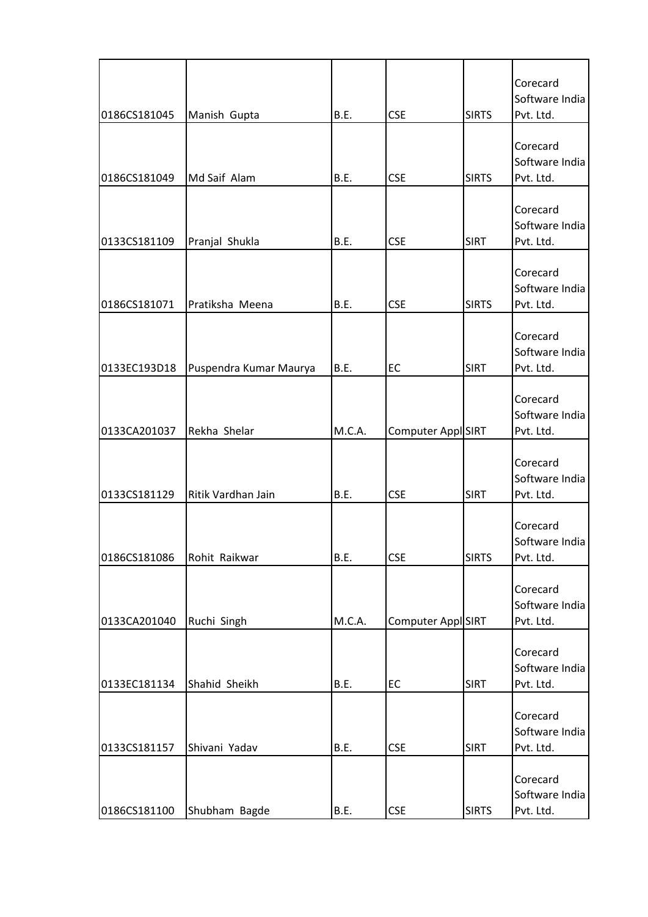| 0186CS181045 | Manish Gupta           | B.E.   | <b>CSE</b>         | <b>SIRTS</b> | Corecard<br>Software India<br>Pvt. Ltd. |
|--------------|------------------------|--------|--------------------|--------------|-----------------------------------------|
| 0186CS181049 | Md Saif Alam           | B.E.   | <b>CSE</b>         | <b>SIRTS</b> | Corecard<br>Software India<br>Pvt. Ltd. |
| 0133CS181109 | Pranjal Shukla         | B.E.   | <b>CSE</b>         | <b>SIRT</b>  | Corecard<br>Software India<br>Pvt. Ltd. |
| 0186CS181071 | Pratiksha Meena        | B.E.   | <b>CSE</b>         | <b>SIRTS</b> | Corecard<br>Software India<br>Pvt. Ltd. |
| 0133EC193D18 | Puspendra Kumar Maurya | B.E.   | EC                 | <b>SIRT</b>  | Corecard<br>Software India<br>Pvt. Ltd. |
| 0133CA201037 | Rekha Shelar           | M.C.A. | Computer Appl SIRT |              | Corecard<br>Software India<br>Pvt. Ltd. |
| 0133CS181129 | Ritik Vardhan Jain     | B.E.   | <b>CSE</b>         | <b>SIRT</b>  | Corecard<br>Software India<br>Pvt. Ltd. |
| 0186CS181086 | Rohit Raikwar          | B.E.   | <b>CSE</b>         | <b>SIRTS</b> | Corecard<br>Software India<br>Pvt. Ltd. |
| 0133CA201040 | Ruchi Singh            | M.C.A. | Computer Appl SIRT |              | Corecard<br>Software India<br>Pvt. Ltd. |
| 0133EC181134 | Shahid Sheikh          | B.E.   | EC                 | <b>SIRT</b>  | Corecard<br>Software India<br>Pvt. Ltd. |
| 0133CS181157 | Shivani Yadav          | B.E.   | <b>CSE</b>         | <b>SIRT</b>  | Corecard<br>Software India<br>Pvt. Ltd. |
| 0186CS181100 | Shubham Bagde          | B.E.   | <b>CSE</b>         | <b>SIRTS</b> | Corecard<br>Software India<br>Pvt. Ltd. |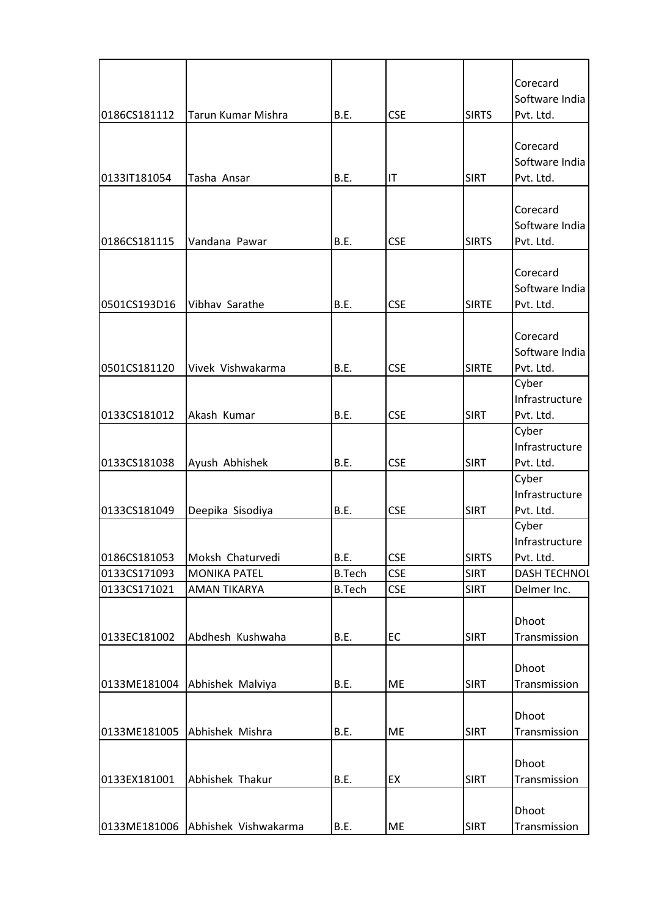|              |                                   |               |            |              | Corecard            |
|--------------|-----------------------------------|---------------|------------|--------------|---------------------|
|              |                                   |               |            |              | Software India      |
| 0186CS181112 | <b>Tarun Kumar Mishra</b>         | B.E.          | <b>CSE</b> | <b>SIRTS</b> | Pvt. Ltd.           |
|              |                                   |               |            |              |                     |
|              |                                   |               |            |              | Corecard            |
|              |                                   |               |            |              | Software India      |
| 0133IT181054 | Tasha Ansar                       | B.E.          | IT         | <b>SIRT</b>  | Pvt. Ltd.           |
|              |                                   |               |            |              |                     |
|              |                                   |               |            |              | Corecard            |
|              |                                   |               |            |              | Software India      |
| 0186CS181115 | Vandana Pawar                     | B.E.          | <b>CSE</b> | <b>SIRTS</b> | Pvt. Ltd.           |
|              |                                   |               |            |              |                     |
|              |                                   |               |            |              | Corecard            |
|              |                                   |               |            |              | Software India      |
|              |                                   |               |            |              |                     |
| 0501CS193D16 | Vibhav Sarathe                    | B.E.          | <b>CSE</b> | <b>SIRTE</b> | Pvt. Ltd.           |
|              |                                   |               |            |              |                     |
|              |                                   |               |            |              | Corecard            |
|              |                                   |               |            |              | Software India      |
| 0501CS181120 | Vivek Vishwakarma                 | B.E.          | <b>CSE</b> | <b>SIRTE</b> | Pvt. Ltd.           |
|              |                                   |               |            |              | Cyber               |
|              |                                   |               |            |              | Infrastructure      |
| 0133CS181012 | Akash Kumar                       | B.E.          | <b>CSE</b> | <b>SIRT</b>  | Pvt. Ltd.           |
|              |                                   |               |            |              | Cyber               |
|              |                                   |               |            |              | Infrastructure      |
| 0133CS181038 | Ayush Abhishek                    | B.E.          | <b>CSE</b> | <b>SIRT</b>  | Pvt. Ltd.           |
|              |                                   |               |            |              | Cyber               |
|              |                                   |               |            |              | Infrastructure      |
| 0133CS181049 | Deepika Sisodiya                  | B.E.          | <b>CSE</b> | <b>SIRT</b>  | Pvt. Ltd.           |
|              |                                   |               |            |              | Cyber               |
|              |                                   |               |            |              | Infrastructure      |
| 0186CS181053 | Moksh Chaturvedi                  | B.E.          | <b>CSE</b> | <b>SIRTS</b> | Pvt. Ltd.           |
| 0133CS171093 | <b>MONIKA PATEL</b>               | <b>B.Tech</b> | <b>CSE</b> | <b>SIRT</b>  | <b>DASH TECHNOL</b> |
| 0133CS171021 | <b>AMAN TIKARYA</b>               | <b>B.Tech</b> | <b>CSE</b> | <b>SIRT</b>  | Delmer Inc.         |
|              |                                   |               |            |              |                     |
|              |                                   |               |            |              | Dhoot               |
| 0133EC181002 | Abdhesh Kushwaha                  | B.E.          | EC         | <b>SIRT</b>  | Transmission        |
|              |                                   |               |            |              |                     |
|              |                                   |               |            |              | Dhoot               |
| 0133ME181004 | Abhishek Malviya                  | B.E.          | <b>ME</b>  | <b>SIRT</b>  | Transmission        |
|              |                                   |               |            |              |                     |
|              |                                   |               |            |              |                     |
|              |                                   |               |            |              | Dhoot               |
| 0133ME181005 | Abhishek Mishra                   | B.E.          | <b>ME</b>  | <b>SIRT</b>  | Transmission        |
|              |                                   |               |            |              |                     |
|              |                                   |               |            |              | Dhoot               |
| 0133EX181001 | Abhishek Thakur                   | B.E.          | EX         | <b>SIRT</b>  | Transmission        |
|              |                                   |               |            |              |                     |
|              |                                   |               |            |              | Dhoot               |
|              | 0133ME181006 Abhishek Vishwakarma | B.E.          | ME         | <b>SIRT</b>  | Transmission        |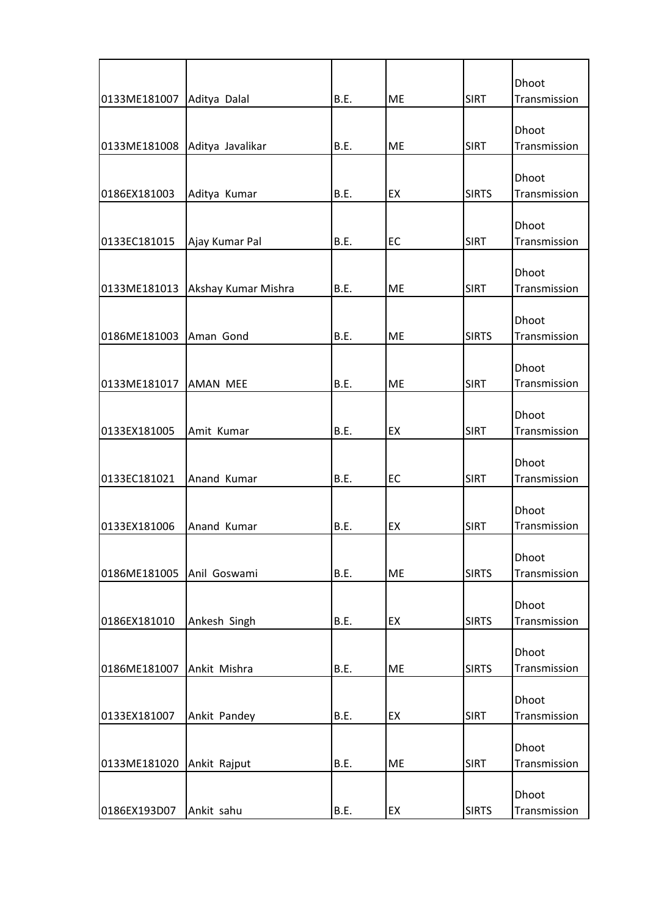| 0133ME181007                  | Aditya Dalal               | B.E.         | <b>ME</b>       | <b>SIRT</b>                 | Dhoot<br>Transmission                 |
|-------------------------------|----------------------------|--------------|-----------------|-----------------------------|---------------------------------------|
| 0133ME181008 Aditya Javalikar |                            | B.E.         | <b>ME</b>       | <b>SIRT</b>                 | Dhoot<br>Transmission                 |
| 0186EX181003                  | Aditya Kumar               | B.E.         | EX              | <b>SIRTS</b>                | Dhoot<br>Transmission                 |
| 0133EC181015                  | Ajay Kumar Pal             | <b>B.E.</b>  | <b>EC</b>       | <b>SIRT</b>                 | Dhoot<br>Transmission                 |
| 0133ME181013                  | Akshay Kumar Mishra        | B.E.         | <b>ME</b>       | <b>SIRT</b>                 | Dhoot<br>Transmission                 |
| 0186ME181003                  | Aman Gond                  | B.E.         | <b>ME</b>       | <b>SIRTS</b>                | Dhoot<br>Transmission                 |
| 0133ME181017                  | <b>AMAN MEE</b>            | <b>B.E.</b>  | <b>ME</b>       | <b>SIRT</b>                 | Dhoot<br>Transmission                 |
| 0133EX181005                  | Amit Kumar                 | <b>B.E.</b>  | EX              | <b>SIRT</b>                 | Dhoot<br>Transmission                 |
| 0133EC181021                  | Anand Kumar                | B.E.         | EC              | <b>SIRT</b>                 | Dhoot<br>Transmission                 |
| 0133EX181006                  | Anand Kumar                | B.E.         | EX              | <b>SIRT</b>                 | Dhoot<br>Transmission                 |
| 0186ME181005                  | Anil Goswami               | B.E.         | <b>ME</b>       | <b>SIRTS</b>                | Dhoot<br>Transmission                 |
| 0186EX181010                  | Ankesh Singh               | B.E.         | EX              | <b>SIRTS</b>                | Dhoot<br>Transmission                 |
| 0186ME181007                  | Ankit Mishra               | B.E.         | <b>ME</b>       | <b>SIRTS</b>                | Dhoot<br>Transmission                 |
| 0133EX181007                  | Ankit Pandey               | B.E.         | EX              | <b>SIRT</b>                 | Dhoot<br>Transmission                 |
|                               |                            |              |                 |                             | Dhoot                                 |
| 0133ME181020<br>0186EX193D07  | Ankit Rajput<br>Ankit sahu | B.E.<br>B.E. | <b>ME</b><br>EX | <b>SIRT</b><br><b>SIRTS</b> | Transmission<br>Dhoot<br>Transmission |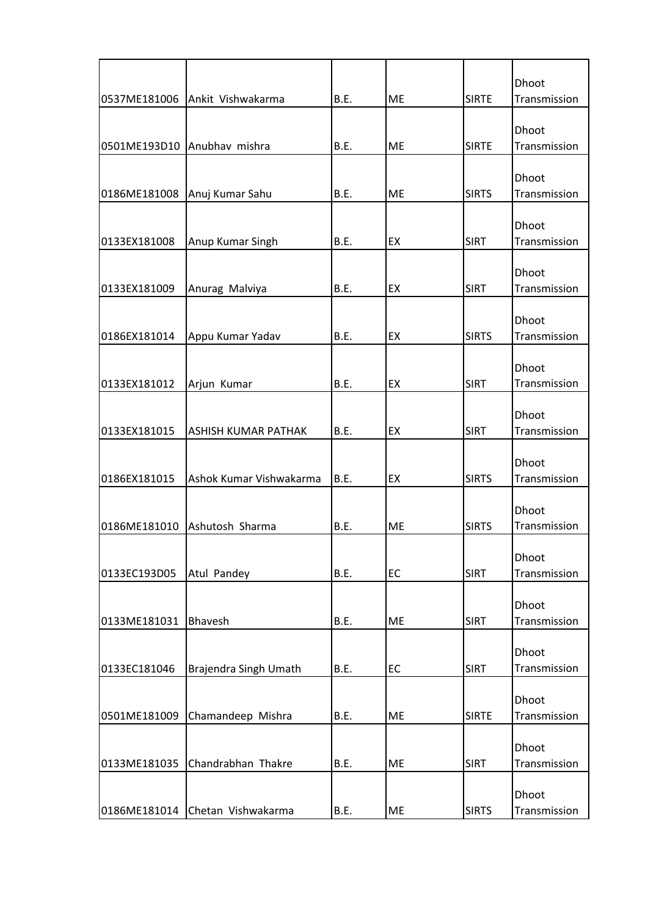|              | 0537ME181006 Ankit Vishwakarma  | <b>B.E.</b> | <b>ME</b> | <b>SIRTE</b> | Dhoot<br>Transmission        |
|--------------|---------------------------------|-------------|-----------|--------------|------------------------------|
|              | 0501ME193D10 Anubhav mishra     | B.E.        | <b>ME</b> | <b>SIRTE</b> | Dhoot<br>Transmission        |
| 0186ME181008 | Anuj Kumar Sahu                 | B.E.        | <b>ME</b> | <b>SIRTS</b> | Dhoot<br>Transmission        |
| 0133EX181008 | Anup Kumar Singh                | <b>B.E.</b> | EX        | <b>SIRT</b>  | Dhoot<br>Transmission        |
| 0133EX181009 | Anurag Malviya                  | B.E.        | EX        | <b>SIRT</b>  | <b>Dhoot</b><br>Transmission |
| 0186EX181014 | Appu Kumar Yadav                | <b>B.E.</b> | EX        | <b>SIRTS</b> | Dhoot<br>Transmission        |
| 0133EX181012 | Arjun Kumar                     | B.E.        | EX        | <b>SIRT</b>  | Dhoot<br>Transmission        |
| 0133EX181015 | ASHISH KUMAR PATHAK             | <b>B.E.</b> | EX        | <b>SIRT</b>  | Dhoot<br>Transmission        |
| 0186EX181015 | Ashok Kumar Vishwakarma         | B.E.        | EX        | <b>SIRTS</b> | Dhoot<br>Transmission        |
| 0186ME181010 | Ashutosh Sharma                 | B.E.        | <b>ME</b> | <b>SIRTS</b> | Dhoot<br>Transmission        |
| 0133EC193D05 | Atul Pandey                     | B.E.        | EC        | <b>SIRT</b>  | Dhoot<br>Transmission        |
| 0133ME181031 | Bhavesh                         | B.E.        | <b>ME</b> | <b>SIRT</b>  | Dhoot<br>Transmission        |
| 0133EC181046 | Brajendra Singh Umath           | B.E.        | EC        | <b>SIRT</b>  | Dhoot<br>Transmission        |
|              |                                 |             |           |              | Dhoot                        |
| 0501ME181009 | Chamandeep Mishra               | B.E.        | <b>ME</b> | <b>SIRTE</b> | Transmission<br>Dhoot        |
| 0133ME181035 | Chandrabhan Thakre              | B.E.        | <b>ME</b> | <b>SIRT</b>  | Transmission<br>Dhoot        |
|              | 0186ME181014 Chetan Vishwakarma | B.E.        | <b>ME</b> | <b>SIRTS</b> | Transmission                 |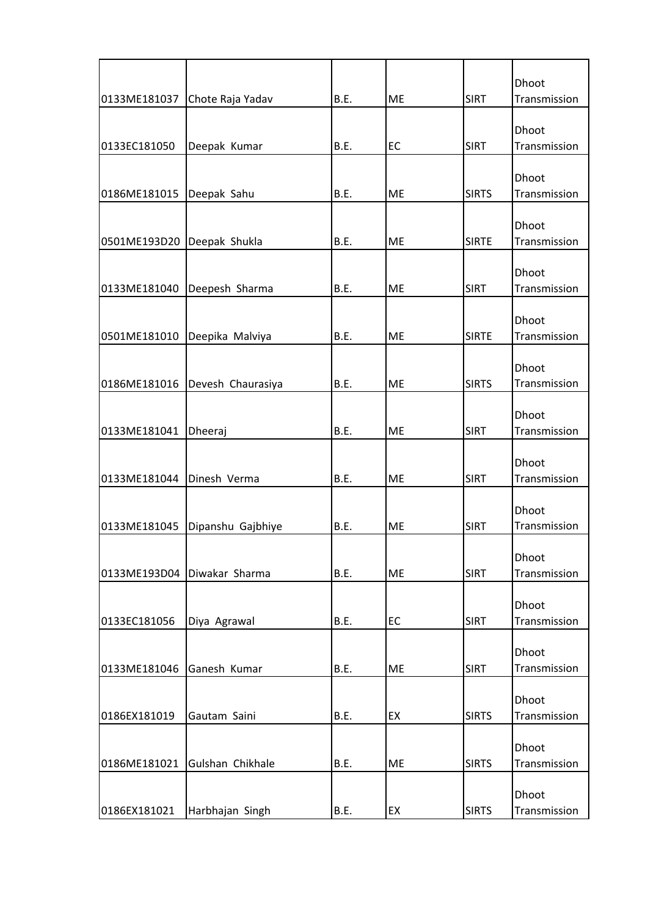| 0133ME181037 | Chote Raja Yadav  | B.E.        | <b>ME</b> | <b>SIRT</b>  | Dhoot<br>Transmission |
|--------------|-------------------|-------------|-----------|--------------|-----------------------|
| 0133EC181050 | Deepak Kumar      | B.E.        | EC        | <b>SIRT</b>  | Dhoot<br>Transmission |
| 0186ME181015 | Deepak Sahu       | B.E.        | <b>ME</b> | <b>SIRTS</b> | Dhoot<br>Transmission |
| 0501ME193D20 | Deepak Shukla     | <b>B.E.</b> | <b>ME</b> | <b>SIRTE</b> | Dhoot<br>Transmission |
| 0133ME181040 | Deepesh Sharma    | B.E.        | <b>ME</b> | <b>SIRT</b>  | Dhoot<br>Transmission |
| 0501ME181010 | Deepika Malviya   | B.E.        | <b>ME</b> | <b>SIRTE</b> | Dhoot<br>Transmission |
| 0186ME181016 | Devesh Chaurasiya | B.E.        | <b>ME</b> | <b>SIRTS</b> | Dhoot<br>Transmission |
| 0133ME181041 | Dheeraj           | <b>B.E.</b> | <b>ME</b> | <b>SIRT</b>  | Dhoot<br>Transmission |
| 0133ME181044 | Dinesh Verma      | B.E.        | <b>ME</b> | <b>SIRT</b>  | Dhoot<br>Transmission |
| 0133ME181045 | Dipanshu Gajbhiye | B.E.        | <b>ME</b> | <b>SIRT</b>  | Dhoot<br>Transmission |
| 0133ME193D04 | Diwakar Sharma    | B.E.        | <b>ME</b> | <b>SIRT</b>  | Dhoot<br>Transmission |
| 0133EC181056 | Diya Agrawal      | B.E.        | EC        | <b>SIRT</b>  | Dhoot<br>Transmission |
| 0133ME181046 | Ganesh Kumar      | B.E.        | <b>ME</b> | <b>SIRT</b>  | Dhoot<br>Transmission |
|              |                   |             |           |              | Dhoot                 |
| 0186EX181019 | Gautam Saini      | B.E.        | EX        | <b>SIRTS</b> | Transmission<br>Dhoot |
| 0186ME181021 | Gulshan Chikhale  | B.E.        | <b>ME</b> | <b>SIRTS</b> | Transmission<br>Dhoot |
| 0186EX181021 | Harbhajan Singh   | B.E.        | EX        | <b>SIRTS</b> | Transmission          |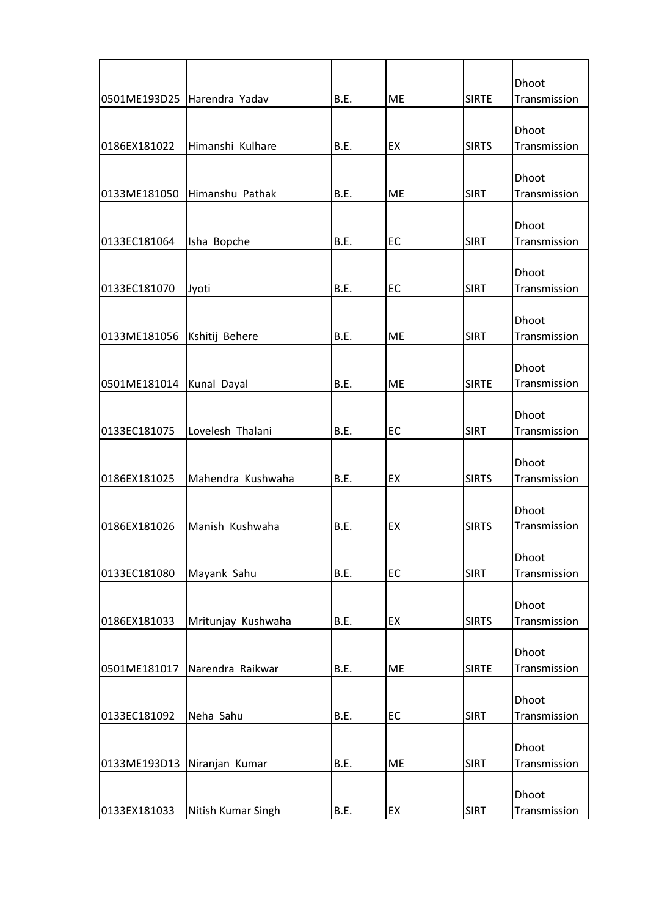|                              | 0501ME193D25 Harendra Yadav          | B.E.         | <b>ME</b> | <b>SIRTE</b>               | Dhoot<br>Transmission |
|------------------------------|--------------------------------------|--------------|-----------|----------------------------|-----------------------|
| 0186EX181022                 | Himanshi Kulhare                     | B.E.         | EX        | <b>SIRTS</b>               | Dhoot<br>Transmission |
| 0133ME181050                 | Himanshu Pathak                      | B.E.         | <b>ME</b> | <b>SIRT</b>                | Dhoot<br>Transmission |
| 0133EC181064                 | Isha Bopche                          | B.E.         | EC        | <b>SIRT</b>                | Dhoot<br>Transmission |
| 0133EC181070                 | Jyoti                                | B.E.         | EC        | <b>SIRT</b>                | Dhoot<br>Transmission |
| 0133ME181056                 | Kshitij Behere                       | B.E.         | <b>ME</b> | <b>SIRT</b>                | Dhoot<br>Transmission |
| 0501ME181014                 | Kunal Dayal                          | B.E.         | <b>ME</b> | <b>SIRTE</b>               | Dhoot<br>Transmission |
| 0133EC181075                 | Lovelesh Thalani                     | B.E.         | EC        | <b>SIRT</b>                | Dhoot<br>Transmission |
| 0186EX181025                 | Mahendra Kushwaha                    | <b>B.E.</b>  | EX        | <b>SIRTS</b>               | Dhoot<br>Transmission |
| 0186EX181026                 | Manish Kushwaha                      | B.E.         | EX        | <b>SIRTS</b>               | Dhoot<br>Transmission |
| 0133EC181080                 | Mayank Sahu                          | B.E.         | EC        | <b>SIRT</b>                | Dhoot<br>Transmission |
| 0186EX181033                 | Mritunjay Kushwaha                   | B.E.         | EX        | <b>SIRTS</b>               | Dhoot<br>Transmission |
| 0501ME181017                 | Narendra Raikwar                     | B.E.         | <b>ME</b> | <b>SIRTE</b>               | Dhoot<br>Transmission |
| 0133EC181092                 | Neha Sahu                            | B.E.         | EC        | <b>SIRT</b>                | Dhoot<br>Transmission |
|                              |                                      |              | <b>ME</b> |                            | Dhoot<br>Transmission |
| 0133ME193D13<br>0133EX181033 | Niranjan Kumar<br>Nitish Kumar Singh | B.E.<br>B.E. | EX        | <b>SIRT</b><br><b>SIRT</b> | Dhoot<br>Transmission |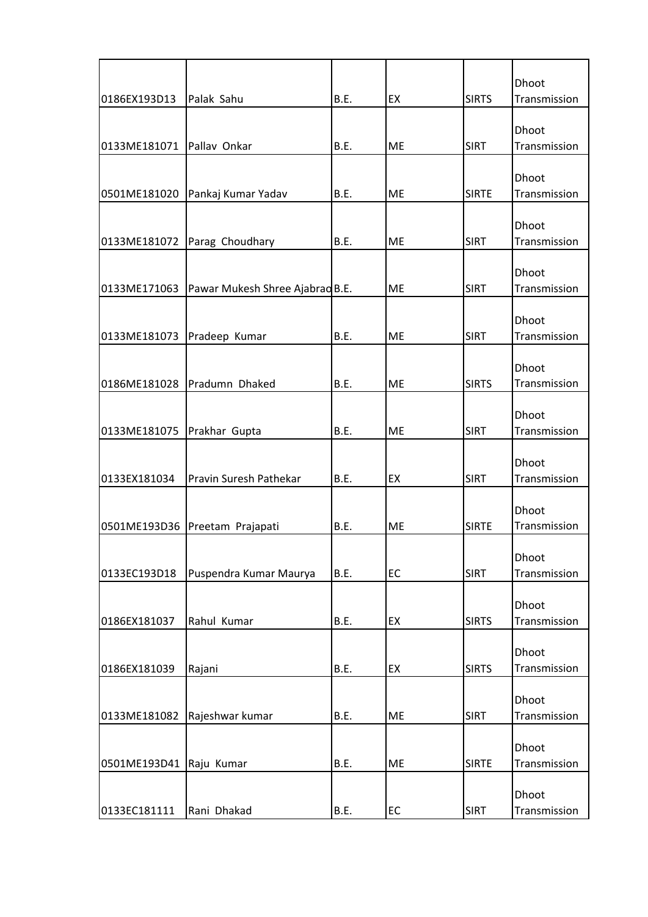| 0186EX193D13                 | Palak Sahu                      | B.E.         | EX                     | <b>SIRTS</b>                | Dhoot<br>Transmission                 |
|------------------------------|---------------------------------|--------------|------------------------|-----------------------------|---------------------------------------|
| 0133ME181071 Pallav Onkar    |                                 | B.E.         | <b>ME</b>              | <b>SIRT</b>                 | Dhoot<br>Transmission                 |
| 0501ME181020                 | Pankaj Kumar Yadav              | B.E.         | <b>ME</b>              | <b>SIRTE</b>                | Dhoot<br>Transmission                 |
| 0133ME181072                 | Parag Choudhary                 | B.E.         | <b>ME</b>              | <b>SIRT</b>                 | Dhoot<br>Transmission                 |
| 0133ME171063                 | Pawar Mukesh Shree Ajabrad B.E. |              | <b>ME</b>              | <b>SIRT</b>                 | Dhoot<br>Transmission                 |
| 0133ME181073                 | Pradeep Kumar                   | B.E.         | <b>ME</b>              | <b>SIRT</b>                 | Dhoot<br>Transmission                 |
| 0186ME181028                 | Pradumn Dhaked                  | B.E.         | <b>ME</b>              | <b>SIRTS</b>                | Dhoot<br>Transmission                 |
| 0133ME181075                 | Prakhar Gupta                   | B.E.         | <b>ME</b>              | <b>SIRT</b>                 | Dhoot<br>Transmission                 |
| 0133EX181034                 | Pravin Suresh Pathekar          | <b>B.E.</b>  | EX                     | <b>SIRT</b>                 | Dhoot<br>Transmission                 |
| 0501ME193D36                 | Preetam Prajapati               | B.E.         | <b>ME</b>              | <b>SIRTE</b>                | Dhoot<br>Transmission                 |
| 0133EC193D18                 | Puspendra Kumar Maurya          | B.E.         | EC                     | <b>SIRT</b>                 | Dhoot<br>Transmission                 |
| 0186EX181037                 | Rahul Kumar                     | B.E.         | EX                     | <b>SIRTS</b>                | Dhoot<br>Transmission                 |
| 0186EX181039                 | Rajani                          | B.E.         | EX                     | <b>SIRTS</b>                | Dhoot<br>Transmission                 |
| 0133ME181082                 | Rajeshwar kumar                 | B.E.         | ME                     | <b>SIRT</b>                 | Dhoot<br>Transmission                 |
|                              |                                 |              |                        |                             | Dhoot                                 |
| 0501ME193D41<br>0133EC181111 | Raju Kumar<br>Rani Dhakad       | B.E.<br>B.E. | <b>ME</b><br><b>EC</b> | <b>SIRTE</b><br><b>SIRT</b> | Transmission<br>Dhoot<br>Transmission |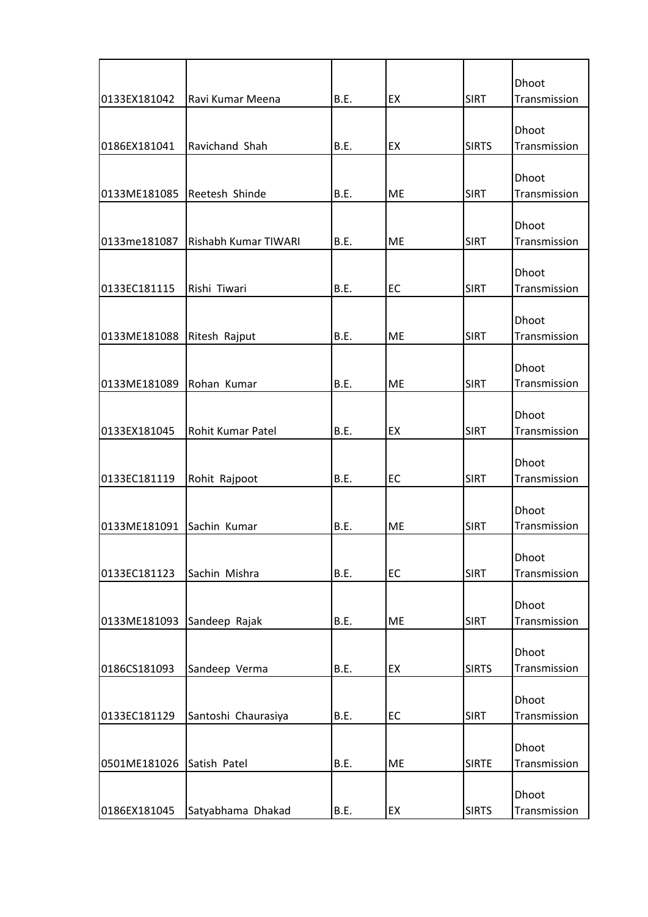| 0133EX181042 | Ravi Kumar Meena     | B.E.        | EX        | <b>SIRT</b>  | Dhoot<br>Transmission |
|--------------|----------------------|-------------|-----------|--------------|-----------------------|
| 0186EX181041 | Ravichand Shah       | B.E.        | EX        | <b>SIRTS</b> | Dhoot<br>Transmission |
| 0133ME181085 | Reetesh Shinde       | B.E.        | <b>ME</b> | <b>SIRT</b>  | Dhoot<br>Transmission |
| 0133me181087 | Rishabh Kumar TIWARI | <b>B.E.</b> | <b>ME</b> | <b>SIRT</b>  | Dhoot<br>Transmission |
| 0133EC181115 | Rishi Tiwari         | B.E.        | EC        | <b>SIRT</b>  | Dhoot<br>Transmission |
| 0133ME181088 | Ritesh Rajput        | <b>B.E.</b> | <b>ME</b> | <b>SIRT</b>  | Dhoot<br>Transmission |
| 0133ME181089 | Rohan Kumar          | B.E.        | <b>ME</b> | <b>SIRT</b>  | Dhoot<br>Transmission |
| 0133EX181045 | Rohit Kumar Patel    | B.E.        | EX        | <b>SIRT</b>  | Dhoot<br>Transmission |
| 0133EC181119 | Rohit Rajpoot        | B.E.        | EC        | <b>SIRT</b>  | Dhoot<br>Transmission |
| 0133ME181091 | Sachin Kumar         | B.E.        | <b>ME</b> | <b>SIRT</b>  | Dhoot<br>Transmission |
| 0133EC181123 | Sachin Mishra        | B.E.        | EC        | <b>SIRT</b>  | Dhoot<br>Transmission |
| 0133ME181093 | Sandeep Rajak        | B.E.        | ME        | <b>SIRT</b>  | Dhoot<br>Transmission |
| 0186CS181093 | Sandeep Verma        | B.E.        | EX        | <b>SIRTS</b> | Dhoot<br>Transmission |
| 0133EC181129 | Santoshi Chaurasiya  | B.E.        | EC        | <b>SIRT</b>  | Dhoot<br>Transmission |
| 0501ME181026 | Satish Patel         | B.E.        | ME        | <b>SIRTE</b> | Dhoot<br>Transmission |
| 0186EX181045 | Satyabhama Dhakad    | B.E.        | EX        | <b>SIRTS</b> | Dhoot<br>Transmission |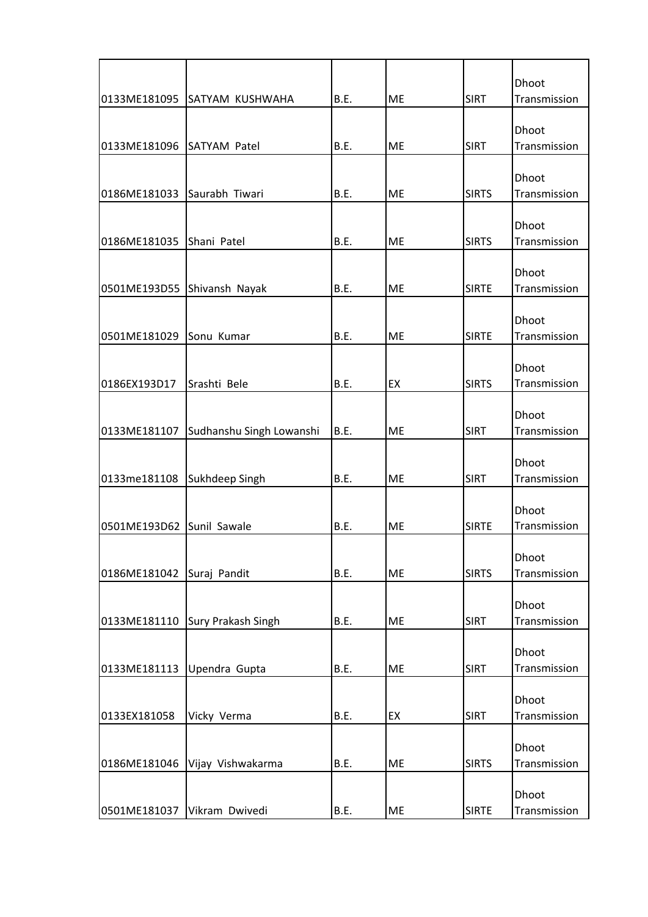| 0133ME181095              | SATYAM KUSHWAHA             | <b>B.E.</b> | <b>ME</b> | <b>SIRT</b>  | Dhoot<br>Transmission |
|---------------------------|-----------------------------|-------------|-----------|--------------|-----------------------|
| 0133ME181096 SATYAM Patel |                             | B.E.        | <b>ME</b> | <b>SIRT</b>  | Dhoot<br>Transmission |
| 0186ME181033              | Saurabh Tiwari              | B.E.        | <b>ME</b> | <b>SIRTS</b> | Dhoot<br>Transmission |
| 0186ME181035              | Shani Patel                 | <b>B.E.</b> | <b>ME</b> | <b>SIRTS</b> | Dhoot<br>Transmission |
|                           | 0501ME193D55 Shivansh Nayak | B.E.        | <b>ME</b> | <b>SIRTE</b> | Dhoot<br>Transmission |
| 0501ME181029              | Sonu Kumar                  | <b>B.E.</b> | <b>ME</b> | <b>SIRTE</b> | Dhoot<br>Transmission |
| 0186EX193D17              | Srashti Bele                | B.E.        | EX        | <b>SIRTS</b> | Dhoot<br>Transmission |
| 0133ME181107              | Sudhanshu Singh Lowanshi    | B.E.        | <b>ME</b> | <b>SIRT</b>  | Dhoot<br>Transmission |
| 0133me181108              | Sukhdeep Singh              | <b>B.E.</b> | <b>ME</b> | <b>SIRT</b>  | Dhoot<br>Transmission |
| 0501ME193D62 Sunil Sawale |                             | B.E.        | <b>ME</b> | <b>SIRTE</b> | Dhoot<br>Transmission |
| 0186ME181042              | Suraj Pandit                | B.E.        | <b>ME</b> | <b>SIRTS</b> | Dhoot<br>Transmission |
| 0133ME181110              | Sury Prakash Singh          | B.E.        | <b>ME</b> | <b>SIRT</b>  | Dhoot<br>Transmission |
| 0133ME181113              | Upendra Gupta               | B.E.        | <b>ME</b> | <b>SIRT</b>  | Dhoot<br>Transmission |
|                           |                             |             |           |              | Dhoot                 |
| 0133EX181058              | Vicky Verma                 | B.E.        | EX        | <b>SIRT</b>  | Transmission<br>Dhoot |
| 0186ME181046              | Vijay Vishwakarma           | B.E.        | <b>ME</b> | <b>SIRTS</b> | Transmission<br>Dhoot |
| 0501ME181037              | Vikram Dwivedi              | B.E.        | <b>ME</b> | <b>SIRTE</b> | Transmission          |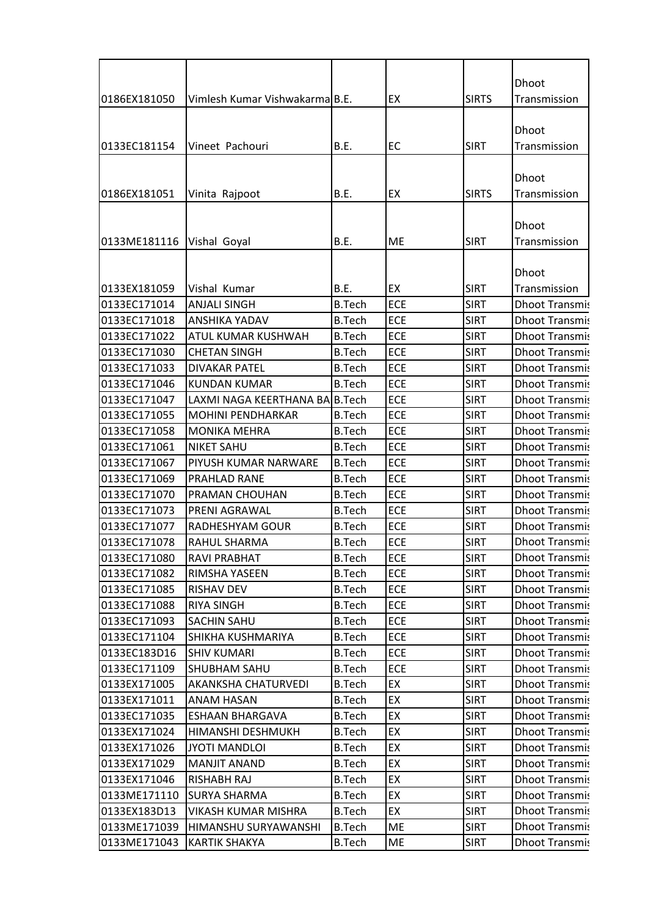|              |                                |               |            |              | <b>Dhoot</b>          |
|--------------|--------------------------------|---------------|------------|--------------|-----------------------|
| 0186EX181050 | Vimlesh Kumar Vishwakarma B.E. |               | EX         | <b>SIRTS</b> | Transmission          |
|              |                                |               |            |              |                       |
|              |                                |               |            |              | <b>Dhoot</b>          |
| 0133EC181154 | Vineet Pachouri                | B.E.          | EC         | <b>SIRT</b>  | Transmission          |
|              |                                |               |            |              |                       |
|              |                                |               |            |              | Dhoot                 |
| 0186EX181051 | Vinita Rajpoot                 | B.E.          | EX         | <b>SIRTS</b> | Transmission          |
|              |                                |               |            |              |                       |
|              |                                |               |            |              | <b>Dhoot</b>          |
| 0133ME181116 | Vishal Goyal                   | B.E.          | ME         | <b>SIRT</b>  | Transmission          |
|              |                                |               |            |              |                       |
|              |                                |               |            |              | Dhoot                 |
| 0133EX181059 | Vishal Kumar                   | B.E.          | EX         | <b>SIRT</b>  | Transmission          |
| 0133EC171014 | <b>ANJALI SINGH</b>            | <b>B.Tech</b> | ECE        | <b>SIRT</b>  | <b>Dhoot Transmis</b> |
| 0133EC171018 | <b>ANSHIKA YADAV</b>           | <b>B.Tech</b> | ECE        | <b>SIRT</b>  | <b>Dhoot Transmis</b> |
| 0133EC171022 | ATUL KUMAR KUSHWAH             | <b>B.Tech</b> | ECE        | <b>SIRT</b>  | <b>Dhoot Transmis</b> |
| 0133EC171030 | <b>CHETAN SINGH</b>            | <b>B.Tech</b> | ECE        | <b>SIRT</b>  | <b>Dhoot Transmis</b> |
| 0133EC171033 | <b>DIVAKAR PATEL</b>           | <b>B.Tech</b> | ECE        | <b>SIRT</b>  | <b>Dhoot Transmis</b> |
| 0133EC171046 | <b>KUNDAN KUMAR</b>            | <b>B.Tech</b> | ECE        | <b>SIRT</b>  | <b>Dhoot Transmis</b> |
| 0133EC171047 | LAXMI NAGA KEERTHANA BA B.Tech |               | ECE        | <b>SIRT</b>  | <b>Dhoot Transmis</b> |
| 0133EC171055 | <b>MOHINI PENDHARKAR</b>       | <b>B.Tech</b> | ECE        | <b>SIRT</b>  | <b>Dhoot Transmis</b> |
| 0133EC171058 | <b>MONIKA MEHRA</b>            | <b>B.Tech</b> | ECE        | <b>SIRT</b>  | <b>Dhoot Transmis</b> |
| 0133EC171061 | <b>NIKET SAHU</b>              | <b>B.Tech</b> | ECE        | <b>SIRT</b>  | <b>Dhoot Transmis</b> |
| 0133EC171067 | PIYUSH KUMAR NARWARE           | <b>B.Tech</b> | ECE        | <b>SIRT</b>  | <b>Dhoot Transmis</b> |
| 0133EC171069 | PRAHLAD RANE                   | <b>B.Tech</b> | ECE        | <b>SIRT</b>  | <b>Dhoot Transmis</b> |
| 0133EC171070 | PRAMAN CHOUHAN                 | <b>B.Tech</b> | ECE        | <b>SIRT</b>  | <b>Dhoot Transmis</b> |
| 0133EC171073 | <b>PRENI AGRAWAL</b>           | <b>B.Tech</b> | ECE        | <b>SIRT</b>  | <b>Dhoot Transmis</b> |
| 0133EC171077 | RADHESHYAM GOUR                | <b>B.Tech</b> | ECE        | <b>SIRT</b>  | <b>Dhoot Transmis</b> |
| 0133EC171078 | <b>RAHUL SHARMA</b>            | <b>B.Tech</b> | ECE        | <b>SIRT</b>  | <b>Dhoot Transmis</b> |
| 0133EC171080 | <b>RAVI PRABHAT</b>            | <b>B.Tech</b> | ECE        | <b>SIRT</b>  | <b>Dhoot Transmis</b> |
| 0133EC171082 | RIMSHA YASEEN                  | <b>B.Tech</b> | ECE        | <b>SIRT</b>  | <b>Dhoot Transmis</b> |
| 0133EC171085 | <b>RISHAV DEV</b>              | <b>B.Tech</b> | ECE        | <b>SIRT</b>  | Dhoot Transmis        |
| 0133EC171088 | RIYA SINGH                     | <b>B.Tech</b> | ECE        | <b>SIRT</b>  | <b>Dhoot Transmis</b> |
| 0133EC171093 | <b>SACHIN SAHU</b>             | <b>B.Tech</b> | ECE        | <b>SIRT</b>  | <b>Dhoot Transmis</b> |
| 0133EC171104 | SHIKHA KUSHMARIYA              | <b>B.Tech</b> | <b>ECE</b> | <b>SIRT</b>  | Dhoot Transmis        |
| 0133EC183D16 | <b>SHIV KUMARI</b>             | <b>B.Tech</b> | ECE        | <b>SIRT</b>  | <b>Dhoot Transmis</b> |
| 0133EC171109 | <b>SHUBHAM SAHU</b>            | <b>B.Tech</b> | ECE        | <b>SIRT</b>  | <b>Dhoot Transmis</b> |
| 0133EX171005 | AKANKSHA CHATURVEDI            | <b>B.Tech</b> | EX         | <b>SIRT</b>  | <b>Dhoot Transmis</b> |
| 0133EX171011 | <b>ANAM HASAN</b>              | <b>B.Tech</b> | EX         | <b>SIRT</b>  | <b>Dhoot Transmis</b> |
| 0133EC171035 | <b>ESHAAN BHARGAVA</b>         | <b>B.Tech</b> | EX         | <b>SIRT</b>  | <b>Dhoot Transmis</b> |
| 0133EX171024 | HIMANSHI DESHMUKH              | <b>B.Tech</b> | EX         | <b>SIRT</b>  | <b>Dhoot Transmis</b> |
| 0133EX171026 | <b>JYOTI MANDLOI</b>           | <b>B.Tech</b> | EX         | <b>SIRT</b>  | <b>Dhoot Transmis</b> |
| 0133EX171029 | <b>MANJIT ANAND</b>            | <b>B.Tech</b> | EX         | <b>SIRT</b>  | <b>Dhoot Transmis</b> |
| 0133EX171046 | RISHABH RAJ                    | <b>B.Tech</b> | EX         | <b>SIRT</b>  | Dhoot Transmis        |
| 0133ME171110 | <b>SURYA SHARMA</b>            | <b>B.Tech</b> | EX         | <b>SIRT</b>  | <b>Dhoot Transmis</b> |
| 0133EX183D13 | VIKASH KUMAR MISHRA            | <b>B.Tech</b> | EX         | <b>SIRT</b>  | <b>Dhoot Transmis</b> |
| 0133ME171039 | HIMANSHU SURYAWANSHI           | <b>B.Tech</b> | ME         | <b>SIRT</b>  | <b>Dhoot Transmis</b> |
| 0133ME171043 | <b>KARTIK SHAKYA</b>           | <b>B.Tech</b> | <b>ME</b>  | <b>SIRT</b>  | Dhoot Transmis        |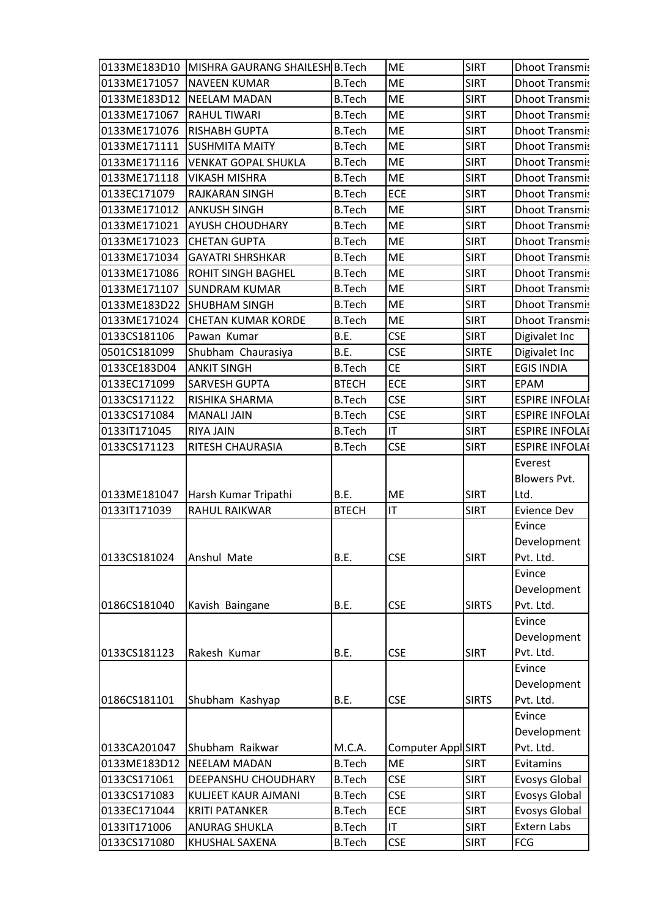|                              | 0133ME183D10 MISHRA GAURANG SHAILESH B.Tech |               | <b>ME</b>          | <b>SIRT</b>  | <b>Dhoot Transmis</b> |
|------------------------------|---------------------------------------------|---------------|--------------------|--------------|-----------------------|
| 0133ME171057                 | NAVEEN KUMAR                                | <b>B.Tech</b> | <b>ME</b>          | <b>SIRT</b>  | <b>Dhoot Transmis</b> |
|                              | 0133ME183D12 NEELAM MADAN                   | <b>B.Tech</b> | ME                 | <b>SIRT</b>  | <b>Dhoot Transmis</b> |
| 0133ME171067                 | <b>RAHUL TIWARI</b>                         | <b>B.Tech</b> | <b>ME</b>          | <b>SIRT</b>  | <b>Dhoot Transmis</b> |
| 0133ME171076                 | <b>RISHABH GUPTA</b>                        | <b>B.Tech</b> | <b>ME</b>          | <b>SIRT</b>  | <b>Dhoot Transmis</b> |
| 0133ME171111                 | <b>SUSHMITA MAITY</b>                       | <b>B.Tech</b> | ME                 | <b>SIRT</b>  | <b>Dhoot Transmis</b> |
| 0133ME171116                 | <b>VENKAT GOPAL SHUKLA</b>                  | <b>B.Tech</b> | ME                 | <b>SIRT</b>  | <b>Dhoot Transmis</b> |
| 0133ME171118                 | <b>VIKASH MISHRA</b>                        | <b>B.Tech</b> | <b>ME</b>          | <b>SIRT</b>  | <b>Dhoot Transmis</b> |
| 0133EC171079                 | RAJKARAN SINGH                              | <b>B.Tech</b> | ECE                | <b>SIRT</b>  | <b>Dhoot Transmis</b> |
| 0133ME171012                 | <b>ANKUSH SINGH</b>                         | <b>B.Tech</b> | ME                 | <b>SIRT</b>  | <b>Dhoot Transmis</b> |
| 0133ME171021                 | <b>AYUSH CHOUDHARY</b>                      | <b>B.Tech</b> | ME                 | <b>SIRT</b>  | <b>Dhoot Transmis</b> |
| 0133ME171023                 | <b>CHETAN GUPTA</b>                         | <b>B.Tech</b> | <b>ME</b>          | <b>SIRT</b>  | <b>Dhoot Transmis</b> |
| 0133ME171034                 | <b>GAYATRI SHRSHKAR</b>                     | <b>B.Tech</b> | <b>ME</b>          | <b>SIRT</b>  | <b>Dhoot Transmis</b> |
| 0133ME171086                 | <b>ROHIT SINGH BAGHEL</b>                   | <b>B.Tech</b> | <b>ME</b>          | <b>SIRT</b>  | <b>Dhoot Transmis</b> |
| 0133ME171107                 | <b>SUNDRAM KUMAR</b>                        | <b>B.Tech</b> | ME                 | <b>SIRT</b>  | <b>Dhoot Transmis</b> |
| 0133ME183D22                 | <b>SHUBHAM SINGH</b>                        | <b>B.Tech</b> | <b>ME</b>          | <b>SIRT</b>  | <b>Dhoot Transmis</b> |
| 0133ME171024                 | <b>CHETAN KUMAR KORDE</b>                   | <b>B.Tech</b> | ME                 | <b>SIRT</b>  | <b>Dhoot Transmis</b> |
| 0133CS181106                 | Pawan Kumar                                 | B.E.          | <b>CSE</b>         | <b>SIRT</b>  | Digivalet Inc         |
| 0501CS181099                 | Shubham Chaurasiya                          | B.E.          | <b>CSE</b>         | <b>SIRTE</b> | Digivalet Inc         |
| 0133CE183D04                 | <b>ANKIT SINGH</b>                          | <b>B.Tech</b> | <b>CE</b>          | <b>SIRT</b>  | <b>EGIS INDIA</b>     |
| 0133EC171099                 | <b>SARVESH GUPTA</b>                        | <b>BTECH</b>  | ECE                | <b>SIRT</b>  | <b>EPAM</b>           |
| 0133CS171122                 | RISHIKA SHARMA                              | <b>B.Tech</b> | <b>CSE</b>         | <b>SIRT</b>  | <b>ESPIRE INFOLAI</b> |
| 0133CS171084                 | <b>MANALI JAIN</b>                          | <b>B.Tech</b> | <b>CSE</b>         | <b>SIRT</b>  | <b>ESPIRE INFOLAI</b> |
| 0133IT171045                 | RIYA JAIN                                   | <b>B.Tech</b> | IT.                | <b>SIRT</b>  | <b>ESPIRE INFOLAE</b> |
|                              | RITESH CHAURASIA                            |               | <b>CSE</b>         | <b>SIRT</b>  | <b>ESPIRE INFOLAE</b> |
| 0133CS171123                 |                                             | <b>B.Tech</b> |                    |              |                       |
|                              |                                             |               |                    |              | Everest               |
|                              |                                             |               |                    |              | Blowers Pvt.          |
|                              | Harsh Kumar Tripathi                        | B.E.          | ME                 | <b>SIRT</b>  | Ltd.                  |
| 0133ME181047<br>0133IT171039 | RAHUL RAIKWAR                               | <b>BTECH</b>  | IT                 | <b>SIRT</b>  | <b>Evience Dev</b>    |
|                              |                                             |               |                    |              | Evince                |
|                              |                                             |               |                    |              | Development           |
| 0133CS181024                 | Anshul Mate                                 | B.E.          | <b>CSE</b>         | <b>SIRT</b>  | Pvt. Ltd.             |
|                              |                                             |               |                    |              | Evince                |
|                              |                                             |               |                    |              | Development           |
| 0186CS181040                 | Kavish Baingane                             | B.E.          | <b>CSE</b>         | <b>SIRTS</b> | Pvt. Ltd.             |
|                              |                                             |               |                    |              | Evince                |
|                              |                                             |               |                    |              | Development           |
| 0133CS181123                 | Rakesh Kumar                                | B.E.          | <b>CSE</b>         | <b>SIRT</b>  | Pvt. Ltd.             |
|                              |                                             |               |                    |              | Evince                |
|                              |                                             |               |                    |              | Development           |
| 0186CS181101                 | Shubham Kashyap                             | B.E.          | <b>CSE</b>         | <b>SIRTS</b> | Pvt. Ltd.             |
|                              |                                             |               |                    |              | Evince                |
|                              |                                             |               |                    |              | Development           |
| 0133CA201047                 | Shubham Raikwar                             | M.C.A.        | Computer Appl SIRT |              | Pvt. Ltd.             |
| 0133ME183D12                 | <b>NEELAM MADAN</b>                         | <b>B.Tech</b> | <b>ME</b>          | <b>SIRT</b>  | Evitamins             |
| 0133CS171061                 | DEEPANSHU CHOUDHARY                         | <b>B.Tech</b> | <b>CSE</b>         | <b>SIRT</b>  | Evosys Global         |
| 0133CS171083                 | KULJEET KAUR AJMANI                         | <b>B.Tech</b> | <b>CSE</b>         | <b>SIRT</b>  | Evosys Global         |
| 0133EC171044                 | <b>KRITI PATANKER</b>                       | <b>B.Tech</b> | ECE                | <b>SIRT</b>  | Evosys Global         |
| 0133IT171006                 | <b>ANURAG SHUKLA</b>                        | <b>B.Tech</b> | IT.                | <b>SIRT</b>  | <b>Extern Labs</b>    |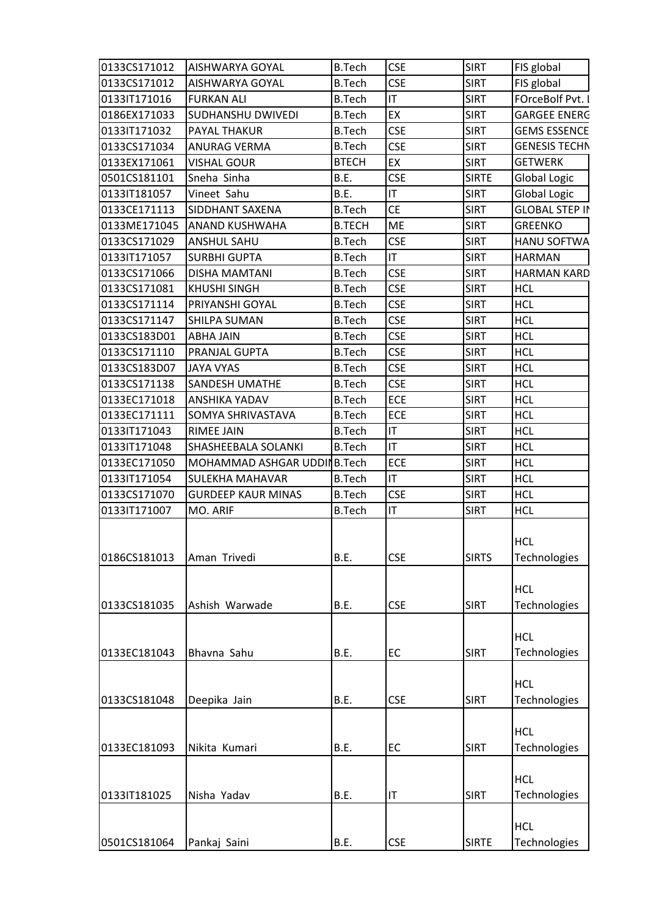| 0133CS171012 | <b>AISHWARYA GOYAL</b>      | <b>B.Tech</b> | <b>CSE</b> | <b>SIRT</b>  | FIS global            |
|--------------|-----------------------------|---------------|------------|--------------|-----------------------|
| 0133CS171012 | <b>AISHWARYA GOYAL</b>      | <b>B.Tech</b> | <b>CSE</b> | <b>SIRT</b>  | FIS global            |
| 0133IT171016 | <b>FURKAN ALI</b>           | <b>B.Tech</b> | IT.        | <b>SIRT</b>  | FOrceBolf Pvt. I      |
| 0186EX171033 | <b>SUDHANSHU DWIVEDI</b>    | <b>B.Tech</b> | EX         | <b>SIRT</b>  | <b>GARGEE ENERG</b>   |
| 0133IT171032 | <b>PAYAL THAKUR</b>         | <b>B.Tech</b> | <b>CSE</b> | <b>SIRT</b>  | <b>GEMS ESSENCE</b>   |
| 0133CS171034 | ANURAG VERMA                | <b>B.Tech</b> | <b>CSE</b> | <b>SIRT</b>  | <b>GENESIS TECHN</b>  |
| 0133EX171061 | <b>VISHAL GOUR</b>          | <b>BTECH</b>  | EX         | <b>SIRT</b>  | <b>GETWERK</b>        |
| 0501CS181101 | Sneha Sinha                 | B.E.          | <b>CSE</b> | <b>SIRTE</b> | Global Logic          |
| 0133IT181057 | Vineet Sahu                 | B.E.          | IT.        | <b>SIRT</b>  | Global Logic          |
| 0133CE171113 | SIDDHANT SAXENA             | <b>B.Tech</b> | <b>CE</b>  | <b>SIRT</b>  | <b>GLOBAL STEP IN</b> |
| 0133ME171045 | <b>ANAND KUSHWAHA</b>       | <b>B.TECH</b> | <b>ME</b>  | <b>SIRT</b>  | <b>GREENKO</b>        |
| 0133CS171029 | <b>ANSHUL SAHU</b>          | <b>B.Tech</b> | <b>CSE</b> | <b>SIRT</b>  | <b>HANU SOFTWA</b>    |
| 0133IT171057 | <b>SURBHI GUPTA</b>         | <b>B.Tech</b> | IT.        | <b>SIRT</b>  | <b>HARMAN</b>         |
| 0133CS171066 | <b>DISHA MAMTANI</b>        | <b>B.Tech</b> | <b>CSE</b> | <b>SIRT</b>  | <b>HARMAN KARD</b>    |
| 0133CS171081 | <b>KHUSHI SINGH</b>         | <b>B.Tech</b> | <b>CSE</b> | <b>SIRT</b>  | <b>HCL</b>            |
| 0133CS171114 | PRIYANSHI GOYAL             | <b>B.Tech</b> | <b>CSE</b> | <b>SIRT</b>  | <b>HCL</b>            |
| 0133CS171147 | SHILPA SUMAN                | <b>B.Tech</b> | <b>CSE</b> | <b>SIRT</b>  | <b>HCL</b>            |
| 0133CS183D01 | <b>ABHA JAIN</b>            | <b>B.Tech</b> | <b>CSE</b> | <b>SIRT</b>  | <b>HCL</b>            |
| 0133CS171110 | PRANJAL GUPTA               | <b>B.Tech</b> | <b>CSE</b> | <b>SIRT</b>  | <b>HCL</b>            |
| 0133CS183D07 | <b>JAYA VYAS</b>            | <b>B.Tech</b> | <b>CSE</b> | <b>SIRT</b>  | <b>HCL</b>            |
| 0133CS171138 | <b>SANDESH UMATHE</b>       | <b>B.Tech</b> | <b>CSE</b> | <b>SIRT</b>  | <b>HCL</b>            |
| 0133EC171018 | ANSHIKA YADAV               | <b>B.Tech</b> | ECE        | <b>SIRT</b>  | <b>HCL</b>            |
| 0133EC171111 | SOMYA SHRIVASTAVA           | <b>B.Tech</b> | ECE        | <b>SIRT</b>  | <b>HCL</b>            |
| 0133IT171043 | <b>RIMEE JAIN</b>           | <b>B.Tech</b> | IT.        | <b>SIRT</b>  | <b>HCL</b>            |
| 0133IT171048 | SHASHEEBALA SOLANKI         | <b>B.Tech</b> | IT.        | <b>SIRT</b>  | <b>HCL</b>            |
| 0133EC171050 | MOHAMMAD ASHGAR UDDINB.Tech |               | ECE        | <b>SIRT</b>  | <b>HCL</b>            |
| 0133IT171054 | <b>SULEKHA MAHAVAR</b>      | <b>B.Tech</b> | IT.        | <b>SIRT</b>  | <b>HCL</b>            |
| 0133CS171070 | <b>GURDEEP KAUR MINAS</b>   | <b>B.Tech</b> | <b>CSE</b> | <b>SIRT</b>  | <b>HCL</b>            |
| 0133IT171007 | MO. ARIF                    | <b>B.Tech</b> | IT.        | <b>SIRT</b>  | <b>HCL</b>            |
|              |                             |               |            |              |                       |
|              |                             |               |            |              | <b>HCL</b>            |
| 0186CS181013 | Aman Trivedi                | B.E.          | <b>CSE</b> | <b>SIRTS</b> | Technologies          |
|              |                             |               |            |              |                       |
|              |                             |               |            |              | <b>HCL</b>            |
| 0133CS181035 | Ashish Warwade              | B.E.          | <b>CSE</b> | <b>SIRT</b>  | Technologies          |
|              |                             |               |            |              |                       |
|              |                             |               |            |              | <b>HCL</b>            |
| 0133EC181043 | Bhavna Sahu                 | B.E.          | EC         | <b>SIRT</b>  | <b>Technologies</b>   |
|              |                             |               |            |              |                       |
|              |                             |               |            |              | <b>HCL</b>            |
| 0133CS181048 | Deepika Jain                | B.E.          | <b>CSE</b> | <b>SIRT</b>  | Technologies          |
|              |                             |               |            |              |                       |
|              |                             |               |            |              | <b>HCL</b>            |
| 0133EC181093 | Nikita Kumari               | B.E.          | EC         | <b>SIRT</b>  | Technologies          |
|              |                             |               |            |              |                       |
|              |                             |               |            |              | <b>HCL</b>            |
| 0133IT181025 | Nisha Yadav                 | B.E.          | IT         | <b>SIRT</b>  | Technologies          |
|              |                             |               |            |              |                       |
|              |                             |               |            |              | <b>HCL</b>            |
| 0501CS181064 | Pankaj Saini                | B.E.          | <b>CSE</b> | <b>SIRTE</b> | Technologies          |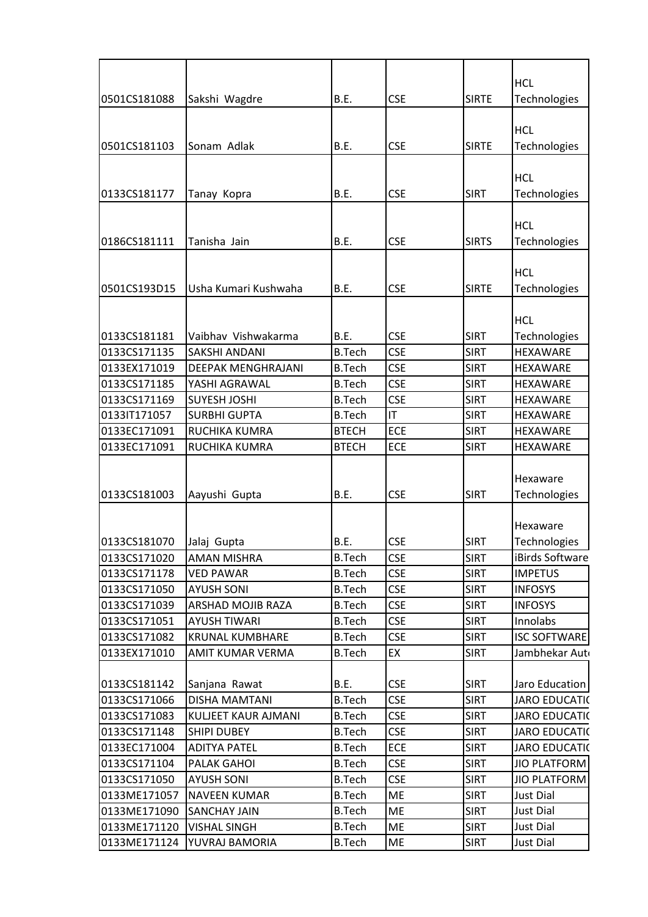|              |                           |               |            |              | <b>HCL</b>           |
|--------------|---------------------------|---------------|------------|--------------|----------------------|
| 0501CS181088 | Sakshi Wagdre             | B.E.          | <b>CSE</b> | <b>SIRTE</b> | Technologies         |
|              |                           |               |            |              |                      |
|              |                           |               |            |              | <b>HCL</b>           |
| 0501CS181103 | Sonam Adlak               | B.E.          | <b>CSE</b> | <b>SIRTE</b> | Technologies         |
|              |                           |               |            |              |                      |
|              |                           |               |            |              | <b>HCL</b>           |
| 0133CS181177 | Tanay Kopra               | B.E.          | <b>CSE</b> | <b>SIRT</b>  | Technologies         |
|              |                           |               |            |              |                      |
|              |                           |               |            |              | <b>HCL</b>           |
| 0186CS181111 | Tanisha Jain              | B.E.          | <b>CSE</b> | <b>SIRTS</b> | Technologies         |
|              |                           |               |            |              |                      |
|              |                           |               |            |              | <b>HCL</b>           |
| 0501CS193D15 | Usha Kumari Kushwaha      | B.E.          | <b>CSE</b> | <b>SIRTE</b> | Technologies         |
|              |                           |               |            |              |                      |
|              |                           |               |            |              | <b>HCL</b>           |
| 0133CS181181 | Vaibhav Vishwakarma       | B.E.          | <b>CSE</b> | <b>SIRT</b>  | Technologies         |
| 0133CS171135 | <b>SAKSHI ANDANI</b>      | <b>B.Tech</b> | <b>CSE</b> | <b>SIRT</b>  | <b>HEXAWARE</b>      |
| 0133EX171019 | <b>DEEPAK MENGHRAJANI</b> | <b>B.Tech</b> | <b>CSE</b> | <b>SIRT</b>  | <b>HEXAWARE</b>      |
| 0133CS171185 | YASHI AGRAWAL             | <b>B.Tech</b> | <b>CSE</b> | <b>SIRT</b>  | <b>HEXAWARE</b>      |
| 0133CS171169 | <b>SUYESH JOSHI</b>       | <b>B.Tech</b> | <b>CSE</b> | <b>SIRT</b>  | HEXAWARE             |
| 0133IT171057 | <b>SURBHI GUPTA</b>       | <b>B.Tech</b> | IT         | <b>SIRT</b>  | <b>HEXAWARE</b>      |
| 0133EC171091 | RUCHIKA KUMRA             | <b>BTECH</b>  | ECE        | <b>SIRT</b>  | HEXAWARE             |
| 0133EC171091 | RUCHIKA KUMRA             | <b>BTECH</b>  | ECE        | <b>SIRT</b>  | HEXAWARE             |
|              |                           |               |            |              |                      |
|              |                           |               |            |              | Hexaware             |
| 0133CS181003 | Aayushi Gupta             | B.E.          | <b>CSE</b> | <b>SIRT</b>  | Technologies         |
|              |                           |               |            |              |                      |
|              |                           |               |            |              | Hexaware             |
| 0133CS181070 | Jalaj Gupta               | B.E.          | <b>CSE</b> | <b>SIRT</b>  | Technologies         |
| 0133CS171020 | <b>AMAN MISHRA</b>        | <b>B.Tech</b> | <b>CSE</b> | <b>SIRT</b>  | iBirds Software      |
| 0133CS171178 | <b>VED PAWAR</b>          | <b>B.Tech</b> | <b>CSE</b> | <b>SIRT</b>  | <b>IMPETUS</b>       |
| 0133CS171050 | <b>AYUSH SONI</b>         | <b>B.Tech</b> | <b>CSE</b> | <b>SIRT</b>  | <b>INFOSYS</b>       |
| 0133CS171039 | ARSHAD MOJIB RAZA         | <b>B.Tech</b> | <b>CSE</b> | <b>SIRT</b>  | <b>INFOSYS</b>       |
| 0133CS171051 | <b>AYUSH TIWARI</b>       | <b>B.Tech</b> | <b>CSE</b> | <b>SIRT</b>  | Innolabs             |
| 0133CS171082 | <b>KRUNAL KUMBHARE</b>    | <b>B.Tech</b> | <b>CSE</b> | <b>SIRT</b>  | <b>ISC SOFTWARE</b>  |
| 0133EX171010 | AMIT KUMAR VERMA          | <b>B.Tech</b> | EX         | <b>SIRT</b>  | Jambhekar Auto       |
|              |                           |               |            |              |                      |
| 0133CS181142 |                           | B.E.          | <b>CSE</b> | <b>SIRT</b>  |                      |
|              | Sanjana Rawat             |               |            | <b>SIRT</b>  | Jaro Education       |
| 0133CS171066 | <b>DISHA MAMTANI</b>      | <b>B.Tech</b> | <b>CSE</b> |              | <b>JARO EDUCATI(</b> |
| 0133CS171083 | KULJEET KAUR AJMANI       | <b>B.Tech</b> | <b>CSE</b> | <b>SIRT</b>  | <b>JARO EDUCATI(</b> |
| 0133CS171148 | <b>SHIPI DUBEY</b>        | <b>B.Tech</b> | <b>CSE</b> | <b>SIRT</b>  | <b>JARO EDUCATI(</b> |
| 0133EC171004 | <b>ADITYA PATEL</b>       | <b>B.Tech</b> | ECE        | <b>SIRT</b>  | <b>JARO EDUCATI(</b> |
| 0133CS171104 | PALAK GAHOI               | <b>B.Tech</b> | <b>CSE</b> | <b>SIRT</b>  | <b>JIO PLATFORM</b>  |
| 0133CS171050 | <b>AYUSH SONI</b>         | <b>B.Tech</b> | <b>CSE</b> | <b>SIRT</b>  | <b>JIO PLATFORM</b>  |
| 0133ME171057 | <b>NAVEEN KUMAR</b>       | <b>B.Tech</b> | ME         | <b>SIRT</b>  | Just Dial            |
| 0133ME171090 | <b>SANCHAY JAIN</b>       | <b>B.Tech</b> | ME         | <b>SIRT</b>  | Just Dial            |
| 0133ME171120 | <b>VISHAL SINGH</b>       | <b>B.Tech</b> | <b>ME</b>  | <b>SIRT</b>  | Just Dial            |
| 0133ME171124 | YUVRAJ BAMORIA            | <b>B.Tech</b> | ME         | <b>SIRT</b>  | Just Dial            |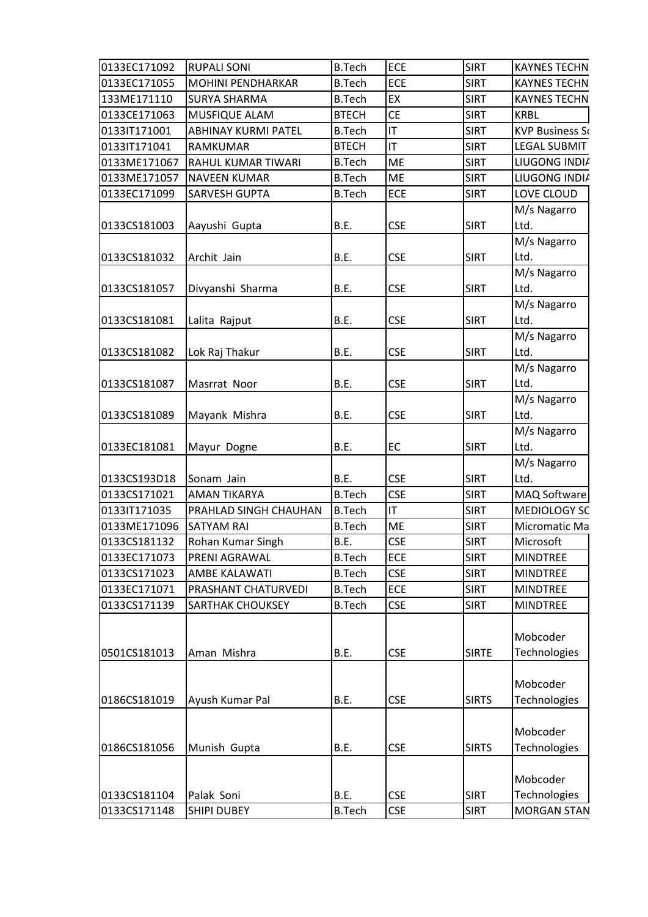| 0133EC171092 | <b>RUPALI SONI</b>         | <b>B.Tech</b> | ECE        | <b>SIRT</b>  | <b>KAYNES TECHN</b>    |
|--------------|----------------------------|---------------|------------|--------------|------------------------|
| 0133EC171055 | <b>MOHINI PENDHARKAR</b>   | <b>B.Tech</b> | ECE        | <b>SIRT</b>  | <b>KAYNES TECHN</b>    |
| 133ME171110  | <b>SURYA SHARMA</b>        | <b>B.Tech</b> | EX         | <b>SIRT</b>  | <b>KAYNES TECHN</b>    |
| 0133CE171063 | MUSFIQUE ALAM              | <b>BTECH</b>  | <b>CE</b>  | <b>SIRT</b>  | <b>KRBL</b>            |
| 0133IT171001 | <b>ABHINAY KURMI PATEL</b> | <b>B.Tech</b> | IT         | <b>SIRT</b>  | <b>KVP Business So</b> |
| 0133IT171041 | <b>RAMKUMAR</b>            | <b>BTECH</b>  | IT.        | <b>SIRT</b>  | <b>LEGAL SUBMIT</b>    |
| 0133ME171067 | RAHUL KUMAR TIWARI         | <b>B.Tech</b> | <b>ME</b>  | <b>SIRT</b>  | LIUGONG INDIA          |
| 0133ME171057 | <b>NAVEEN KUMAR</b>        | <b>B.Tech</b> | <b>ME</b>  | <b>SIRT</b>  | LIUGONG INDIA          |
| 0133EC171099 | <b>SARVESH GUPTA</b>       | <b>B.Tech</b> | ECE        | <b>SIRT</b>  | LOVE CLOUD             |
|              |                            |               |            |              | M/s Nagarro            |
| 0133CS181003 | Aayushi Gupta              | B.E.          | <b>CSE</b> | <b>SIRT</b>  | Ltd.                   |
|              |                            |               |            |              | M/s Nagarro            |
| 0133CS181032 | Archit Jain                | B.E.          | <b>CSE</b> | <b>SIRT</b>  | Ltd.                   |
|              |                            |               |            |              | M/s Nagarro            |
| 0133CS181057 | Divyanshi Sharma           | B.E.          | <b>CSE</b> | <b>SIRT</b>  | Ltd.                   |
|              |                            |               |            |              | M/s Nagarro            |
| 0133CS181081 | Lalita Rajput              | B.E.          | <b>CSE</b> | <b>SIRT</b>  | Ltd.                   |
|              |                            |               |            |              | M/s Nagarro            |
| 0133CS181082 | Lok Raj Thakur             | B.E.          | <b>CSE</b> | <b>SIRT</b>  | Ltd.                   |
|              |                            |               |            |              | M/s Nagarro            |
| 0133CS181087 | Masrrat Noor               | B.E.          | <b>CSE</b> | <b>SIRT</b>  | Ltd.                   |
|              |                            |               |            |              | M/s Nagarro            |
| 0133CS181089 | Mayank Mishra              | B.E.          | <b>CSE</b> | <b>SIRT</b>  | Ltd.                   |
|              |                            |               |            |              | M/s Nagarro            |
| 0133EC181081 | Mayur Dogne                | B.E.          | EC         | <b>SIRT</b>  | Ltd.                   |
|              |                            |               |            |              | M/s Nagarro            |
| 0133CS193D18 | Sonam Jain                 | B.E.          | <b>CSE</b> | <b>SIRT</b>  | Ltd.                   |
| 0133CS171021 | <b>AMAN TIKARYA</b>        | <b>B.Tech</b> | <b>CSE</b> | <b>SIRT</b>  | MAQ Software           |
| 0133IT171035 | PRAHLAD SINGH CHAUHAN      | <b>B.Tech</b> | IT.        | <b>SIRT</b>  | MEDIOLOGY SC           |
| 0133ME171096 | <b>SATYAM RAI</b>          | <b>B.Tech</b> | <b>ME</b>  | <b>SIRT</b>  | Micromatic Ma          |
| 0133CS181132 | Rohan Kumar Singh          | B.E.          | <b>CSE</b> | <b>SIRT</b>  | Microsoft              |
| 0133EC171073 | PRENI AGRAWAL              | <b>B.Tech</b> | ECE        | <b>SIRT</b>  | <b>MINDTREE</b>        |
| 0133CS171023 | AMBE KALAWATI              | <b>B.Tech</b> | <b>CSE</b> | <b>SIRT</b>  | <b>MINDTREE</b>        |
| 0133EC171071 | PRASHANT CHATURVEDI        | <b>B.Tech</b> | ECE        | <b>SIRT</b>  | <b>MINDTREE</b>        |
| 0133CS171139 | <b>SARTHAK CHOUKSEY</b>    | <b>B.Tech</b> | <b>CSE</b> | <b>SIRT</b>  | <b>MINDTREE</b>        |
|              |                            |               |            |              |                        |
|              |                            |               |            |              | Mobcoder               |
| 0501CS181013 | Aman Mishra                | B.E.          | <b>CSE</b> | <b>SIRTE</b> | Technologies           |
|              |                            |               |            |              |                        |
|              |                            |               |            |              | Mobcoder               |
| 0186CS181019 | Ayush Kumar Pal            | B.E.          | <b>CSE</b> | <b>SIRTS</b> | <b>Technologies</b>    |
|              |                            |               |            |              |                        |
|              |                            |               |            |              | Mobcoder               |
| 0186CS181056 | Munish Gupta               | B.E.          | <b>CSE</b> | <b>SIRTS</b> |                        |
|              |                            |               |            |              | <b>Technologies</b>    |
|              |                            |               |            |              |                        |
|              |                            |               |            |              | Mobcoder               |
| 0133CS181104 | Palak Soni                 | B.E.          | <b>CSE</b> | <b>SIRT</b>  | Technologies           |
| 0133CS171148 | <b>SHIPI DUBEY</b>         | <b>B.Tech</b> | <b>CSE</b> | <b>SIRT</b>  | <b>MORGAN STAN</b>     |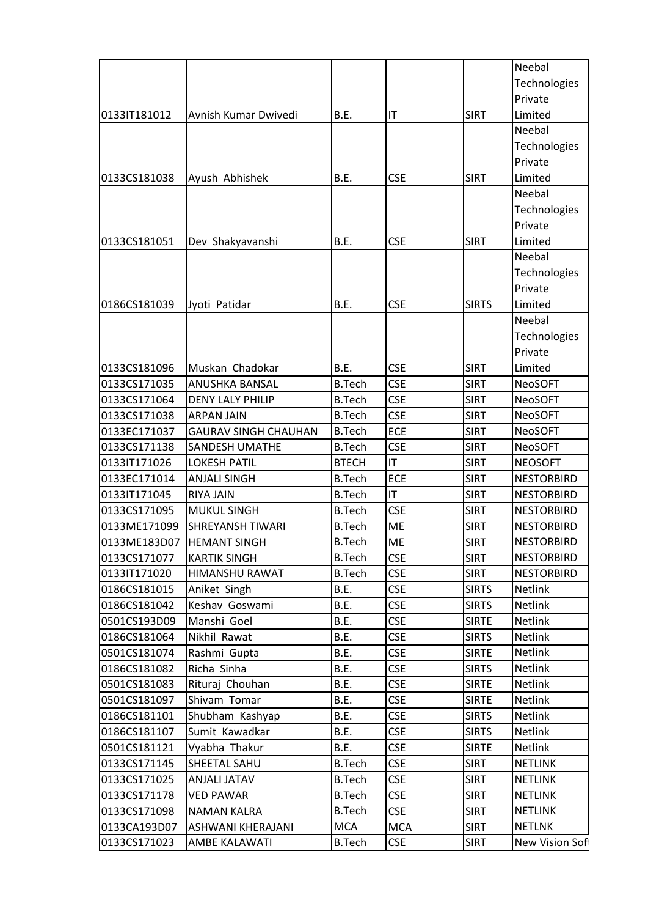|              |                             |               |            |              | Neebal              |
|--------------|-----------------------------|---------------|------------|--------------|---------------------|
|              |                             |               |            |              | Technologies        |
|              |                             |               |            |              | Private             |
| 0133IT181012 | Avnish Kumar Dwivedi        | B.E.          | IT         | <b>SIRT</b>  | Limited             |
|              |                             |               |            |              | Neebal              |
|              |                             |               |            |              | Technologies        |
|              |                             |               |            |              | Private             |
| 0133CS181038 | Ayush Abhishek              | B.E.          | <b>CSE</b> | <b>SIRT</b>  | Limited             |
|              |                             |               |            |              | Neebal              |
|              |                             |               |            |              | Technologies        |
|              |                             |               |            |              | Private             |
| 0133CS181051 | Dev Shakyavanshi            | B.E.          | <b>CSE</b> | <b>SIRT</b>  | Limited             |
|              |                             |               |            |              | Neebal              |
|              |                             |               |            |              | Technologies        |
|              |                             |               |            |              | Private             |
| 0186CS181039 | Jyoti Patidar               | B.E.          | <b>CSE</b> | <b>SIRTS</b> | Limited             |
|              |                             |               |            |              | Neebal              |
|              |                             |               |            |              | <b>Technologies</b> |
|              |                             |               |            |              | Private             |
| 0133CS181096 | Muskan Chadokar             | B.E.          | <b>CSE</b> | <b>SIRT</b>  | Limited             |
| 0133CS171035 | ANUSHKA BANSAL              | <b>B.Tech</b> | <b>CSE</b> | <b>SIRT</b>  | <b>NeoSOFT</b>      |
| 0133CS171064 | <b>DENY LALY PHILIP</b>     | <b>B.Tech</b> | <b>CSE</b> | <b>SIRT</b>  | <b>NeoSOFT</b>      |
| 0133CS171038 | <b>ARPAN JAIN</b>           | <b>B.Tech</b> | <b>CSE</b> | <b>SIRT</b>  | <b>NeoSOFT</b>      |
| 0133EC171037 | <b>GAURAV SINGH CHAUHAN</b> | <b>B.Tech</b> | ECE        | <b>SIRT</b>  | <b>NeoSOFT</b>      |
| 0133CS171138 | SANDESH UMATHE              | <b>B.Tech</b> | <b>CSE</b> | <b>SIRT</b>  | <b>NeoSOFT</b>      |
| 0133IT171026 | <b>LOKESH PATIL</b>         | <b>BTECH</b>  | IT         | <b>SIRT</b>  | <b>NEOSOFT</b>      |
| 0133EC171014 | <b>ANJALI SINGH</b>         | <b>B.Tech</b> | ECE        | <b>SIRT</b>  | <b>NESTORBIRD</b>   |
| 0133IT171045 | <b>RIYA JAIN</b>            | <b>B.Tech</b> | IT         | <b>SIRT</b>  | <b>NESTORBIRD</b>   |
| 0133CS171095 | <b>MUKUL SINGH</b>          | <b>B.Tech</b> | <b>CSE</b> | <b>SIRT</b>  | <b>NESTORBIRD</b>   |
| 0133ME171099 | <b>SHREYANSH TIWARI</b>     | <b>B.Tech</b> | <b>ME</b>  | <b>SIRT</b>  | <b>NESTORBIRD</b>   |
| 0133ME183D07 | <b>HEMANT SINGH</b>         | <b>B.Tech</b> | <b>ME</b>  | <b>SIRT</b>  | <b>NESTORBIRD</b>   |
| 0133CS171077 | <b>KARTIK SINGH</b>         | <b>B.Tech</b> | <b>CSE</b> | <b>SIRT</b>  | <b>NESTORBIRD</b>   |
| 0133IT171020 | HIMANSHU RAWAT              | <b>B.Tech</b> | <b>CSE</b> | <b>SIRT</b>  | <b>NESTORBIRD</b>   |
| 0186CS181015 | Aniket Singh                | B.E.          | <b>CSE</b> | <b>SIRTS</b> | <b>Netlink</b>      |
| 0186CS181042 | Keshav Goswami              | B.E.          | <b>CSE</b> | <b>SIRTS</b> | <b>Netlink</b>      |
| 0501CS193D09 | Manshi Goel                 | B.E.          | <b>CSE</b> | <b>SIRTE</b> | Netlink             |
| 0186CS181064 | Nikhil Rawat                | B.E.          | <b>CSE</b> | <b>SIRTS</b> | <b>Netlink</b>      |
| 0501CS181074 | Rashmi Gupta                | B.E.          | <b>CSE</b> | <b>SIRTE</b> | Netlink             |
| 0186CS181082 | Richa Sinha                 | B.E.          | <b>CSE</b> | <b>SIRTS</b> | <b>Netlink</b>      |
| 0501CS181083 | Rituraj Chouhan             | B.E.          | <b>CSE</b> | <b>SIRTE</b> | <b>Netlink</b>      |
| 0501CS181097 | Shivam Tomar                | B.E.          | <b>CSE</b> | <b>SIRTE</b> | <b>Netlink</b>      |
| 0186CS181101 | Shubham Kashyap             | B.E.          | <b>CSE</b> | <b>SIRTS</b> | Netlink             |
| 0186CS181107 | Sumit Kawadkar              | B.E.          | <b>CSE</b> | <b>SIRTS</b> | Netlink             |
| 0501CS181121 | Vyabha Thakur               | B.E.          | <b>CSE</b> | <b>SIRTE</b> | Netlink             |
| 0133CS171145 | SHEETAL SAHU                | <b>B.Tech</b> | <b>CSE</b> | <b>SIRT</b>  | <b>NETLINK</b>      |
| 0133CS171025 | ANJALI JATAV                | <b>B.Tech</b> | <b>CSE</b> | <b>SIRT</b>  | <b>NETLINK</b>      |
| 0133CS171178 | <b>VED PAWAR</b>            | <b>B.Tech</b> | <b>CSE</b> | <b>SIRT</b>  | <b>NETLINK</b>      |
| 0133CS171098 | <b>NAMAN KALRA</b>          | <b>B.Tech</b> | <b>CSE</b> | <b>SIRT</b>  | <b>NETLINK</b>      |
| 0133CA193D07 | ASHWANI KHERAJANI           | <b>MCA</b>    | <b>MCA</b> | <b>SIRT</b>  | <b>NETLNK</b>       |
| 0133CS171023 |                             |               | <b>CSE</b> |              | New Vision Soft     |
|              | AMBE KALAWATI               | <b>B.Tech</b> |            | <b>SIRT</b>  |                     |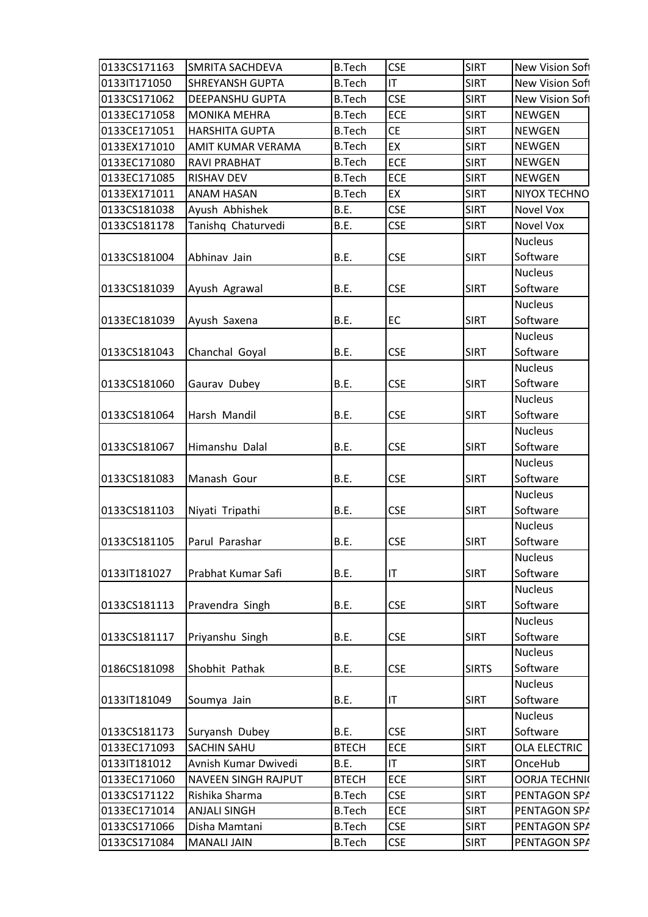| 0133CS171163 | <b>SMRITA SACHDEVA</b> | <b>B.Tech</b> | <b>CSE</b>             | <b>SIRT</b>  | New Vision Soft      |
|--------------|------------------------|---------------|------------------------|--------------|----------------------|
| 0133IT171050 | <b>SHREYANSH GUPTA</b> | <b>B.Tech</b> | IT                     | <b>SIRT</b>  | New Vision Soft      |
| 0133CS171062 | <b>DEEPANSHU GUPTA</b> | <b>B.Tech</b> | <b>CSE</b>             | <b>SIRT</b>  | New Vision Soft      |
| 0133EC171058 | <b>MONIKA MEHRA</b>    | <b>B.Tech</b> | ECE                    | <b>SIRT</b>  | <b>NEWGEN</b>        |
| 0133CE171051 | <b>HARSHITA GUPTA</b>  | <b>B.Tech</b> | <b>CE</b>              | <b>SIRT</b>  | <b>NEWGEN</b>        |
| 0133EX171010 | AMIT KUMAR VERAMA      | <b>B.Tech</b> | EX                     | <b>SIRT</b>  | <b>NEWGEN</b>        |
| 0133EC171080 | RAVI PRABHAT           | <b>B.Tech</b> | ECE                    | <b>SIRT</b>  | <b>NEWGEN</b>        |
| 0133EC171085 | <b>RISHAV DEV</b>      | <b>B.Tech</b> | ECE                    | <b>SIRT</b>  | <b>NEWGEN</b>        |
| 0133EX171011 | <b>ANAM HASAN</b>      | <b>B.Tech</b> | EX                     | <b>SIRT</b>  | <b>NIYOX TECHNO</b>  |
| 0133CS181038 | Ayush Abhishek         | B.E.          | <b>CSE</b>             | <b>SIRT</b>  | Novel Vox            |
| 0133CS181178 | Tanishq Chaturvedi     | B.E.          | <b>CSE</b>             | <b>SIRT</b>  | Novel Vox            |
|              |                        |               |                        |              | <b>Nucleus</b>       |
| 0133CS181004 | Abhinav Jain           | B.E.          | <b>CSE</b>             | <b>SIRT</b>  | Software             |
|              |                        |               |                        |              | <b>Nucleus</b>       |
| 0133CS181039 | Ayush Agrawal          | B.E.          | <b>CSE</b>             | <b>SIRT</b>  | Software             |
|              |                        |               |                        |              | <b>Nucleus</b>       |
| 0133EC181039 | Ayush Saxena           | B.E.          | EC                     | <b>SIRT</b>  | Software             |
|              |                        |               |                        |              | <b>Nucleus</b>       |
| 0133CS181043 | Chanchal Goyal         | B.E.          | <b>CSE</b>             | <b>SIRT</b>  | Software             |
|              |                        |               |                        |              | <b>Nucleus</b>       |
| 0133CS181060 | Gaurav Dubey           | B.E.          | <b>CSE</b>             | <b>SIRT</b>  | Software             |
|              |                        |               |                        |              | <b>Nucleus</b>       |
| 0133CS181064 | Harsh Mandil           | B.E.          | <b>CSE</b>             | <b>SIRT</b>  | Software             |
|              |                        |               |                        |              | <b>Nucleus</b>       |
| 0133CS181067 | Himanshu Dalal         | B.E.          | <b>CSE</b>             | <b>SIRT</b>  | Software             |
|              |                        |               |                        |              | <b>Nucleus</b>       |
| 0133CS181083 | Manash Gour            | B.E.          | <b>CSE</b>             | <b>SIRT</b>  | Software             |
|              |                        |               |                        |              | <b>Nucleus</b>       |
| 0133CS181103 | Niyati Tripathi        | B.E.          | <b>CSE</b>             | <b>SIRT</b>  | Software             |
|              |                        |               |                        |              | <b>Nucleus</b>       |
| 0133CS181105 | Parul Parashar         | B.E.          | <b>CSE</b>             | <b>SIRT</b>  | Software             |
|              |                        |               |                        |              | <b>Nucleus</b>       |
| 0133IT181027 | Prabhat Kumar Safi     | B.E.          | $\mathsf{I}\mathsf{T}$ | <b>SIRT</b>  | Software             |
|              |                        |               |                        |              | <b>Nucleus</b>       |
| 0133CS181113 | Pravendra Singh        | B.E.          | <b>CSE</b>             | <b>SIRT</b>  | Software             |
|              |                        |               |                        |              | <b>Nucleus</b>       |
| 0133CS181117 | Priyanshu Singh        | B.E.          | <b>CSE</b>             | <b>SIRT</b>  | Software             |
|              |                        |               |                        |              | <b>Nucleus</b>       |
| 0186CS181098 | Shobhit Pathak         | B.E.          | <b>CSE</b>             | <b>SIRTS</b> | Software             |
|              |                        |               |                        |              | <b>Nucleus</b>       |
| 0133IT181049 | Soumya Jain            | B.E.          | IT                     | <b>SIRT</b>  | Software             |
|              |                        |               |                        |              | <b>Nucleus</b>       |
| 0133CS181173 | Suryansh Dubey         | B.E.          | <b>CSE</b>             | <b>SIRT</b>  | Software             |
| 0133EC171093 | <b>SACHIN SAHU</b>     | <b>BTECH</b>  | ECE                    | <b>SIRT</b>  | <b>OLA ELECTRIC</b>  |
| 0133IT181012 | Avnish Kumar Dwivedi   | B.E.          | IT.                    | <b>SIRT</b>  | OnceHub              |
| 0133EC171060 | NAVEEN SINGH RAJPUT    | <b>BTECH</b>  | ECE                    | <b>SIRT</b>  | <b>OORJA TECHNI(</b> |
| 0133CS171122 | Rishika Sharma         | <b>B.Tech</b> | <b>CSE</b>             | <b>SIRT</b>  | PENTAGON SPA         |
| 0133EC171014 | <b>ANJALI SINGH</b>    | <b>B.Tech</b> | ECE                    | <b>SIRT</b>  | PENTAGON SPA         |
|              |                        |               | <b>CSE</b>             | <b>SIRT</b>  |                      |
| 0133CS171066 | Disha Mamtani          | <b>B.Tech</b> |                        |              | PENTAGON SPA         |
| 0133CS171084 | <b>MANALI JAIN</b>     | <b>B.Tech</b> | <b>CSE</b>             | <b>SIRT</b>  | PENTAGON SPA         |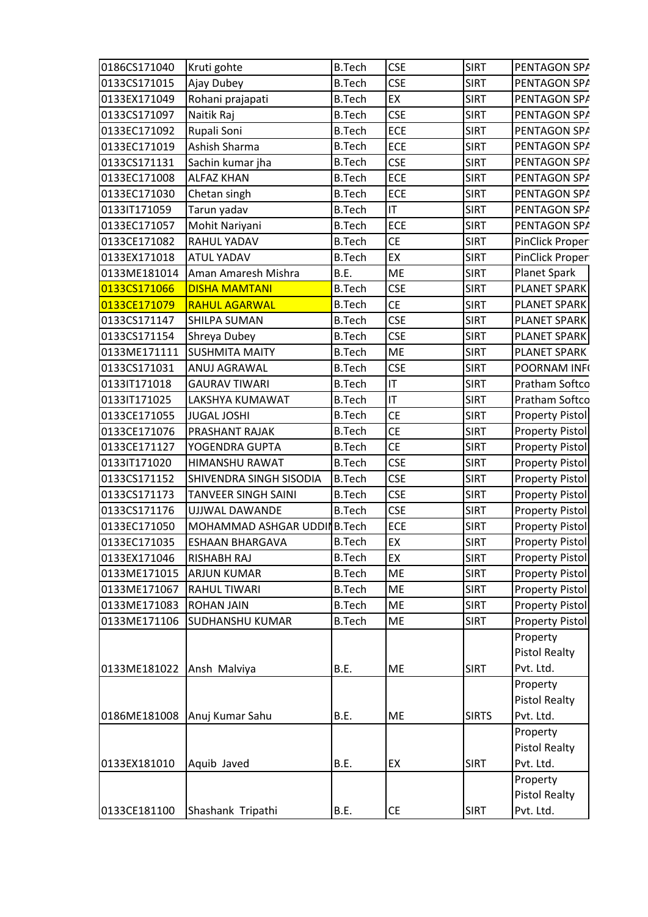| 0186CS171040 | Kruti gohte                 | <b>B.Tech</b> | <b>CSE</b>             | <b>SIRT</b>  | PENTAGON SPA           |
|--------------|-----------------------------|---------------|------------------------|--------------|------------------------|
| 0133CS171015 | Ajay Dubey                  | <b>B.Tech</b> | <b>CSE</b>             | <b>SIRT</b>  | PENTAGON SPA           |
| 0133EX171049 | Rohani prajapati            | <b>B.Tech</b> | EX                     | <b>SIRT</b>  | PENTAGON SPA           |
| 0133CS171097 | Naitik Raj                  | <b>B.Tech</b> | <b>CSE</b>             | <b>SIRT</b>  | PENTAGON SPA           |
| 0133EC171092 | Rupali Soni                 | <b>B.Tech</b> | <b>ECE</b>             | <b>SIRT</b>  | PENTAGON SPA           |
| 0133EC171019 | Ashish Sharma               | <b>B.Tech</b> | ECE                    | <b>SIRT</b>  | PENTAGON SPA           |
| 0133CS171131 | Sachin kumar jha            | <b>B.Tech</b> | <b>CSE</b>             | <b>SIRT</b>  | PENTAGON SPA           |
| 0133EC171008 | <b>ALFAZ KHAN</b>           | <b>B.Tech</b> | ECE                    | <b>SIRT</b>  | PENTAGON SPA           |
| 0133EC171030 | Chetan singh                | <b>B.Tech</b> | ECE                    | <b>SIRT</b>  | PENTAGON SPA           |
| 0133IT171059 | Tarun yadav                 | <b>B.Tech</b> | $\mathsf{I}\mathsf{T}$ | <b>SIRT</b>  | PENTAGON SPA           |
| 0133EC171057 | Mohit Nariyani              | <b>B.Tech</b> | ECE                    | <b>SIRT</b>  | PENTAGON SPA           |
| 0133CE171082 | RAHUL YADAV                 | <b>B.Tech</b> | <b>CE</b>              | <b>SIRT</b>  | PinClick Proper        |
| 0133EX171018 | <b>ATUL YADAV</b>           | <b>B.Tech</b> | EX                     | <b>SIRT</b>  | PinClick Proper        |
| 0133ME181014 | Aman Amaresh Mishra         | B.E.          | <b>ME</b>              | <b>SIRT</b>  | Planet Spark           |
| 0133CS171066 | <b>DISHA MAMTANI</b>        | <b>B.Tech</b> | <b>CSE</b>             | <b>SIRT</b>  | <b>PLANET SPARK</b>    |
| 0133CE171079 | <b>RAHUL AGARWAL</b>        | <b>B.Tech</b> | <b>CE</b>              | <b>SIRT</b>  | <b>PLANET SPARK</b>    |
| 0133CS171147 | SHILPA SUMAN                | <b>B.Tech</b> | <b>CSE</b>             | <b>SIRT</b>  | <b>PLANET SPARK</b>    |
| 0133CS171154 | Shreya Dubey                | <b>B.Tech</b> | <b>CSE</b>             | <b>SIRT</b>  | <b>PLANET SPARK</b>    |
| 0133ME171111 | <b>SUSHMITA MAITY</b>       | <b>B.Tech</b> | ME                     | <b>SIRT</b>  | <b>PLANET SPARK</b>    |
| 0133CS171031 | ANUJ AGRAWAL                | <b>B.Tech</b> | <b>CSE</b>             | <b>SIRT</b>  | POORNAM INF(           |
| 0133IT171018 | <b>GAURAV TIWARI</b>        | <b>B.Tech</b> | IT                     | <b>SIRT</b>  | Pratham Softco         |
| 0133IT171025 | LAKSHYA KUMAWAT             | <b>B.Tech</b> | IT                     | <b>SIRT</b>  | Pratham Softco         |
| 0133CE171055 | <b>JUGAL JOSHI</b>          | <b>B.Tech</b> | <b>CE</b>              | <b>SIRT</b>  | Property Pistol        |
| 0133CE171076 | PRASHANT RAJAK              | <b>B.Tech</b> | <b>CE</b>              | <b>SIRT</b>  | Property Pistol        |
| 0133CE171127 | YOGENDRA GUPTA              | <b>B.Tech</b> | <b>CE</b>              | <b>SIRT</b>  | <b>Property Pistol</b> |
| 0133IT171020 | HIMANSHU RAWAT              | <b>B.Tech</b> | <b>CSE</b>             | <b>SIRT</b>  | <b>Property Pistol</b> |
| 0133CS171152 | SHIVENDRA SINGH SISODIA     | <b>B.Tech</b> | <b>CSE</b>             | <b>SIRT</b>  | <b>Property Pistol</b> |
| 0133CS171173 | TANVEER SINGH SAINI         | <b>B.Tech</b> | <b>CSE</b>             | <b>SIRT</b>  | <b>Property Pistol</b> |
| 0133CS171176 | UJJWAL DAWANDE              | <b>B.Tech</b> | <b>CSE</b>             | <b>SIRT</b>  | <b>Property Pistol</b> |
| 0133EC171050 | MOHAMMAD ASHGAR UDDINB.Tech |               | ECE                    | <b>SIRT</b>  | <b>Property Pistol</b> |
| 0133EC171035 | <b>ESHAAN BHARGAVA</b>      | <b>B.Tech</b> | EX                     | <b>SIRT</b>  | Property Pistol        |
| 0133EX171046 | RISHABH RAJ                 | <b>B.Tech</b> | EX                     | <b>SIRT</b>  | Property Pistol        |
| 0133ME171015 | <b>ARJUN KUMAR</b>          | <b>B.Tech</b> | ME                     | <b>SIRT</b>  | <b>Property Pistol</b> |
| 0133ME171067 | RAHUL TIWARI                | <b>B.Tech</b> | ME                     | <b>SIRT</b>  | <b>Property Pistol</b> |
| 0133ME171083 | <b>ROHAN JAIN</b>           | <b>B.Tech</b> | ME                     | <b>SIRT</b>  | <b>Property Pistol</b> |
| 0133ME171106 | SUDHANSHU KUMAR             | <b>B.Tech</b> | ME                     | <b>SIRT</b>  | <b>Property Pistol</b> |
|              |                             |               |                        |              | Property               |
|              |                             |               |                        |              | <b>Pistol Realty</b>   |
| 0133ME181022 | Ansh Malviya                | B.E.          | ME                     | <b>SIRT</b>  | Pvt. Ltd.              |
|              |                             |               |                        |              | Property               |
|              |                             |               |                        |              | Pistol Realty          |
| 0186ME181008 | Anuj Kumar Sahu             | B.E.          | <b>ME</b>              | <b>SIRTS</b> | Pvt. Ltd.              |
|              |                             |               |                        |              | Property               |
|              |                             |               |                        |              | <b>Pistol Realty</b>   |
| 0133EX181010 | Aquib Javed                 | B.E.          | EX                     | <b>SIRT</b>  | Pvt. Ltd.              |
|              |                             |               |                        |              | Property               |
|              |                             |               |                        |              | Pistol Realty          |
| 0133CE181100 | Shashank Tripathi           | B.E.          | <b>CE</b>              | <b>SIRT</b>  | Pvt. Ltd.              |
|              |                             |               |                        |              |                        |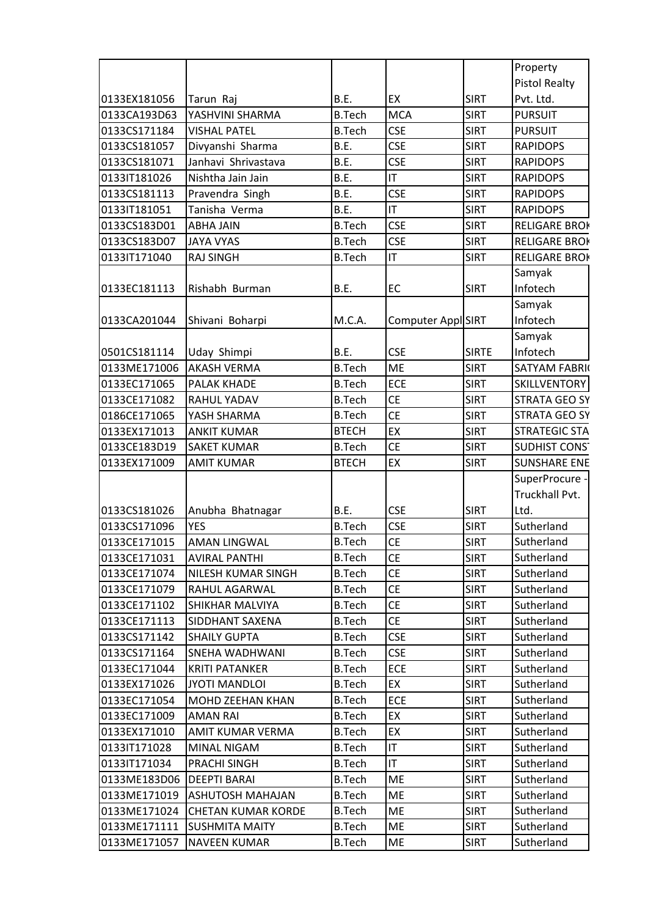|              |                           |               |                        |              | Property             |
|--------------|---------------------------|---------------|------------------------|--------------|----------------------|
|              |                           |               |                        |              | <b>Pistol Realty</b> |
| 0133EX181056 | Tarun Raj                 | B.E.          | EX                     | <b>SIRT</b>  | Pvt. Ltd.            |
| 0133CA193D63 | YASHVINI SHARMA           | <b>B.Tech</b> | <b>MCA</b>             | <b>SIRT</b>  | <b>PURSUIT</b>       |
| 0133CS171184 | <b>VISHAL PATEL</b>       | <b>B.Tech</b> | <b>CSE</b>             | <b>SIRT</b>  | <b>PURSUIT</b>       |
| 0133CS181057 | Divyanshi Sharma          | B.E.          | <b>CSE</b>             | <b>SIRT</b>  | <b>RAPIDOPS</b>      |
| 0133CS181071 | Janhavi Shrivastava       | B.E.          | <b>CSE</b>             | <b>SIRT</b>  | <b>RAPIDOPS</b>      |
| 0133IT181026 | Nishtha Jain Jain         | B.E.          | IT                     | <b>SIRT</b>  | <b>RAPIDOPS</b>      |
| 0133CS181113 | Pravendra Singh           | B.E.          | <b>CSE</b>             | <b>SIRT</b>  | <b>RAPIDOPS</b>      |
| 0133IT181051 | Tanisha Verma             | B.E.          | IT                     | <b>SIRT</b>  | <b>RAPIDOPS</b>      |
| 0133CS183D01 | <b>ABHA JAIN</b>          | <b>B.Tech</b> | <b>CSE</b>             | <b>SIRT</b>  | <b>RELIGARE BROK</b> |
| 0133CS183D07 | <b>JAYA VYAS</b>          | <b>B.Tech</b> | <b>CSE</b>             | <b>SIRT</b>  | <b>RELIGARE BROK</b> |
| 0133IT171040 | <b>RAJ SINGH</b>          | <b>B.Tech</b> | IT                     | <b>SIRT</b>  | <b>RELIGARE BROK</b> |
|              |                           |               |                        |              | Samyak               |
| 0133EC181113 | Rishabh Burman            | B.E.          | EC                     | <b>SIRT</b>  | Infotech             |
|              |                           |               |                        |              | Samyak               |
| 0133CA201044 | Shivani Boharpi           | M.C.A.        | Computer Appl SIRT     |              | Infotech             |
|              |                           |               |                        |              | Samyak               |
| 0501CS181114 | Uday Shimpi               | B.E.          | <b>CSE</b>             | <b>SIRTE</b> | Infotech             |
| 0133ME171006 | <b>AKASH VERMA</b>        | <b>B.Tech</b> | <b>ME</b>              | <b>SIRT</b>  | SATYAM FABRI(        |
| 0133EC171065 | PALAK KHADE               | <b>B.Tech</b> | ECE                    | <b>SIRT</b>  | SKILLVENTORY         |
|              |                           | <b>B.Tech</b> | <b>CE</b>              |              |                      |
| 0133CE171082 | RAHUL YADAV               |               | <b>CE</b>              | <b>SIRT</b>  | <b>STRATA GEO SY</b> |
| 0186CE171065 | YASH SHARMA               | <b>B.Tech</b> |                        | <b>SIRT</b>  | <b>STRATA GEO SY</b> |
| 0133EX171013 | <b>ANKIT KUMAR</b>        | <b>BTECH</b>  | EX                     | <b>SIRT</b>  | STRATEGIC STA        |
| 0133CE183D19 | <b>SAKET KUMAR</b>        | <b>B.Tech</b> | <b>CE</b>              | <b>SIRT</b>  | SUDHIST CONS'        |
| 0133EX171009 | <b>AMIT KUMAR</b>         | <b>BTECH</b>  | EX                     | <b>SIRT</b>  | <b>SUNSHARE ENE</b>  |
|              |                           |               |                        |              | SuperProcure -       |
|              |                           |               |                        |              | Truckhall Pvt.       |
| 0133CS181026 | Anubha Bhatnagar          | B.E.          | <b>CSE</b>             | <b>SIRT</b>  | Ltd.                 |
| 0133CS171096 | <b>YES</b>                | <b>B.Tech</b> | <b>CSE</b>             | <b>SIRT</b>  | Sutherland           |
| 0133CE171015 | <b>AMAN LINGWAL</b>       | <b>B.Tech</b> | <b>CE</b>              | <b>SIRT</b>  | Sutherland           |
| 0133CE171031 | <b>AVIRAL PANTHI</b>      | <b>B.Tech</b> | <b>CE</b>              | <b>SIRT</b>  | Sutherland           |
| 0133CE171074 | NILESH KUMAR SINGH        | <b>B.Tech</b> | <b>CE</b>              | <b>SIRT</b>  | Sutherland           |
| 0133CE171079 | RAHUL AGARWAL             | <b>B.Tech</b> | <b>CE</b>              | <b>SIRT</b>  | Sutherland           |
| 0133CE171102 | SHIKHAR MALVIYA           | <b>B.Tech</b> | CE                     | <b>SIRT</b>  | Sutherland           |
| 0133CE171113 | SIDDHANT SAXENA           | <b>B.Tech</b> | CE                     | <b>SIRT</b>  | Sutherland           |
| 0133CS171142 | <b>SHAILY GUPTA</b>       | <b>B.Tech</b> | <b>CSE</b>             | <b>SIRT</b>  | Sutherland           |
| 0133CS171164 | SNEHA WADHWANI            | <b>B.Tech</b> | <b>CSE</b>             | <b>SIRT</b>  | Sutherland           |
| 0133EC171044 | <b>KRITI PATANKER</b>     | <b>B.Tech</b> | ECE                    | <b>SIRT</b>  | Sutherland           |
| 0133EX171026 | <b>JYOTI MANDLOI</b>      | <b>B.Tech</b> | EX                     | <b>SIRT</b>  | Sutherland           |
| 0133EC171054 | MOHD ZEEHAN KHAN          | <b>B.Tech</b> | ECE                    | <b>SIRT</b>  | Sutherland           |
| 0133EC171009 | <b>AMAN RAI</b>           | <b>B.Tech</b> | EX                     | <b>SIRT</b>  | Sutherland           |
| 0133EX171010 | AMIT KUMAR VERMA          | <b>B.Tech</b> | EX                     | <b>SIRT</b>  | Sutherland           |
| 0133IT171028 | MINAL NIGAM               | <b>B.Tech</b> | IT                     | <b>SIRT</b>  | Sutherland           |
| 0133IT171034 | PRACHI SINGH              | <b>B.Tech</b> | $\mathsf{I}\mathsf{T}$ | <b>SIRT</b>  | Sutherland           |
| 0133ME183D06 | <b>DEEPTI BARAI</b>       | <b>B.Tech</b> | <b>ME</b>              | <b>SIRT</b>  | Sutherland           |
| 0133ME171019 | <b>ASHUTOSH MAHAJAN</b>   | <b>B.Tech</b> | ME                     | <b>SIRT</b>  | Sutherland           |
| 0133ME171024 | <b>CHETAN KUMAR KORDE</b> | <b>B.Tech</b> | ME                     | <b>SIRT</b>  | Sutherland           |
| 0133ME171111 | <b>SUSHMITA MAITY</b>     | <b>B.Tech</b> | <b>ME</b>              | <b>SIRT</b>  | Sutherland           |
| 0133ME171057 | <b>NAVEEN KUMAR</b>       | <b>B.Tech</b> | ME                     | <b>SIRT</b>  | Sutherland           |
|              |                           |               |                        |              |                      |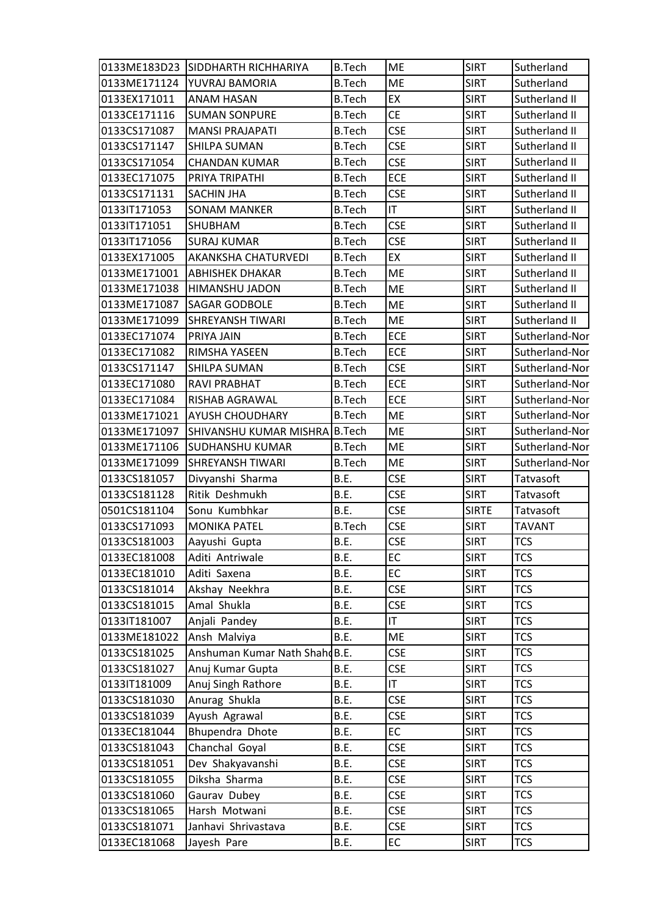| 0133ME183D23 | <b>SIDDHARTH RICHHARIYA</b>   | <b>B.Tech</b> | <b>ME</b>        | <b>SIRT</b>  | Sutherland     |
|--------------|-------------------------------|---------------|------------------|--------------|----------------|
| 0133ME171124 | YUVRAJ BAMORIA                | <b>B.Tech</b> | <b>ME</b>        | <b>SIRT</b>  | Sutherland     |
| 0133EX171011 | <b>ANAM HASAN</b>             | <b>B.Tech</b> | EX               | <b>SIRT</b>  | Sutherland II  |
| 0133CE171116 | <b>SUMAN SONPURE</b>          | <b>B.Tech</b> | <b>CE</b>        | <b>SIRT</b>  | Sutherland II  |
| 0133CS171087 | <b>MANSI PRAJAPATI</b>        | <b>B.Tech</b> | <b>CSE</b>       | <b>SIRT</b>  | Sutherland II  |
| 0133CS171147 | <b>SHILPA SUMAN</b>           | <b>B.Tech</b> | <b>CSE</b>       | <b>SIRT</b>  | Sutherland II  |
|              |                               |               |                  |              |                |
| 0133CS171054 | <b>CHANDAN KUMAR</b>          | <b>B.Tech</b> | <b>CSE</b>       | <b>SIRT</b>  | Sutherland II  |
| 0133EC171075 | PRIYA TRIPATHI                | <b>B.Tech</b> | <b>ECE</b>       | <b>SIRT</b>  | Sutherland II  |
| 0133CS171131 | <b>SACHIN JHA</b>             | <b>B.Tech</b> | <b>CSE</b>       | <b>SIRT</b>  | Sutherland II  |
| 0133IT171053 | <b>SONAM MANKER</b>           | <b>B.Tech</b> | IT<br><b>CSE</b> | <b>SIRT</b>  | Sutherland II  |
| 0133IT171051 | <b>SHUBHAM</b>                | <b>B.Tech</b> |                  | <b>SIRT</b>  | Sutherland II  |
| 0133IT171056 | <b>SURAJ KUMAR</b>            | <b>B.Tech</b> | <b>CSE</b>       | <b>SIRT</b>  | Sutherland II  |
| 0133EX171005 | AKANKSHA CHATURVEDI           | <b>B.Tech</b> | EX               | <b>SIRT</b>  | Sutherland II  |
| 0133ME171001 | ABHISHEK DHAKAR               | B.Tech        | <b>ME</b>        | <b>SIRT</b>  | Sutherland II  |
| 0133ME171038 | HIMANSHU JADON                | <b>B.Tech</b> | <b>ME</b>        | <b>SIRT</b>  | Sutherland II  |
| 0133ME171087 | <b>SAGAR GODBOLE</b>          | <b>B.Tech</b> | <b>ME</b>        | <b>SIRT</b>  | Sutherland II  |
| 0133ME171099 | <b>SHREYANSH TIWARI</b>       | <b>B.Tech</b> | <b>ME</b>        | <b>SIRT</b>  | Sutherland II  |
| 0133EC171074 | PRIYA JAIN                    | <b>B.Tech</b> | ECE              | <b>SIRT</b>  | Sutherland-Nor |
| 0133EC171082 | RIMSHA YASEEN                 | <b>B.Tech</b> | <b>ECE</b>       | <b>SIRT</b>  | Sutherland-Nor |
| 0133CS171147 | SHILPA SUMAN                  | <b>B.Tech</b> | <b>CSE</b>       | <b>SIRT</b>  | Sutherland-Nor |
| 0133EC171080 | RAVI PRABHAT                  | <b>B.Tech</b> | ECE              | <b>SIRT</b>  | Sutherland-Nor |
| 0133EC171084 | RISHAB AGRAWAL                | <b>B.Tech</b> | <b>ECE</b>       | <b>SIRT</b>  | Sutherland-Nor |
| 0133ME171021 | <b>AYUSH CHOUDHARY</b>        | <b>B.Tech</b> | <b>ME</b>        | <b>SIRT</b>  | Sutherland-Nor |
| 0133ME171097 | SHIVANSHU KUMAR MISHRA B.Tech |               | <b>ME</b>        | <b>SIRT</b>  | Sutherland-Nor |
| 0133ME171106 | <b>SUDHANSHU KUMAR</b>        | <b>B.Tech</b> | <b>ME</b>        | <b>SIRT</b>  | Sutherland-Nor |
| 0133ME171099 | <b>SHREYANSH TIWARI</b>       | <b>B.Tech</b> | ME               | <b>SIRT</b>  | Sutherland-Nor |
| 0133CS181057 | Divyanshi Sharma              | B.E.          | <b>CSE</b>       | <b>SIRT</b>  | Tatvasoft      |
| 0133CS181128 | Ritik Deshmukh                | B.E.          | <b>CSE</b>       | <b>SIRT</b>  | Tatvasoft      |
| 0501CS181104 | Sonu Kumbhkar                 | B.E.          | <b>CSE</b>       | <b>SIRTE</b> | Tatvasoft      |
| 0133CS171093 | <b>MONIKA PATEL</b>           | <b>B.Tech</b> | <b>CSE</b>       | <b>SIRT</b>  | <b>TAVANT</b>  |
| 0133CS181003 | Aayushi Gupta                 | B.E.          | <b>CSE</b>       | <b>SIRT</b>  | <b>TCS</b>     |
| 0133EC181008 | Aditi Antriwale               | B.E.          | EC               | <b>SIRT</b>  | <b>TCS</b>     |
| 0133EC181010 | Aditi Saxena                  | B.E.          | EC               | <b>SIRT</b>  | <b>TCS</b>     |
| 0133CS181014 | Akshay Neekhra                | B.E.          | <b>CSE</b>       | <b>SIRT</b>  | TCS            |
| 0133CS181015 | Amal Shukla                   | B.E.          | <b>CSE</b>       | <b>SIRT</b>  | <b>TCS</b>     |
| 0133IT181007 | Anjali Pandey                 | B.E.          | ΙT               | <b>SIRT</b>  | TCS            |
| 0133ME181022 | Ansh Malviya                  | B.E.          | ME               | <b>SIRT</b>  | <b>TCS</b>     |
| 0133CS181025 | Anshuman Kumar Nath ShahdB.E. |               | <b>CSE</b>       | <b>SIRT</b>  | <b>TCS</b>     |
| 0133CS181027 | Anuj Kumar Gupta              | B.E.          | <b>CSE</b>       | <b>SIRT</b>  | TCS            |
| 0133IT181009 | Anuj Singh Rathore            | B.E.          | IT.              | <b>SIRT</b>  | <b>TCS</b>     |
| 0133CS181030 | Anurag Shukla                 | B.E.          | <b>CSE</b>       | <b>SIRT</b>  | <b>TCS</b>     |
| 0133CS181039 | Ayush Agrawal                 | B.E.          | <b>CSE</b>       | <b>SIRT</b>  | <b>TCS</b>     |
| 0133EC181044 | Bhupendra Dhote               | B.E.          | EC               | <b>SIRT</b>  | <b>TCS</b>     |
| 0133CS181043 | Chanchal Goyal                | B.E.          | <b>CSE</b>       | <b>SIRT</b>  | <b>TCS</b>     |
| 0133CS181051 | Dev Shakyavanshi              | B.E.          | <b>CSE</b>       | <b>SIRT</b>  | TCS            |
| 0133CS181055 | Diksha Sharma                 | B.E.          | <b>CSE</b>       | <b>SIRT</b>  | <b>TCS</b>     |
| 0133CS181060 | Gaurav Dubey                  | B.E.          | <b>CSE</b>       | <b>SIRT</b>  | <b>TCS</b>     |
| 0133CS181065 | Harsh Motwani                 | B.E.          | <b>CSE</b>       | <b>SIRT</b>  | TCS            |
| 0133CS181071 | Janhavi Shrivastava           | B.E.          | <b>CSE</b>       | <b>SIRT</b>  | <b>TCS</b>     |
| 0133EC181068 | Jayesh Pare                   | B.E.          | EC               | <b>SIRT</b>  | <b>TCS</b>     |
|              |                               |               |                  |              |                |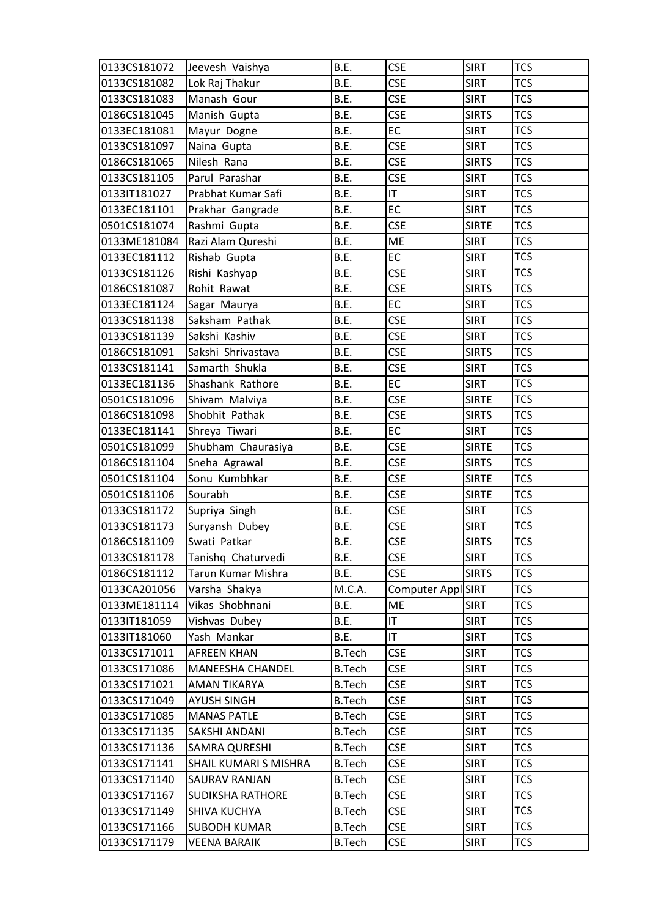| 0133CS181072 | Jeevesh Vaishya       | B.E.          | <b>CSE</b>             | <b>SIRT</b>  | <b>TCS</b> |
|--------------|-----------------------|---------------|------------------------|--------------|------------|
| 0133CS181082 | Lok Raj Thakur        | B.E.          | <b>CSE</b>             | <b>SIRT</b>  | <b>TCS</b> |
| 0133CS181083 | Manash Gour           | B.E.          | <b>CSE</b>             | <b>SIRT</b>  | <b>TCS</b> |
| 0186CS181045 | Manish Gupta          | B.E.          | <b>CSE</b>             | <b>SIRTS</b> | <b>TCS</b> |
| 0133EC181081 | Mayur Dogne           | B.E.          | EC                     | <b>SIRT</b>  | <b>TCS</b> |
| 0133CS181097 | Naina Gupta           | B.E.          | <b>CSE</b>             | <b>SIRT</b>  | <b>TCS</b> |
| 0186CS181065 | Nilesh Rana           | B.E.          | <b>CSE</b>             | <b>SIRTS</b> | <b>TCS</b> |
| 0133CS181105 | Parul Parashar        | B.E.          | <b>CSE</b>             | <b>SIRT</b>  | <b>TCS</b> |
| 0133IT181027 | Prabhat Kumar Safi    | B.E.          | IT                     | <b>SIRT</b>  | <b>TCS</b> |
| 0133EC181101 | Prakhar Gangrade      | B.E.          | EC                     | <b>SIRT</b>  | <b>TCS</b> |
| 0501CS181074 | Rashmi Gupta          | B.E.          | <b>CSE</b>             | <b>SIRTE</b> | <b>TCS</b> |
| 0133ME181084 | Razi Alam Qureshi     | B.E.          | ME                     | <b>SIRT</b>  | <b>TCS</b> |
| 0133EC181112 | Rishab Gupta          | B.E.          | EC                     | <b>SIRT</b>  | <b>TCS</b> |
| 0133CS181126 | Rishi Kashyap         | B.E.          | <b>CSE</b>             | <b>SIRT</b>  | <b>TCS</b> |
| 0186CS181087 | Rohit Rawat           | B.E.          | <b>CSE</b>             | <b>SIRTS</b> | <b>TCS</b> |
| 0133EC181124 | Sagar Maurya          | B.E.          | EC                     | <b>SIRT</b>  | <b>TCS</b> |
| 0133CS181138 | Saksham Pathak        | B.E.          | <b>CSE</b>             | <b>SIRT</b>  | <b>TCS</b> |
| 0133CS181139 | Sakshi Kashiv         | B.E.          | <b>CSE</b>             | <b>SIRT</b>  | <b>TCS</b> |
| 0186CS181091 | Sakshi Shrivastava    | B.E.          | <b>CSE</b>             | <b>SIRTS</b> | <b>TCS</b> |
| 0133CS181141 | Samarth Shukla        | B.E.          | <b>CSE</b>             | <b>SIRT</b>  | <b>TCS</b> |
| 0133EC181136 | Shashank Rathore      | B.E.          | <b>EC</b>              | <b>SIRT</b>  | <b>TCS</b> |
| 0501CS181096 | Shivam Malviya        | B.E.          | <b>CSE</b>             | <b>SIRTE</b> | <b>TCS</b> |
| 0186CS181098 | Shobhit Pathak        | B.E.          | <b>CSE</b>             | <b>SIRTS</b> | <b>TCS</b> |
| 0133EC181141 | Shreya Tiwari         | B.E.          | EC                     | <b>SIRT</b>  | <b>TCS</b> |
| 0501CS181099 | Shubham Chaurasiya    | B.E.          | <b>CSE</b>             | <b>SIRTE</b> | <b>TCS</b> |
| 0186CS181104 | Sneha Agrawal         | B.E.          | <b>CSE</b>             | <b>SIRTS</b> | <b>TCS</b> |
| 0501CS181104 | Sonu Kumbhkar         | B.E.          | <b>CSE</b>             | <b>SIRTE</b> | <b>TCS</b> |
| 0501CS181106 | Sourabh               | B.E.          | <b>CSE</b>             | <b>SIRTE</b> | <b>TCS</b> |
| 0133CS181172 | Supriya Singh         | B.E.          | <b>CSE</b>             | <b>SIRT</b>  | <b>TCS</b> |
| 0133CS181173 | Suryansh Dubey        | B.E.          | <b>CSE</b>             | <b>SIRT</b>  | <b>TCS</b> |
| 0186CS181109 | Swati Patkar          | B.E.          | <b>CSE</b>             | <b>SIRTS</b> | <b>TCS</b> |
| 0133CS181178 | Tanishq Chaturvedi    | B.E.          | <b>CSE</b>             | <b>SIRT</b>  | <b>TCS</b> |
| 0186CS181112 | Tarun Kumar Mishra    | B.E.          | <b>CSE</b>             | <b>SIRTS</b> | <b>TCS</b> |
| 0133CA201056 | Varsha Shakya         | M.C.A.        | Computer Appl SIRT     |              | <b>TCS</b> |
| 0133ME181114 | Vikas Shobhnani       | B.E.          | <b>ME</b>              | <b>SIRT</b>  | <b>TCS</b> |
| 0133IT181059 | Vishvas Dubey         | B.E.          | $\mathsf{I}\mathsf{T}$ | <b>SIRT</b>  | TCS        |
| 0133IT181060 | Yash Mankar           | B.E.          | IT.                    | <b>SIRT</b>  | <b>TCS</b> |
| 0133CS171011 | <b>AFREEN KHAN</b>    | <b>B.Tech</b> | <b>CSE</b>             | <b>SIRT</b>  | <b>TCS</b> |
| 0133CS171086 | MANEESHA CHANDEL      | <b>B.Tech</b> | <b>CSE</b>             | <b>SIRT</b>  | <b>TCS</b> |
| 0133CS171021 | <b>AMAN TIKARYA</b>   | <b>B.Tech</b> | <b>CSE</b>             | <b>SIRT</b>  | <b>TCS</b> |
| 0133CS171049 | <b>AYUSH SINGH</b>    | <b>B.Tech</b> | <b>CSE</b>             | <b>SIRT</b>  | TCS        |
| 0133CS171085 | <b>MANAS PATLE</b>    | <b>B.Tech</b> | <b>CSE</b>             | <b>SIRT</b>  | <b>TCS</b> |
| 0133CS171135 | SAKSHI ANDANI         | <b>B.Tech</b> | <b>CSE</b>             | <b>SIRT</b>  | <b>TCS</b> |
| 0133CS171136 | SAMRA QURESHI         | <b>B.Tech</b> | <b>CSE</b>             | <b>SIRT</b>  | <b>TCS</b> |
| 0133CS171141 | SHAIL KUMARI S MISHRA | <b>B.Tech</b> | <b>CSE</b>             | <b>SIRT</b>  | <b>TCS</b> |
| 0133CS171140 | <b>SAURAV RANJAN</b>  | <b>B.Tech</b> | <b>CSE</b>             | <b>SIRT</b>  | <b>TCS</b> |
| 0133CS171167 | SUDIKSHA RATHORE      | <b>B.Tech</b> | <b>CSE</b>             | <b>SIRT</b>  | <b>TCS</b> |
| 0133CS171149 | SHIVA KUCHYA          | <b>B.Tech</b> | <b>CSE</b>             | <b>SIRT</b>  | <b>TCS</b> |
| 0133CS171166 | <b>SUBODH KUMAR</b>   | <b>B.Tech</b> | <b>CSE</b>             | <b>SIRT</b>  | <b>TCS</b> |
| 0133CS171179 | <b>VEENA BARAIK</b>   | <b>B.Tech</b> | <b>CSE</b>             | <b>SIRT</b>  | <b>TCS</b> |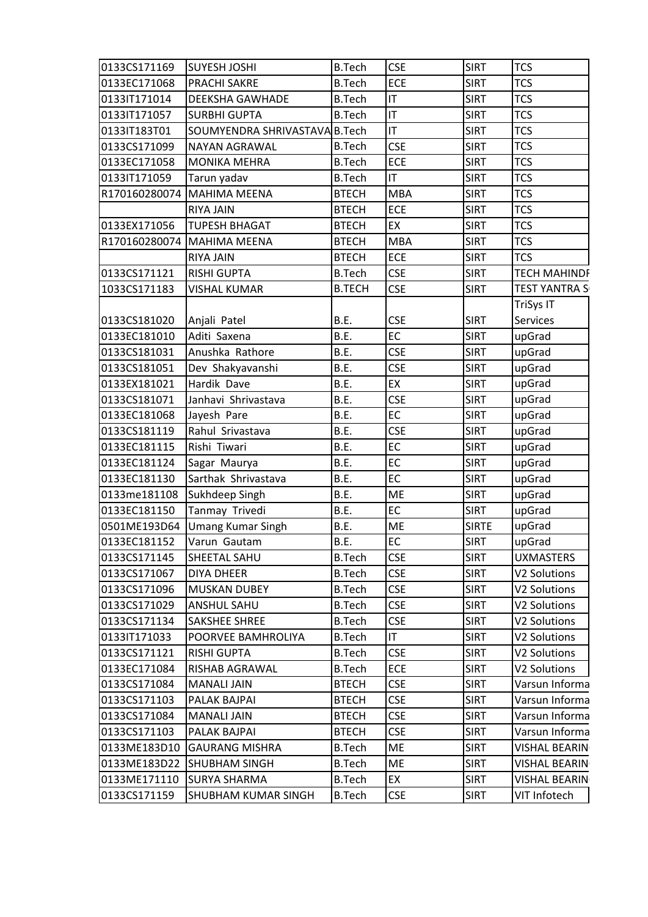| 0133CS171169  | <b>SUYESH JOSHI</b>           | <b>B.Tech</b> | <b>CSE</b>             | <b>SIRT</b>  | <b>TCS</b>           |
|---------------|-------------------------------|---------------|------------------------|--------------|----------------------|
| 0133EC171068  | <b>PRACHI SAKRE</b>           | <b>B.Tech</b> | ECE                    | <b>SIRT</b>  | <b>TCS</b>           |
| 0133IT171014  | <b>DEEKSHA GAWHADE</b>        | <b>B.Tech</b> | IT                     | <b>SIRT</b>  | <b>TCS</b>           |
| 0133IT171057  | <b>SURBHI GUPTA</b>           | <b>B.Tech</b> | IТ                     | <b>SIRT</b>  | <b>TCS</b>           |
| 01331T183T01  | SOUMYENDRA SHRIVASTAVA B.Tech |               | <b>IT</b>              | <b>SIRT</b>  | <b>TCS</b>           |
| 0133CS171099  | <b>NAYAN AGRAWAL</b>          | <b>B.Tech</b> | <b>CSE</b>             | <b>SIRT</b>  | <b>TCS</b>           |
| 0133EC171058  | <b>MONIKA MEHRA</b>           | <b>B.Tech</b> | ECE                    | <b>SIRT</b>  | <b>TCS</b>           |
| 0133IT171059  | Tarun yadav                   | <b>B.Tech</b> | $\mathsf{I}\mathsf{T}$ | <b>SIRT</b>  | <b>TCS</b>           |
| R170160280074 | <b>MAHIMA MEENA</b>           | <b>BTECH</b>  | <b>MBA</b>             | <b>SIRT</b>  | <b>TCS</b>           |
|               | RIYA JAIN                     | <b>BTECH</b>  | ECE                    | <b>SIRT</b>  | <b>TCS</b>           |
| 0133EX171056  | <b>TUPESH BHAGAT</b>          | <b>BTECH</b>  | EX                     | <b>SIRT</b>  | <b>TCS</b>           |
| R170160280074 | <b>MAHIMA MEENA</b>           | <b>BTECH</b>  | <b>MBA</b>             | <b>SIRT</b>  | <b>TCS</b>           |
|               | <b>RIYA JAIN</b>              | <b>BTECH</b>  | ECE                    | <b>SIRT</b>  | <b>TCS</b>           |
| 0133CS171121  | <b>RISHI GUPTA</b>            | <b>B.Tech</b> | <b>CSE</b>             | <b>SIRT</b>  | <b>TECH MAHINDF</b>  |
| 1033CS171183  | <b>VISHAL KUMAR</b>           | <b>B.TECH</b> | <b>CSE</b>             | <b>SIRT</b>  | <b>TEST YANTRA S</b> |
|               |                               |               |                        |              | TriSys IT            |
| 0133CS181020  | Anjali Patel                  | B.E.          | <b>CSE</b>             | <b>SIRT</b>  | Services             |
| 0133EC181010  | Aditi Saxena                  | B.E.          | EC                     | <b>SIRT</b>  | upGrad               |
| 0133CS181031  | Anushka Rathore               | B.E.          | <b>CSE</b>             | <b>SIRT</b>  | upGrad               |
| 0133CS181051  | Dev Shakyavanshi              | B.E.          | <b>CSE</b>             | <b>SIRT</b>  | upGrad               |
| 0133EX181021  | Hardik Dave                   | B.E.          | EX                     | <b>SIRT</b>  | upGrad               |
| 0133CS181071  | Janhavi Shrivastava           | B.E.          | <b>CSE</b>             | <b>SIRT</b>  | upGrad               |
| 0133EC181068  | Jayesh Pare                   | B.E.          | EC                     | <b>SIRT</b>  | upGrad               |
| 0133CS181119  | Rahul Srivastava              | B.E.          | <b>CSE</b>             | <b>SIRT</b>  | upGrad               |
| 0133EC181115  | Rishi Tiwari                  | B.E.          | EC                     | <b>SIRT</b>  | upGrad               |
| 0133EC181124  | Sagar Maurya                  | B.E.          | EC                     | <b>SIRT</b>  | upGrad               |
| 0133EC181130  | Sarthak Shrivastava           | B.E.          | EC                     | <b>SIRT</b>  | upGrad               |
| 0133me181108  | Sukhdeep Singh                | B.E.          | <b>ME</b>              | <b>SIRT</b>  | upGrad               |
| 0133EC181150  | Tanmay Trivedi                | B.E.          | EC                     | <b>SIRT</b>  | upGrad               |
| 0501ME193D64  | <b>Umang Kumar Singh</b>      | B.E.          | ME                     | <b>SIRTE</b> | upGrad               |
| 0133EC181152  | Varun Gautam                  | B.E.          | EC                     | <b>SIRT</b>  | upGrad               |
| 0133CS171145  | SHEETAL SAHU                  | <b>B.Tech</b> | <b>CSE</b>             | <b>SIRT</b>  | <b>UXMASTERS</b>     |
| 0133CS171067  | <b>DIYA DHEER</b>             | <b>B.Tech</b> | <b>CSE</b>             | <b>SIRT</b>  | <b>V2 Solutions</b>  |
| 0133CS171096  | <b>MUSKAN DUBEY</b>           | <b>B.Tech</b> | <b>CSE</b>             | <b>SIRT</b>  | <b>V2 Solutions</b>  |
| 0133CS171029  | <b>ANSHUL SAHU</b>            | <b>B.Tech</b> | <b>CSE</b>             | <b>SIRT</b>  | V2 Solutions         |
| 0133CS171134  | <b>SAKSHEE SHREE</b>          | <b>B.Tech</b> | <b>CSE</b>             | <b>SIRT</b>  | V2 Solutions         |
| 0133IT171033  | POORVEE BAMHROLIYA            | <b>B.Tech</b> | IT.                    | <b>SIRT</b>  | V2 Solutions         |
| 0133CS171121  | <b>RISHI GUPTA</b>            | <b>B.Tech</b> | <b>CSE</b>             | <b>SIRT</b>  | <b>V2 Solutions</b>  |
| 0133EC171084  | RISHAB AGRAWAL                | <b>B.Tech</b> | ECE                    | <b>SIRT</b>  | V2 Solutions         |
| 0133CS171084  | <b>MANALI JAIN</b>            | <b>BTECH</b>  | <b>CSE</b>             | <b>SIRT</b>  | Varsun Informa       |
| 0133CS171103  | PALAK BAJPAI                  | <b>BTECH</b>  | <b>CSE</b>             | <b>SIRT</b>  | Varsun Informa       |
| 0133CS171084  | <b>MANALI JAIN</b>            | <b>BTECH</b>  | <b>CSE</b>             | <b>SIRT</b>  | Varsun Informa       |
| 0133CS171103  | PALAK BAJPAI                  | <b>BTECH</b>  | <b>CSE</b>             | <b>SIRT</b>  | Varsun Informa       |
| 0133ME183D10  | <b>GAURANG MISHRA</b>         | <b>B.Tech</b> | ME                     | <b>SIRT</b>  | VISHAL BEARIN        |
| 0133ME183D22  | <b>SHUBHAM SINGH</b>          | <b>B.Tech</b> | ME                     | <b>SIRT</b>  | VISHAL BEARIN        |
| 0133ME171110  | <b>SURYA SHARMA</b>           | <b>B.Tech</b> | EX                     | <b>SIRT</b>  | VISHAL BEARIN        |
| 0133CS171159  | <b>SHUBHAM KUMAR SINGH</b>    | <b>B.Tech</b> | <b>CSE</b>             | <b>SIRT</b>  | VIT Infotech         |
|               |                               |               |                        |              |                      |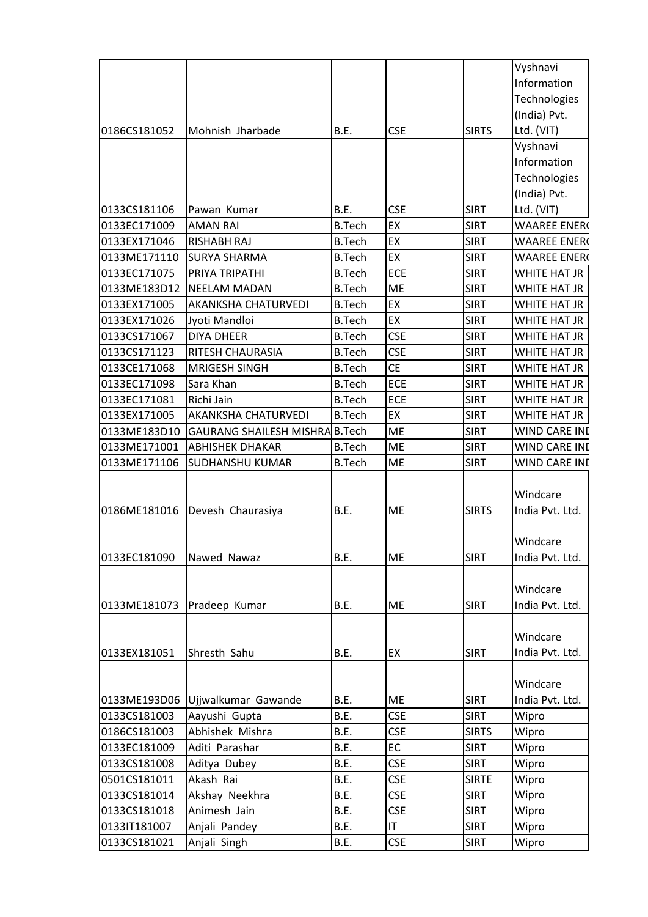|              |                                |               |            |              | Vyshnavi             |  |
|--------------|--------------------------------|---------------|------------|--------------|----------------------|--|
|              |                                |               |            |              | Information          |  |
|              |                                |               |            |              | Technologies         |  |
|              |                                |               |            |              | (India) Pvt.         |  |
| 0186CS181052 | Mohnish Jharbade               | B.E.          | <b>CSE</b> | <b>SIRTS</b> | Ltd. (VIT)           |  |
|              |                                |               |            |              | Vyshnavi             |  |
|              |                                |               |            |              | Information          |  |
|              |                                |               |            |              | Technologies         |  |
|              |                                |               |            |              | (India) Pvt.         |  |
| 0133CS181106 | Pawan Kumar                    | B.E.          | <b>CSE</b> | <b>SIRT</b>  | Ltd. (VIT)           |  |
| 0133EC171009 | <b>AMAN RAI</b>                | <b>B.Tech</b> | EX         | <b>SIRT</b>  | <b>WAAREE ENERC</b>  |  |
| 0133EX171046 | <b>RISHABH RAJ</b>             | <b>B.Tech</b> | EX         | <b>SIRT</b>  | <b>WAAREE ENERC</b>  |  |
| 0133ME171110 | <b>SURYA SHARMA</b>            | <b>B.Tech</b> | EX         | <b>SIRT</b>  | <b>WAAREE ENERC</b>  |  |
| 0133EC171075 | PRIYA TRIPATHI                 | <b>B.Tech</b> | ECE        | <b>SIRT</b>  | WHITE HAT JR         |  |
| 0133ME183D12 | <b>NEELAM MADAN</b>            | <b>B.Tech</b> | ME         | <b>SIRT</b>  | WHITE HAT JR         |  |
| 0133EX171005 | <b>AKANKSHA CHATURVEDI</b>     | <b>B.Tech</b> | EX         | <b>SIRT</b>  | WHITE HAT JR         |  |
| 0133EX171026 | Jyoti Mandloi                  | <b>B.Tech</b> | EX         | <b>SIRT</b>  | WHITE HAT JR         |  |
| 0133CS171067 | <b>DIYA DHEER</b>              | <b>B.Tech</b> | <b>CSE</b> | <b>SIRT</b>  | WHITE HAT JR         |  |
| 0133CS171123 | RITESH CHAURASIA               | <b>B.Tech</b> | <b>CSE</b> | <b>SIRT</b>  | WHITE HAT JR         |  |
| 0133CE171068 | <b>MRIGESH SINGH</b>           | <b>B.Tech</b> | <b>CE</b>  | <b>SIRT</b>  | WHITE HAT JR         |  |
| 0133EC171098 | Sara Khan                      | <b>B.Tech</b> | ECE        | <b>SIRT</b>  | WHITE HAT JR         |  |
| 0133EC171081 | Richi Jain                     | <b>B.Tech</b> | <b>ECE</b> | <b>SIRT</b>  | WHITE HAT JR         |  |
| 0133EX171005 | AKANKSHA CHATURVEDI            | <b>B.Tech</b> | <b>EX</b>  | <b>SIRT</b>  | WHITE HAT JR         |  |
| 0133ME183D10 | GAURANG SHAILESH MISHRA B.Tech |               | <b>ME</b>  | <b>SIRT</b>  | WIND CARE IND        |  |
| 0133ME171001 | <b>ABHISHEK DHAKAR</b>         | <b>B.Tech</b> | ME         | <b>SIRT</b>  | <b>WIND CARE IND</b> |  |
| 0133ME171106 | <b>SUDHANSHU KUMAR</b>         | <b>B.Tech</b> | ME         | <b>SIRT</b>  | WIND CARE IND        |  |
|              |                                |               |            |              |                      |  |
|              |                                |               |            |              | Windcare             |  |
| 0186ME181016 | Devesh Chaurasiya              | B.E.          | ME         | <b>SIRTS</b> | India Pvt. Ltd.      |  |
|              |                                |               |            |              |                      |  |
|              |                                |               |            |              | Windcare             |  |
| 0133EC181090 | Nawed Nawaz                    | B.E.          | ME         | <b>SIRT</b>  | India Pvt. Ltd.      |  |
|              |                                |               |            |              |                      |  |
|              |                                |               |            |              | Windcare             |  |
| 0133ME181073 | Pradeep Kumar                  | B.E.          | <b>ME</b>  | <b>SIRT</b>  | India Pvt. Ltd.      |  |
|              |                                |               |            |              |                      |  |
|              |                                |               |            |              | Windcare             |  |
| 0133EX181051 | Shresth Sahu                   | B.E.          | EX         | <b>SIRT</b>  | India Pvt. Ltd.      |  |
|              |                                |               |            |              |                      |  |
|              |                                |               |            |              | Windcare             |  |
| 0133ME193D06 | Ujjwalkumar Gawande            | B.E.          | ME         | <b>SIRT</b>  | India Pvt. Ltd.      |  |
| 0133CS181003 | Aayushi Gupta                  | B.E.          | <b>CSE</b> | <b>SIRT</b>  | Wipro                |  |
| 0186CS181003 | Abhishek Mishra                | B.E.          | <b>CSE</b> | <b>SIRTS</b> | Wipro                |  |
| 0133EC181009 | Aditi Parashar                 | B.E.          | <b>EC</b>  | <b>SIRT</b>  | Wipro                |  |
| 0133CS181008 | Aditya Dubey                   | B.E.          | <b>CSE</b> | <b>SIRT</b>  | Wipro                |  |
| 0501CS181011 | Akash Rai                      | B.E.          | <b>CSE</b> | <b>SIRTE</b> | Wipro                |  |
| 0133CS181014 | Akshay Neekhra                 | B.E.          | <b>CSE</b> | <b>SIRT</b>  | Wipro                |  |
| 0133CS181018 | Animesh Jain                   | B.E.          | <b>CSE</b> | <b>SIRT</b>  | Wipro                |  |
| 0133IT181007 | Anjali Pandey                  | B.E.          | IT         | <b>SIRT</b>  | Wipro                |  |
| 0133CS181021 | Anjali Singh                   | B.E.          | <b>CSE</b> | <b>SIRT</b>  | Wipro                |  |
|              |                                |               |            |              |                      |  |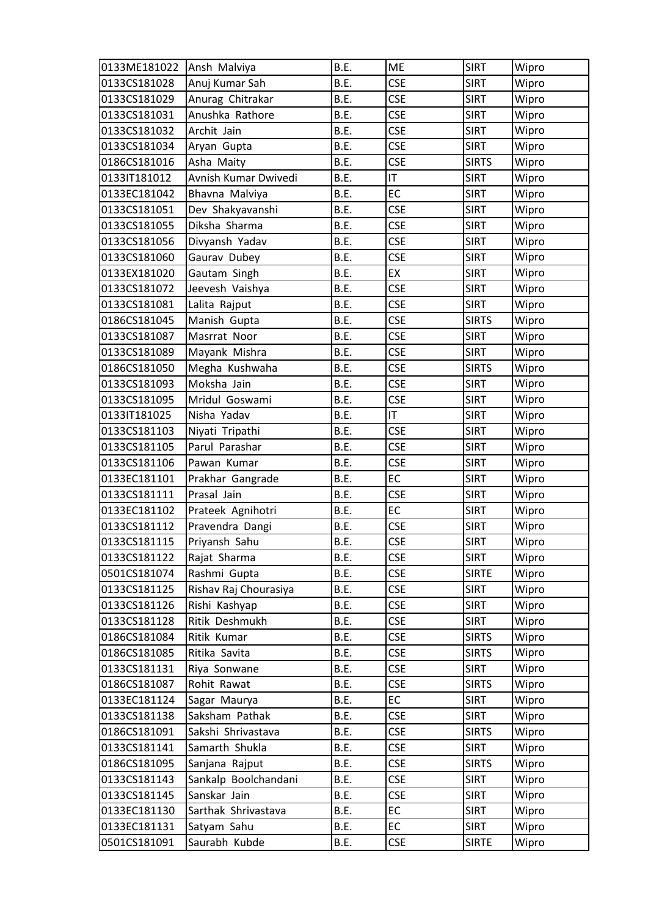| 0133ME181022 | Ansh Malviya          | B.E. | ME         | <b>SIRT</b>  | Wipro |
|--------------|-----------------------|------|------------|--------------|-------|
| 0133CS181028 | Anuj Kumar Sah        | B.E. | <b>CSE</b> | <b>SIRT</b>  | Wipro |
| 0133CS181029 | Anurag Chitrakar      | B.E. | <b>CSE</b> | <b>SIRT</b>  | Wipro |
| 0133CS181031 | Anushka Rathore       | B.E. | <b>CSE</b> | <b>SIRT</b>  | Wipro |
| 0133CS181032 | Archit Jain           | B.E. | <b>CSE</b> | <b>SIRT</b>  | Wipro |
| 0133CS181034 | Aryan Gupta           | B.E. | <b>CSE</b> | <b>SIRT</b>  | Wipro |
| 0186CS181016 | Asha Maity            | B.E. | <b>CSE</b> | <b>SIRTS</b> | Wipro |
| 0133IT181012 | Avnish Kumar Dwivedi  | B.E. | IT.        | <b>SIRT</b>  | Wipro |
| 0133EC181042 | Bhavna Malviya        | B.E. | EC         | <b>SIRT</b>  | Wipro |
| 0133CS181051 | Dev Shakyavanshi      | B.E. | <b>CSE</b> | <b>SIRT</b>  | Wipro |
| 0133CS181055 | Diksha Sharma         | B.E. | <b>CSE</b> | <b>SIRT</b>  | Wipro |
| 0133CS181056 | Divyansh Yadav        | B.E. | <b>CSE</b> | <b>SIRT</b>  | Wipro |
| 0133CS181060 | Gaurav Dubey          | B.E. | <b>CSE</b> | <b>SIRT</b>  | Wipro |
| 0133EX181020 | Gautam Singh          | B.E. | EX         | <b>SIRT</b>  | Wipro |
| 0133CS181072 | Jeevesh Vaishya       | B.E. | <b>CSE</b> | <b>SIRT</b>  | Wipro |
| 0133CS181081 | Lalita Rajput         | B.E. | <b>CSE</b> | <b>SIRT</b>  | Wipro |
| 0186CS181045 | Manish Gupta          | B.E. | <b>CSE</b> | <b>SIRTS</b> | Wipro |
| 0133CS181087 | Masrrat Noor          | B.E. | <b>CSE</b> | <b>SIRT</b>  | Wipro |
| 0133CS181089 | Mayank Mishra         | B.E. | <b>CSE</b> | <b>SIRT</b>  | Wipro |
| 0186CS181050 | Megha Kushwaha        | B.E. | <b>CSE</b> | <b>SIRTS</b> | Wipro |
| 0133CS181093 | Moksha Jain           | B.E. | <b>CSE</b> | <b>SIRT</b>  | Wipro |
| 0133CS181095 | Mridul Goswami        | B.E. | <b>CSE</b> | <b>SIRT</b>  | Wipro |
| 0133IT181025 | Nisha Yadav           | B.E. | IT.        | <b>SIRT</b>  | Wipro |
| 0133CS181103 | Niyati Tripathi       | B.E. | <b>CSE</b> | <b>SIRT</b>  | Wipro |
| 0133CS181105 | Parul Parashar        | B.E. | <b>CSE</b> | <b>SIRT</b>  | Wipro |
| 0133CS181106 | Pawan Kumar           | B.E. | <b>CSE</b> | <b>SIRT</b>  | Wipro |
| 0133EC181101 | Prakhar Gangrade      | B.E. | EC         | <b>SIRT</b>  | Wipro |
| 0133CS181111 | Prasal Jain           | B.E. | <b>CSE</b> | <b>SIRT</b>  | Wipro |
| 0133EC181102 | Prateek Agnihotri     | B.E. | EC         | <b>SIRT</b>  | Wipro |
| 0133CS181112 | Pravendra Dangi       | B.E. | <b>CSE</b> | <b>SIRT</b>  | Wipro |
| 0133CS181115 | Priyansh Sahu         | B.E. | <b>CSE</b> | <b>SIRT</b>  | Wipro |
| 0133CS181122 | Rajat Sharma          | B.E. | <b>CSE</b> | <b>SIRT</b>  | Wipro |
| 0501CS181074 | Rashmi Gupta          | B.E. | <b>CSE</b> | <b>SIRTE</b> | Wipro |
| 0133CS181125 | Rishav Raj Chourasiya | B.E. | <b>CSE</b> | <b>SIRT</b>  | Wipro |
| 0133CS181126 | Rishi Kashyap         | B.E. | <b>CSE</b> | <b>SIRT</b>  | Wipro |
| 0133CS181128 | Ritik Deshmukh        | B.E. | <b>CSE</b> | <b>SIRT</b>  | Wipro |
| 0186CS181084 | Ritik Kumar           | B.E. | <b>CSE</b> | <b>SIRTS</b> | Wipro |
| 0186CS181085 | Ritika Savita         | B.E. | <b>CSE</b> | <b>SIRTS</b> | Wipro |
| 0133CS181131 | Riya Sonwane          | B.E. | <b>CSE</b> | <b>SIRT</b>  | Wipro |
| 0186CS181087 | Rohit Rawat           | B.E. | <b>CSE</b> | <b>SIRTS</b> | Wipro |
| 0133EC181124 | Sagar Maurya          | B.E. | EC         | <b>SIRT</b>  | Wipro |
| 0133CS181138 | Saksham Pathak        | B.E. | <b>CSE</b> | <b>SIRT</b>  | Wipro |
| 0186CS181091 | Sakshi Shrivastava    | B.E. | <b>CSE</b> | <b>SIRTS</b> | Wipro |
| 0133CS181141 | Samarth Shukla        | B.E. | <b>CSE</b> | <b>SIRT</b>  | Wipro |
| 0186CS181095 | Sanjana Rajput        | B.E. | <b>CSE</b> | <b>SIRTS</b> | Wipro |
| 0133CS181143 | Sankalp Boolchandani  | B.E. | <b>CSE</b> | <b>SIRT</b>  | Wipro |
| 0133CS181145 | Sanskar Jain          | B.E. | <b>CSE</b> | <b>SIRT</b>  | Wipro |
| 0133EC181130 | Sarthak Shrivastava   | B.E. | EC         | <b>SIRT</b>  | Wipro |
| 0133EC181131 | Satyam Sahu           | B.E. | EC         | <b>SIRT</b>  | Wipro |
| 0501CS181091 | Saurabh Kubde         | B.E. | <b>CSE</b> | <b>SIRTE</b> | Wipro |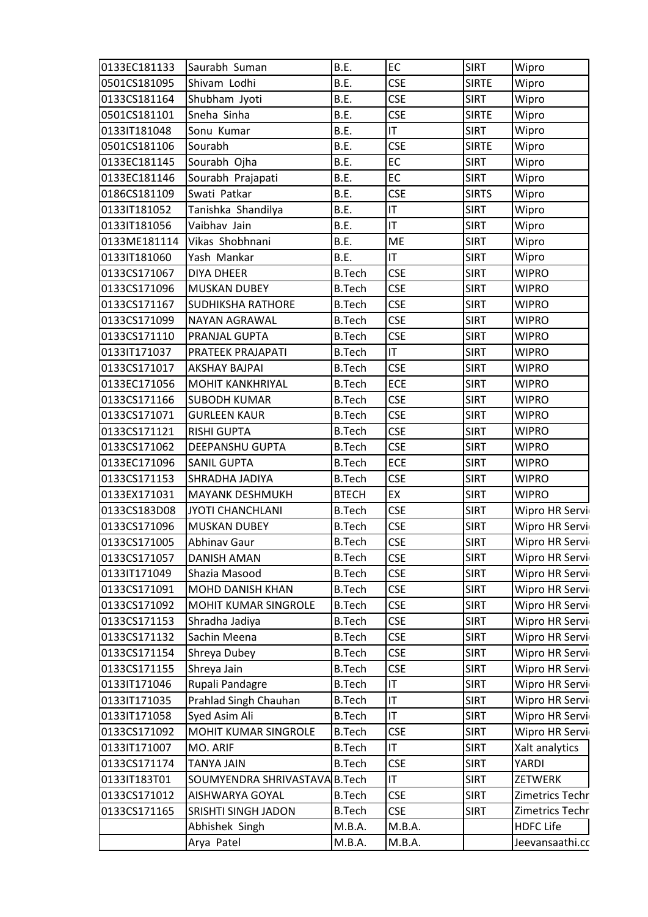| 0133EC181133 | Saurabh Suman                 | B.E.          | EC                     | <b>SIRT</b>  | Wipro            |
|--------------|-------------------------------|---------------|------------------------|--------------|------------------|
| 0501CS181095 | Shivam Lodhi                  | B.E.          | <b>CSE</b>             | <b>SIRTE</b> | Wipro            |
| 0133CS181164 | Shubham Jyoti                 | B.E.          | <b>CSE</b>             | <b>SIRT</b>  | Wipro            |
| 0501CS181101 | Sneha Sinha                   | B.E.          | <b>CSE</b>             | <b>SIRTE</b> | Wipro            |
| 0133IT181048 | Sonu Kumar                    | B.E.          | IT.                    | <b>SIRT</b>  | Wipro            |
| 0501CS181106 | Sourabh                       | B.E.          | <b>CSE</b>             | <b>SIRTE</b> | Wipro            |
| 0133EC181145 | Sourabh Ojha                  | B.E.          | EC                     | <b>SIRT</b>  | Wipro            |
| 0133EC181146 | Sourabh Prajapati             | B.E.          | EC                     | <b>SIRT</b>  | Wipro            |
| 0186CS181109 | Swati Patkar                  | B.E.          | <b>CSE</b>             | <b>SIRTS</b> | Wipro            |
| 0133IT181052 | Tanishka Shandilya            | B.E.          | IT                     | <b>SIRT</b>  | Wipro            |
| 0133IT181056 | Vaibhav Jain                  | B.E.          | IT                     | <b>SIRT</b>  | Wipro            |
| 0133ME181114 | Vikas Shobhnani               | B.E.          | <b>ME</b>              | <b>SIRT</b>  | Wipro            |
| 0133IT181060 | Yash Mankar                   | B.E.          | IT.                    | <b>SIRT</b>  | Wipro            |
| 0133CS171067 | <b>DIYA DHEER</b>             | <b>B.Tech</b> | <b>CSE</b>             | <b>SIRT</b>  | <b>WIPRO</b>     |
| 0133CS171096 | <b>MUSKAN DUBEY</b>           | <b>B.Tech</b> | <b>CSE</b>             | <b>SIRT</b>  | <b>WIPRO</b>     |
| 0133CS171167 | <b>SUDHIKSHA RATHORE</b>      | <b>B.Tech</b> | <b>CSE</b>             | <b>SIRT</b>  | <b>WIPRO</b>     |
| 0133CS171099 | NAYAN AGRAWAL                 | <b>B.Tech</b> | <b>CSE</b>             | <b>SIRT</b>  | <b>WIPRO</b>     |
| 0133CS171110 | PRANJAL GUPTA                 | <b>B.Tech</b> | <b>CSE</b>             | <b>SIRT</b>  | <b>WIPRO</b>     |
| 0133IT171037 | PRATEEK PRAJAPATI             | <b>B.Tech</b> | $\mathsf{I}\mathsf{T}$ | <b>SIRT</b>  | <b>WIPRO</b>     |
| 0133CS171017 | <b>AKSHAY BAJPAI</b>          | <b>B.Tech</b> | <b>CSE</b>             | <b>SIRT</b>  | <b>WIPRO</b>     |
| 0133EC171056 | <b>MOHIT KANKHRIYAL</b>       | <b>B.Tech</b> | ECE                    | <b>SIRT</b>  | <b>WIPRO</b>     |
| 0133CS171166 | <b>SUBODH KUMAR</b>           | <b>B.Tech</b> | <b>CSE</b>             | <b>SIRT</b>  | <b>WIPRO</b>     |
| 0133CS171071 | <b>GURLEEN KAUR</b>           | <b>B.Tech</b> | <b>CSE</b>             | <b>SIRT</b>  | <b>WIPRO</b>     |
| 0133CS171121 | <b>RISHI GUPTA</b>            | <b>B.Tech</b> | <b>CSE</b>             | <b>SIRT</b>  | WIPRO            |
| 0133CS171062 | <b>DEEPANSHU GUPTA</b>        | <b>B.Tech</b> | <b>CSE</b>             | <b>SIRT</b>  | <b>WIPRO</b>     |
| 0133EC171096 | <b>SANIL GUPTA</b>            | <b>B.Tech</b> | ECE                    | <b>SIRT</b>  | <b>WIPRO</b>     |
| 0133CS171153 | SHRADHA JADIYA                | <b>B.Tech</b> | <b>CSE</b>             | <b>SIRT</b>  | <b>WIPRO</b>     |
| 0133EX171031 | <b>MAYANK DESHMUKH</b>        | <b>BTECH</b>  | EX                     | <b>SIRT</b>  | <b>WIPRO</b>     |
| 0133CS183D08 | JYOTI CHANCHLANI              | <b>B.Tech</b> | <b>CSE</b>             | <b>SIRT</b>  | Wipro HR Servi   |
| 0133CS171096 | <b>MUSKAN DUBEY</b>           | <b>B.Tech</b> | <b>CSE</b>             | <b>SIRT</b>  | Wipro HR Servi   |
| 0133CS171005 | Abhinav Gaur                  | <b>B.Tech</b> | <b>CSE</b>             | <b>SIRT</b>  | Wipro HR Servi   |
| 0133CS171057 | <b>DANISH AMAN</b>            | <b>B.Tech</b> | <b>CSE</b>             | <b>SIRT</b>  | Wipro HR Servi   |
| 0133IT171049 | Shazia Masood                 | <b>B.Tech</b> | <b>CSE</b>             | <b>SIRT</b>  | Wipro HR Servi   |
| 0133CS171091 | MOHD DANISH KHAN              | <b>B.Tech</b> | <b>CSE</b>             | <b>SIRT</b>  | Wipro HR Servi   |
| 0133CS171092 | <b>MOHIT KUMAR SINGROLE</b>   | <b>B.Tech</b> | <b>CSE</b>             | <b>SIRT</b>  | Wipro HR Servi   |
| 0133CS171153 | Shradha Jadiya                | <b>B.Tech</b> | <b>CSE</b>             | <b>SIRT</b>  | Wipro HR Servi   |
| 0133CS171132 | Sachin Meena                  | <b>B.Tech</b> | <b>CSE</b>             | <b>SIRT</b>  | Wipro HR Servi   |
| 0133CS171154 | Shreya Dubey                  | <b>B.Tech</b> | <b>CSE</b>             | <b>SIRT</b>  | Wipro HR Servi   |
| 0133CS171155 | Shreya Jain                   | <b>B.Tech</b> | <b>CSE</b>             | <b>SIRT</b>  | Wipro HR Servi   |
| 0133IT171046 | Rupali Pandagre               | <b>B.Tech</b> | IT                     | <b>SIRT</b>  | Wipro HR Servi   |
| 0133IT171035 | Prahlad Singh Chauhan         | <b>B.Tech</b> | IT                     | <b>SIRT</b>  | Wipro HR Servi   |
| 0133IT171058 | Syed Asim Ali                 | <b>B.Tech</b> | IT                     | <b>SIRT</b>  | Wipro HR Servi   |
| 0133CS171092 | MOHIT KUMAR SINGROLE          | <b>B.Tech</b> | <b>CSE</b>             | <b>SIRT</b>  | Wipro HR Servi   |
| 0133IT171007 | MO. ARIF                      | <b>B.Tech</b> | IT                     | <b>SIRT</b>  | Xalt analytics   |
| 0133CS171174 | TANYA JAIN                    | <b>B.Tech</b> | <b>CSE</b>             | <b>SIRT</b>  | YARDI            |
| 0133IT183T01 | SOUMYENDRA SHRIVASTAVA B.Tech |               | IT                     | <b>SIRT</b>  | ZETWERK          |
| 0133CS171012 | AISHWARYA GOYAL               | <b>B.Tech</b> | <b>CSE</b>             | <b>SIRT</b>  | Zimetrics Techr  |
| 0133CS171165 | SRISHTI SINGH JADON           | <b>B.Tech</b> | <b>CSE</b>             | <b>SIRT</b>  | Zimetrics Techr  |
|              | Abhishek Singh                | M.B.A.        | M.B.A.                 |              | <b>HDFC Life</b> |
|              | Arya Patel                    | M.B.A.        | M.B.A.                 |              | Jeevansaathi.cc  |
|              |                               |               |                        |              |                  |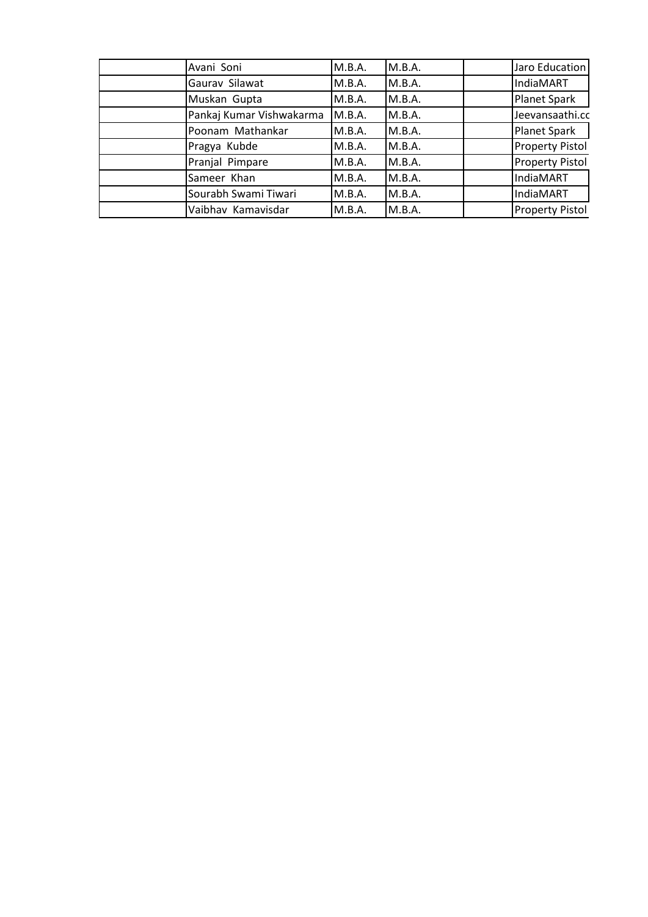| Avani Soni               | M.B.A. | M.B.A. | Jaro Education         |
|--------------------------|--------|--------|------------------------|
| Gaurav Silawat           | M.B.A. | M.B.A. | IndiaMART              |
| Muskan Gupta             | M.B.A. | M.B.A. | <b>Planet Spark</b>    |
| Pankaj Kumar Vishwakarma | M.B.A. | M.B.A. | Jeevansaathi.cc        |
| Poonam Mathankar         | M.B.A. | M.B.A. | <b>Planet Spark</b>    |
| Pragya Kubde             | M.B.A. | M.B.A. | <b>Property Pistol</b> |
| Pranjal Pimpare          | M.B.A. | M.B.A. | <b>Property Pistol</b> |
| Sameer Khan              | M.B.A. | M.B.A. | IndiaMART              |
| Sourabh Swami Tiwari     | M.B.A. | M.B.A. | IndiaMART              |
| Vaibhav Kamavisdar       | M.B.A. | M.B.A. | <b>Property Pistol</b> |
|                          |        |        |                        |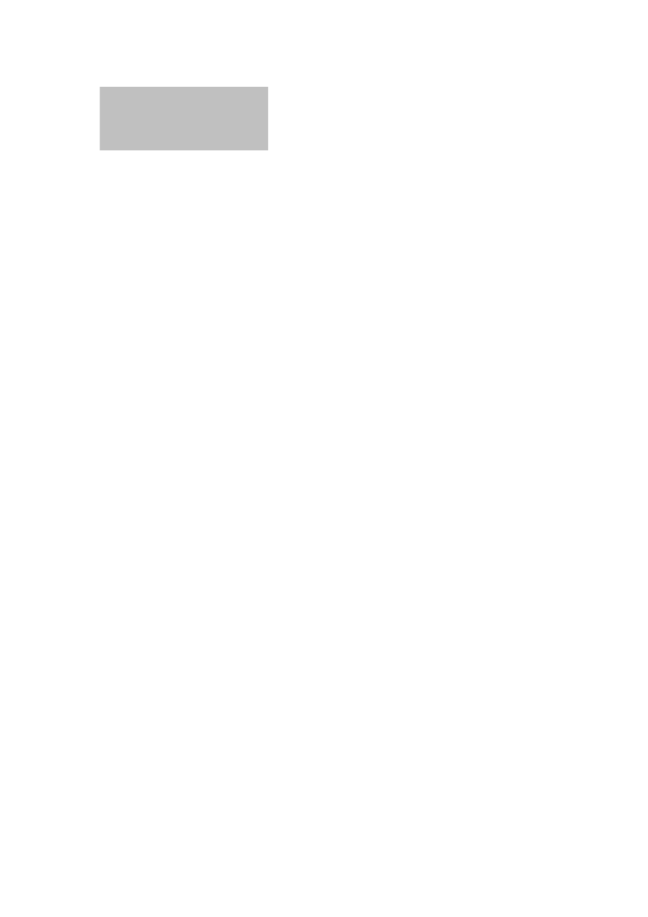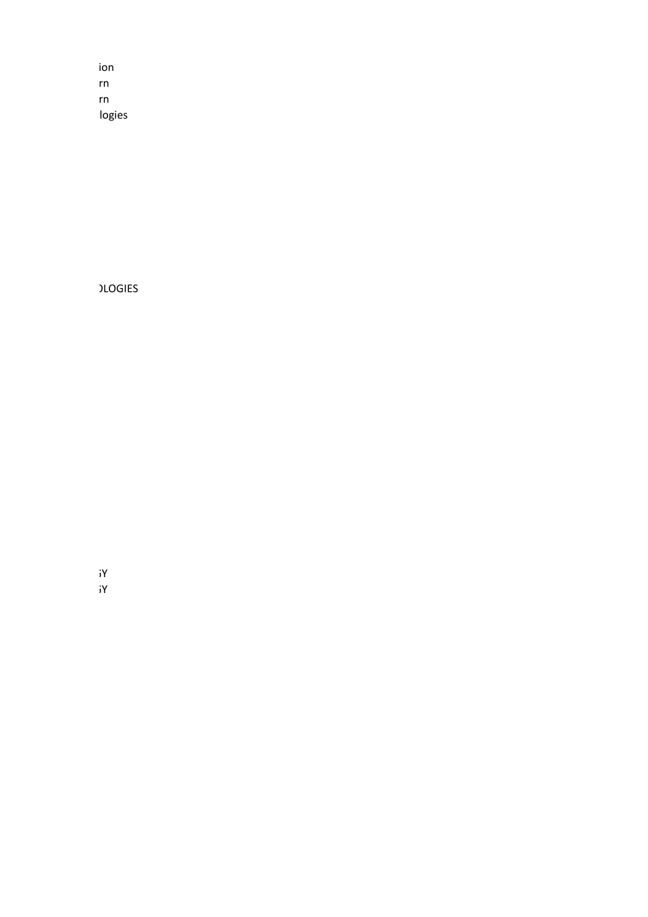ion  $rn$  $rn$ logies

**JLOGIES**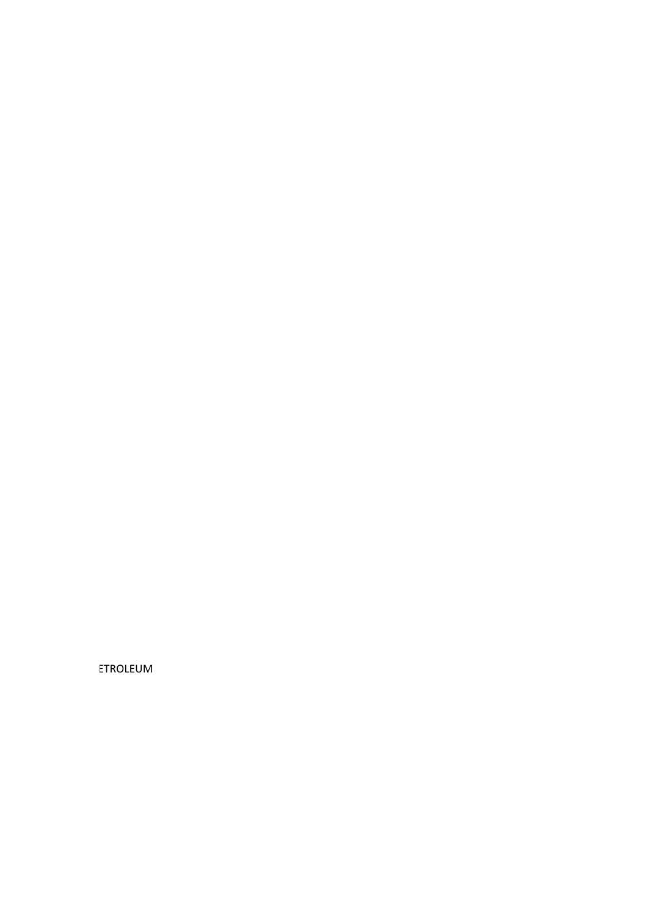ETROLEUM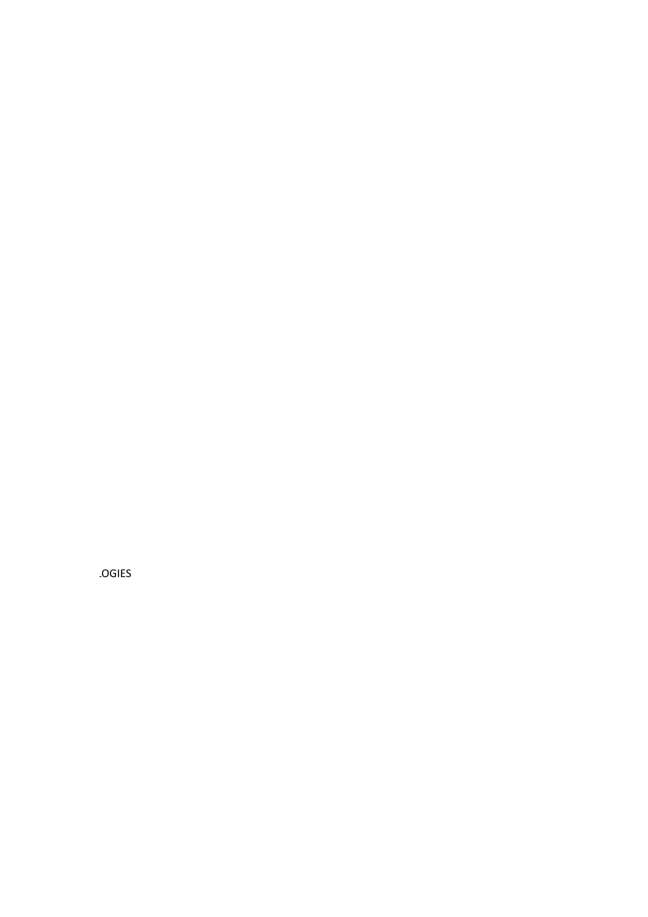.OGIES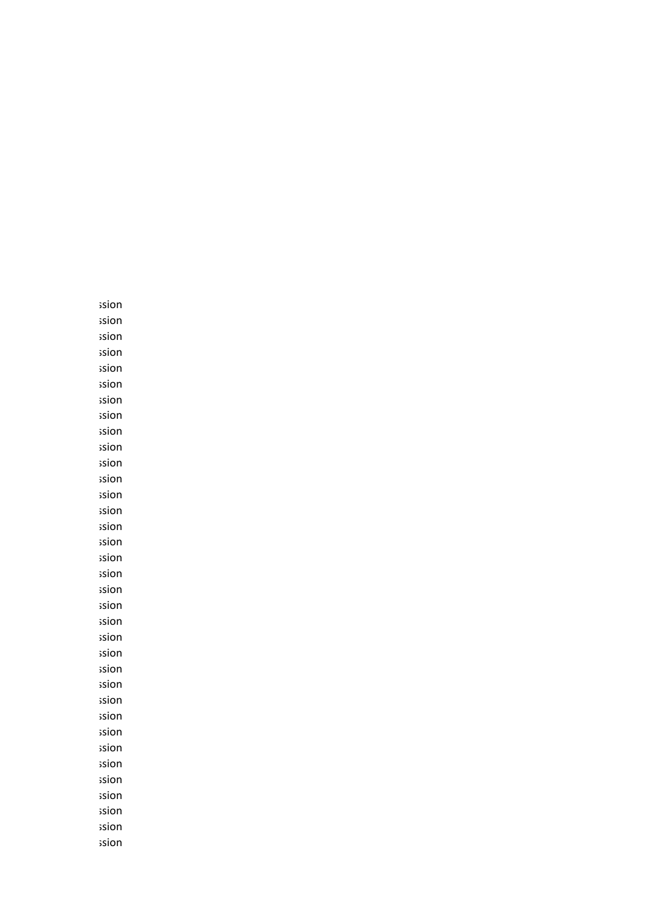ssion ssion ssion ssion ssion ssion ssion ssion ssion ssion ssion ssion ssion ssion ssion ssion ssion ssion ssion ssion ssion ssion ssion ssion ssion ssion ssion ssion ssion ssion ssion ssion ssion ssion ssion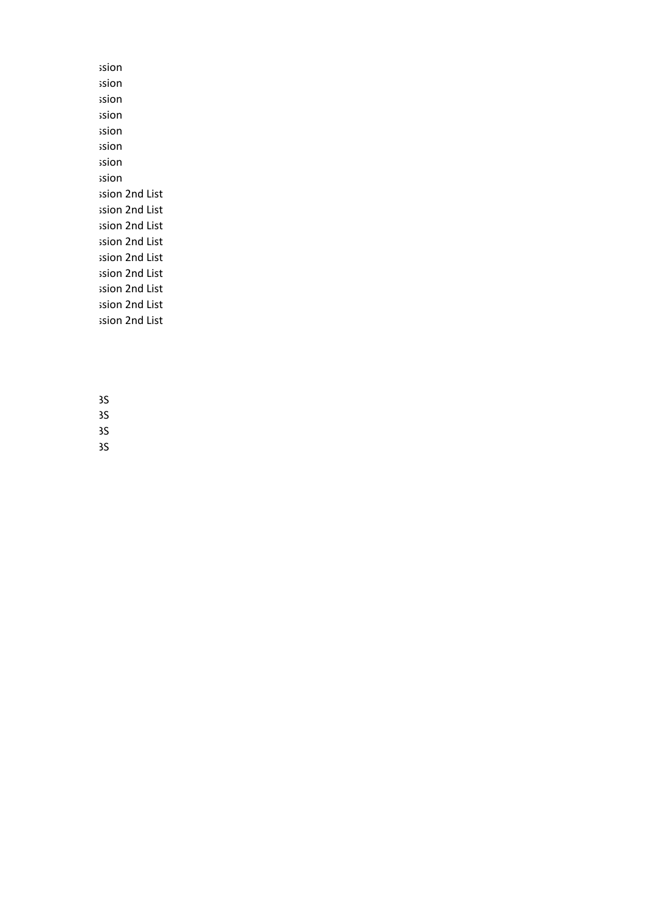ssion ssion ssion ssion ssion ssion ssion ssion ssion 2nd List ssion 2nd List ssion 2nd List ssion 2nd List ssion 2nd List ssion 2nd List ssion 2nd List ssion 2nd List ssion 2nd List

 $3S$  $3S$ 3S  $3S$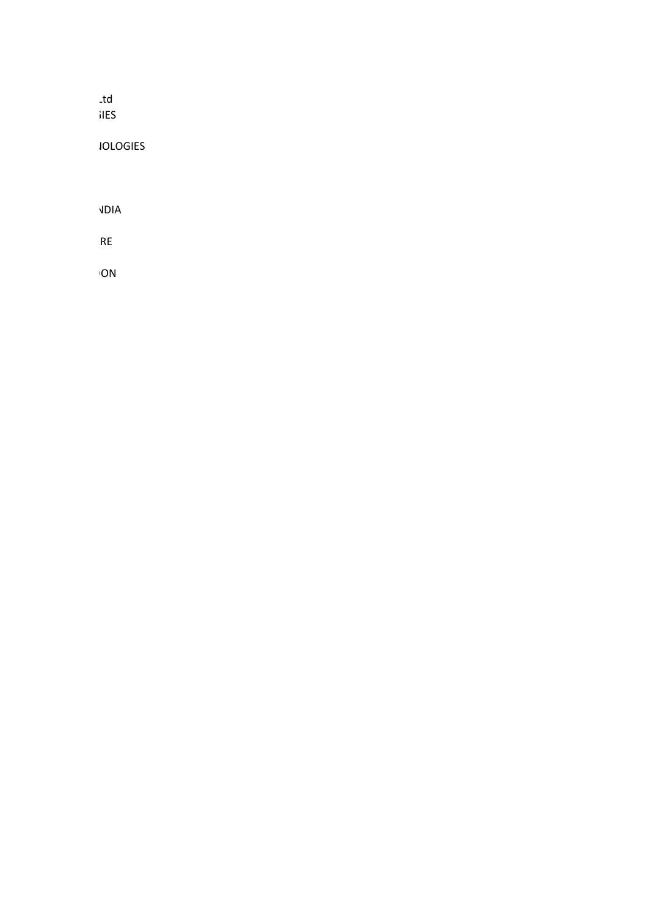$\_td$ iles

IOLOGIES

**JDIA** 

 $RE$ 

**ION**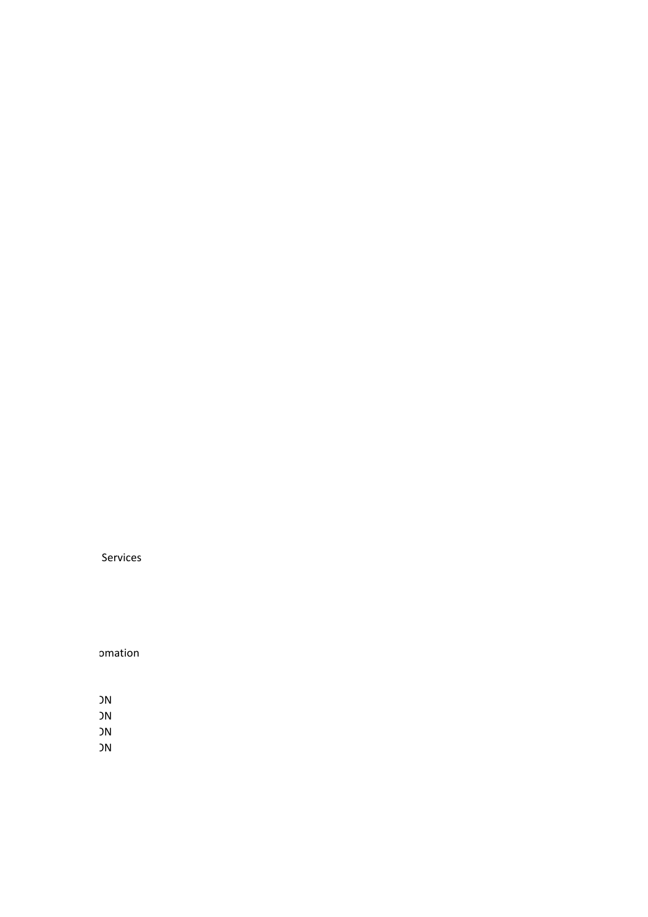Services

omation

ת<br>N JARO EDUCATION

JARO EDUCATION

 $\overline{M}$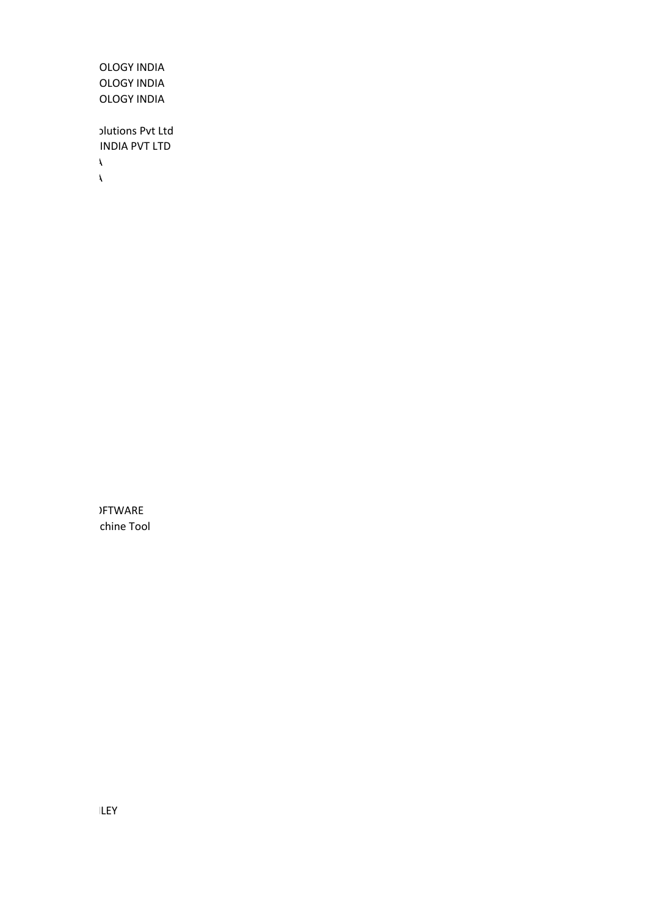**OLOGY INDIA** OLOGY INDIA **OLOGY INDIA** 

plutions Pvt Ltd INDIA PVT LTD LIUGONG INDIA LIUGONG INDIA

> **DETWARE** chine Tool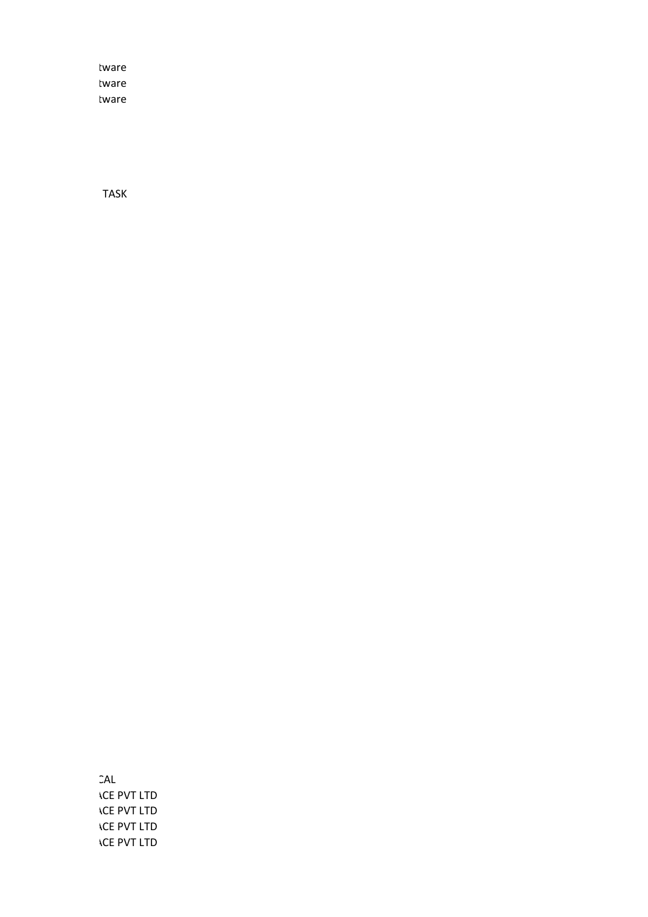tware tware tware

TASK

 $CAL$ **ACE PVT LTD ACE PVT LTD ACE PVT LTD** *NCE PVT LTD*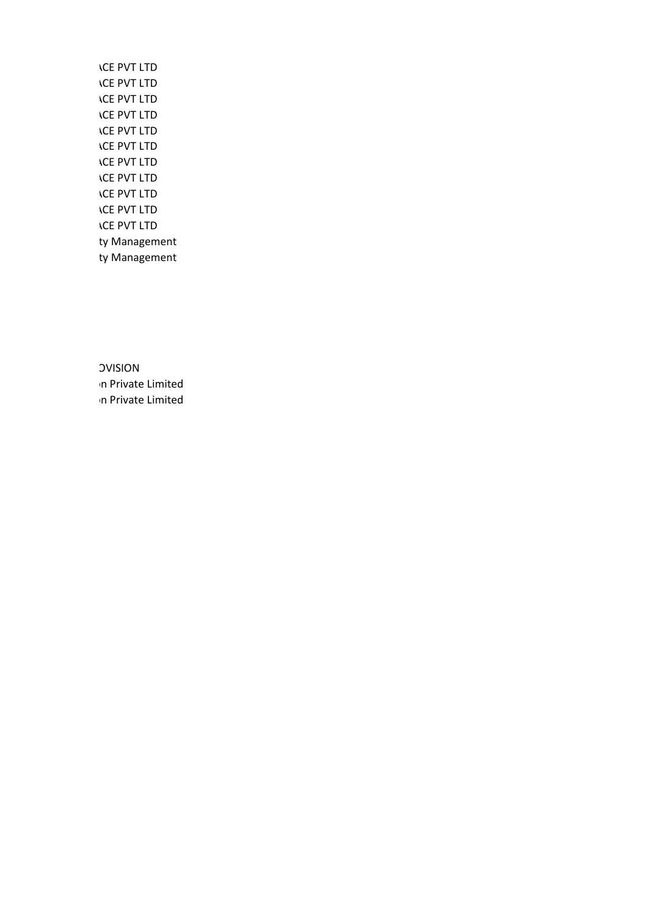**ACE PVT LTD ICE PVT LTD** *NCE PVT LTD* **ACE PVT LTD ICE PVT LTD ACE PVT LTD ACE PVT LTD ICE PVT LTD** *NCE PVT LTD* **ACE PVT LTD ACE PVT LTD** ty Management ty Management

**DVISION** In Private Limited In Private Limited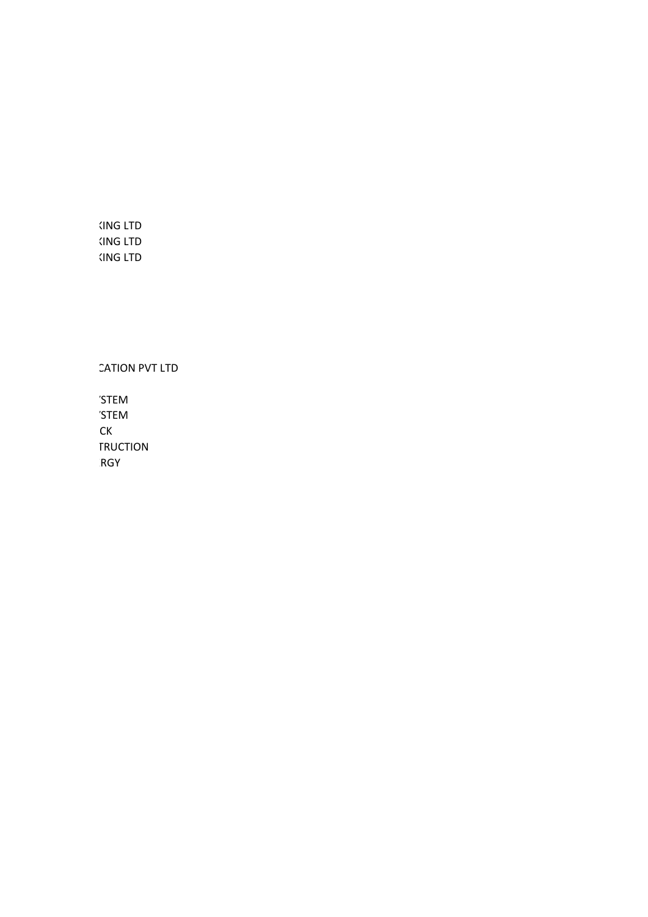**KING LTD KING LTD KING LTD** 

## CATION PVT LTD

'STEM 'STEM CK **TRUCTION** RGY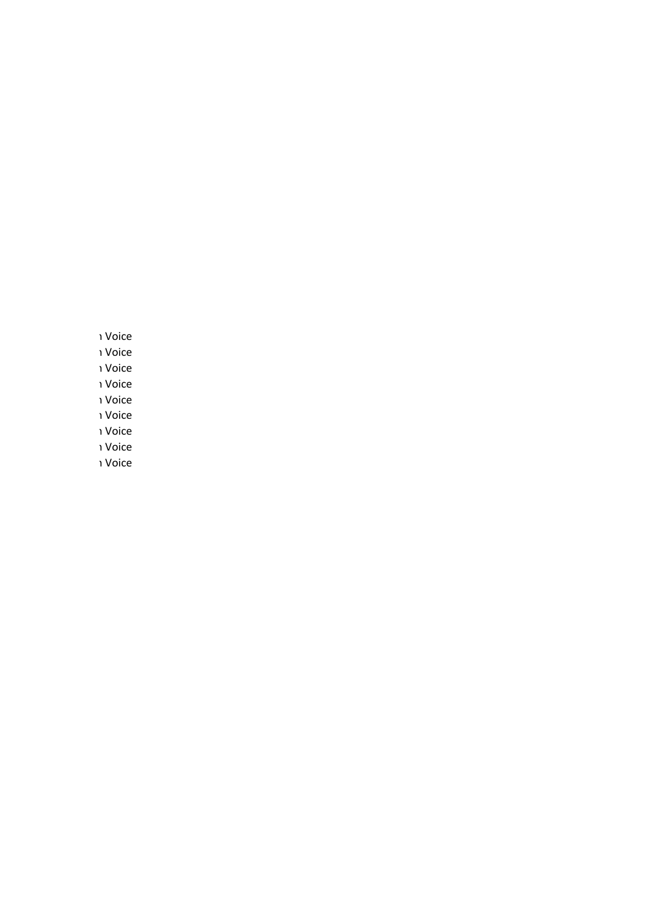า Voice ı Voice ı Voice ı Voice I Voice ı Voice

ı Voice

ı Voice

ı Voice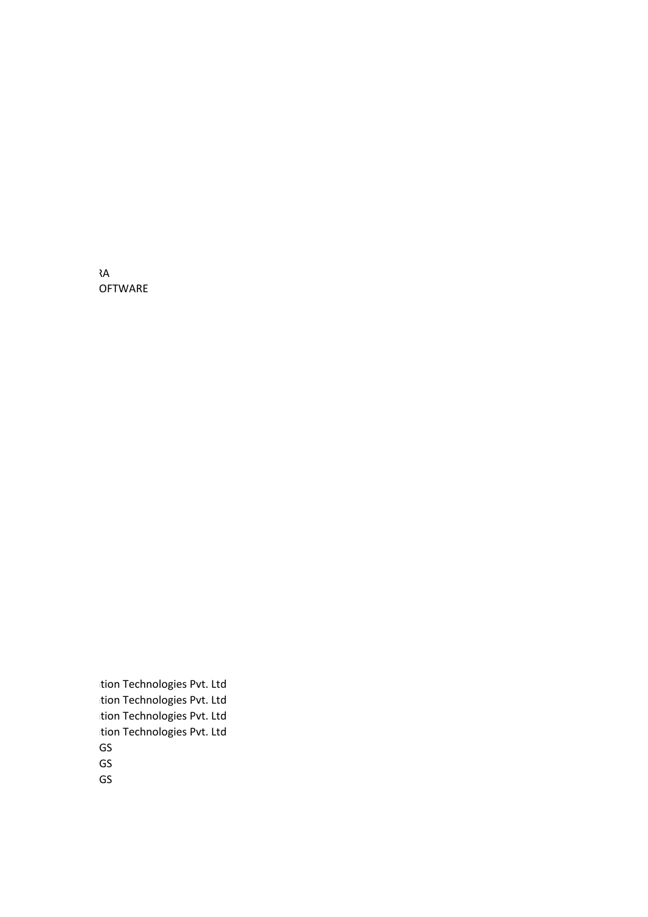$\lambda$ A **OFTWARE** 

Ition Technologies Pvt. Ltd tion Technologies Pvt. Ltd Ition Technologies Pvt. Ltd Ition Technologies Pvt. Ltd GS GS GS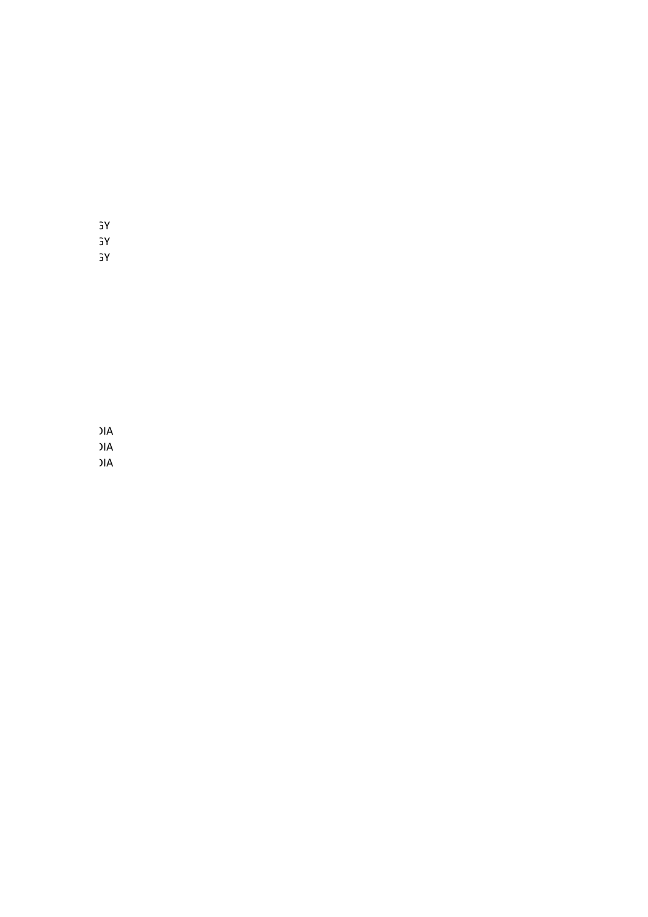3Y 3Y GY

 $\overline{\mathsf{A}}$  $\overline{\mathsf{A}}$  $\overline{\mathsf{A}}$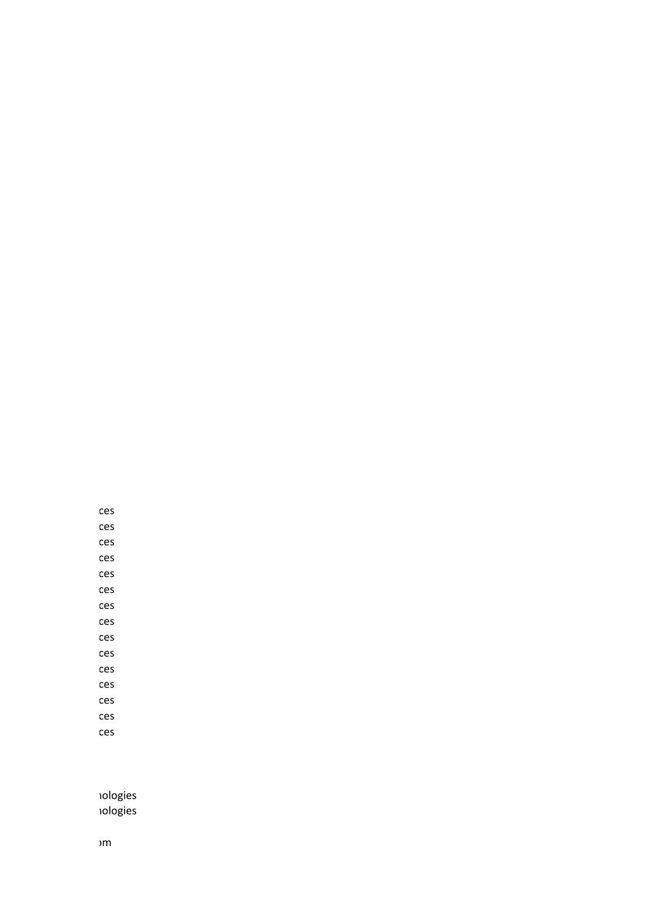**nologies** *nologies* 

ces ces ces ces ces ces ces ces ces ces ces

ces ces ces ces

 $\mathfrak{m}$